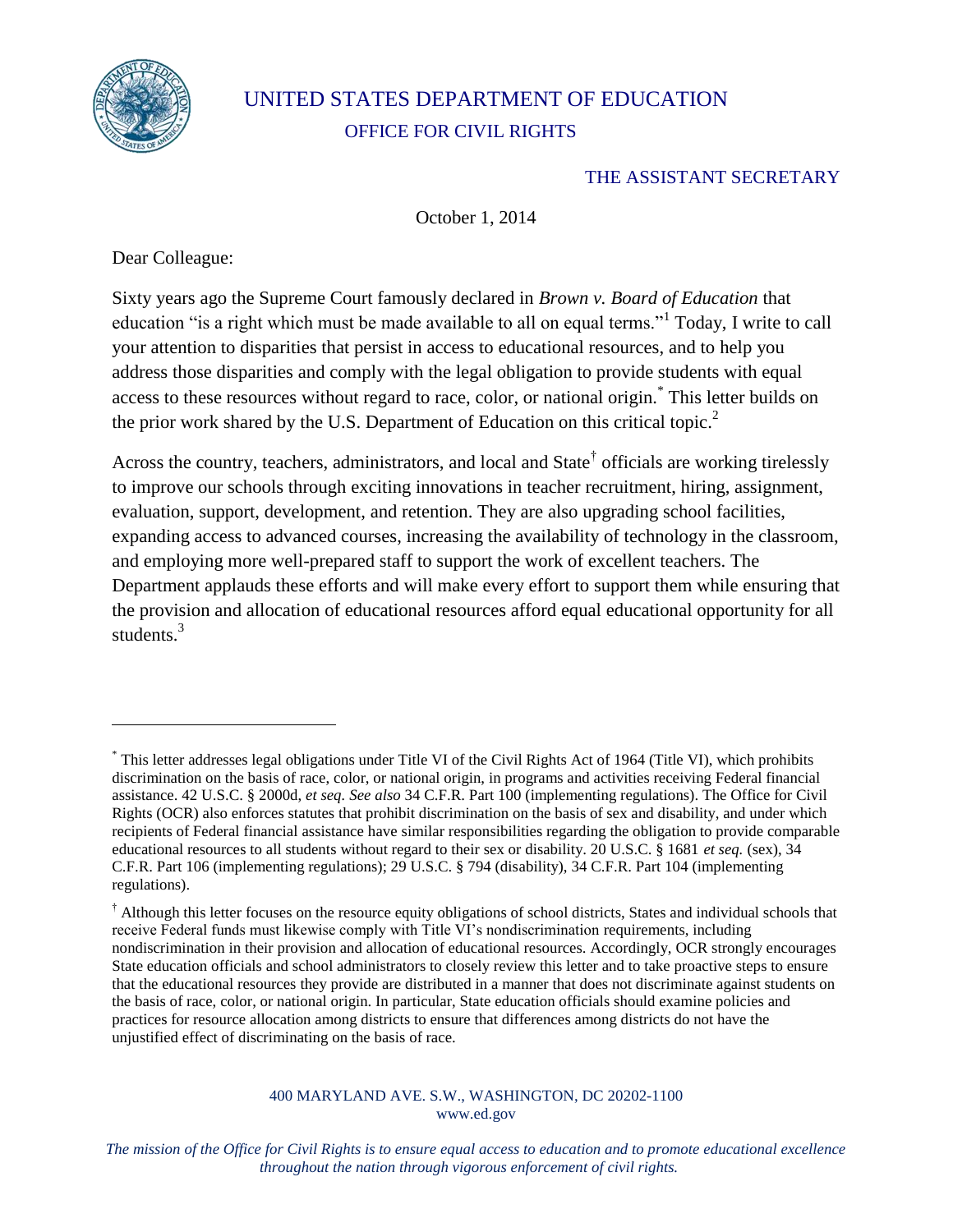

# UNITED STATES DEPARTMENT OF EDUCATION OFFICE FOR CIVIL RIGHTS

### <span id="page-0-0"></span>THE ASSISTANT SECRETARY

October 1, 2014

Dear Colleague:

Sixty years ago the Supreme Court famously declared in *Brown v. Board of Education* that education "is a right which must be made available to all on equal terms."<sup>1</sup> Today, I write to call your attention to disparities that persist in access to educational resources, and to help you address those disparities and comply with the legal obligation to provide students with equal access to these resources without regard to race, color, or national origin.\* This letter builds on the prior work shared by the U.S. Department of Education on this critical topic.<sup>2</sup>

Across the country, teachers, administrators, and local and State<sup>†</sup> officials are working tirelessly to improve our schools through exciting innovations in teacher recruitment, hiring, assignment, evaluation, support, development, and retention. They are also upgrading school facilities, expanding access to advanced courses, increasing the availability of technology in the classroom, and employing more well-prepared staff to support the work of excellent teachers. The Department applauds these efforts and will make every effort to support them while ensuring that the provision and allocation of educational resources afford equal educational opportunity for all students<sup>3</sup>

<sup>\*</sup> This letter addresses legal obligations under Title VI of the Civil Rights Act of 1964 (Title VI), which prohibits discrimination on the basis of race, color, or national origin, in programs and activities receiving Federal financial assistance. 42 U.S.C. § 2000d, *et seq. See also* 34 C.F.R. Part 100 (implementing regulations). The Office for Civil Rights (OCR) also enforces statutes that prohibit discrimination on the basis of sex and disability, and under which recipients of Federal financial assistance have similar responsibilities regarding the obligation to provide comparable educational resources to all students without regard to their sex or disability. 20 U.S.C. § 1681 *et seq.* (sex), 34 C.F.R. Part 106 (implementing regulations); 29 U.S.C. § 794 (disability), 34 C.F.R. Part 104 (implementing regulations).

<sup>&</sup>lt;sup>†</sup> Although this letter focuses on the resource equity obligations of school districts, States and individual schools that receive Federal funds must likewise comply with Title VI's nondiscrimination requirements, including nondiscrimination in their provision and allocation of educational resources. Accordingly, OCR strongly encourages State education officials and school administrators to closely review this letter and to take proactive steps to ensure that the educational resources they provide are distributed in a manner that does not discriminate against students on the basis of race, color, or national origin. In particular, State education officials should examine policies and practices for resource allocation among districts to ensure that differences among districts do not have the unjustified effect of discriminating on the basis of race.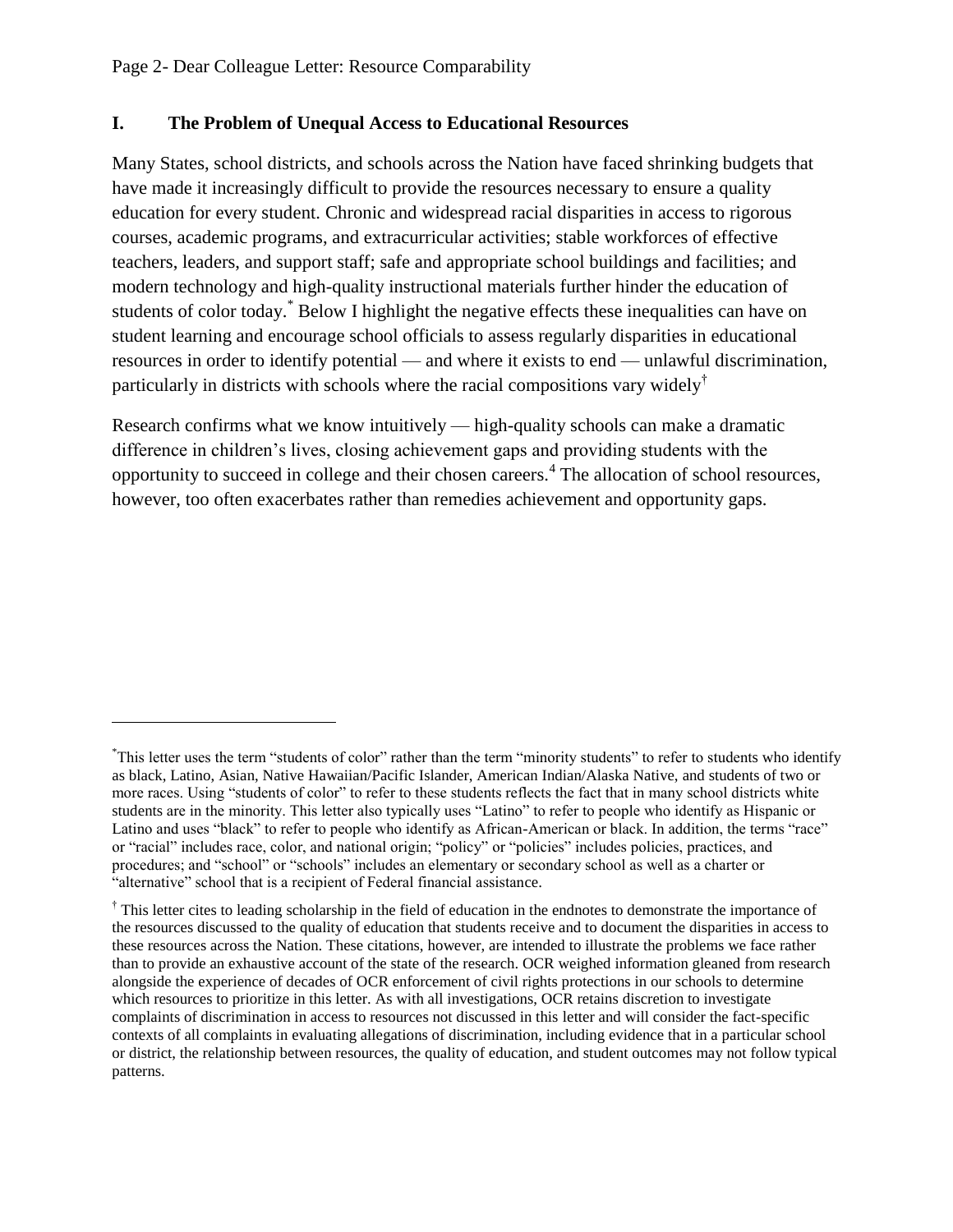### **I. The Problem of Unequal Access to Educational Resources**

Many States, school districts, and schools across the Nation have faced shrinking budgets that have made it increasingly difficult to provide the resources necessary to ensure a quality education for every student. Chronic and widespread racial disparities in access to rigorous courses, academic programs, and extracurricular activities; stable workforces of effective teachers, leaders, and support staff; safe and appropriate school buildings and facilities; and modern technology and high-quality instructional materials further hinder the education of students of color today.\* Below I highlight the negative effects these inequalities can have on student learning and encourage school officials to assess regularly disparities in educational resources in order to identify potential — and where it exists to end — unlawful discrimination, particularly in districts with schools where the racial compositions vary widely<sup>†</sup>

Research confirms what we know intuitively — high-quality schools can make a dramatic difference in children's lives, closing achievement gaps and providing students with the opportunity to succeed in college and their chosen careers.<sup>4</sup> The allocation of school resources, however, too often exacerbates rather than remedies achievement and opportunity gaps.

<sup>\*</sup>This letter uses the term "students of color" rather than the term "minority students" to refer to students who identify as black, Latino, Asian, Native Hawaiian/Pacific Islander, American Indian/Alaska Native, and students of two or more races. Using "students of color" to refer to these students reflects the fact that in many school districts white students are in the minority. This letter also typically uses "Latino" to refer to people who identify as Hispanic or Latino and uses "black" to refer to people who identify as African-American or black. In addition, the terms "race" or "racial" includes race, color, and national origin; "policy" or "policies" includes policies, practices, and procedures; and "school" or "schools" includes an elementary or secondary school as well as a charter or "alternative" school that is a recipient of Federal financial assistance.

<sup>&</sup>lt;sup>†</sup> This letter cites to leading scholarship in the field of education in the endnotes to demonstrate the importance of the resources discussed to the quality of education that students receive and to document the disparities in access to these resources across the Nation. These citations, however, are intended to illustrate the problems we face rather than to provide an exhaustive account of the state of the research. OCR weighed information gleaned from research alongside the experience of decades of OCR enforcement of civil rights protections in our schools to determine which resources to prioritize in this letter. As with all investigations, OCR retains discretion to investigate complaints of discrimination in access to resources not discussed in this letter and will consider the fact-specific contexts of all complaints in evaluating allegations of discrimination, including evidence that in a particular school or district, the relationship between resources, the quality of education, and student outcomes may not follow typical patterns.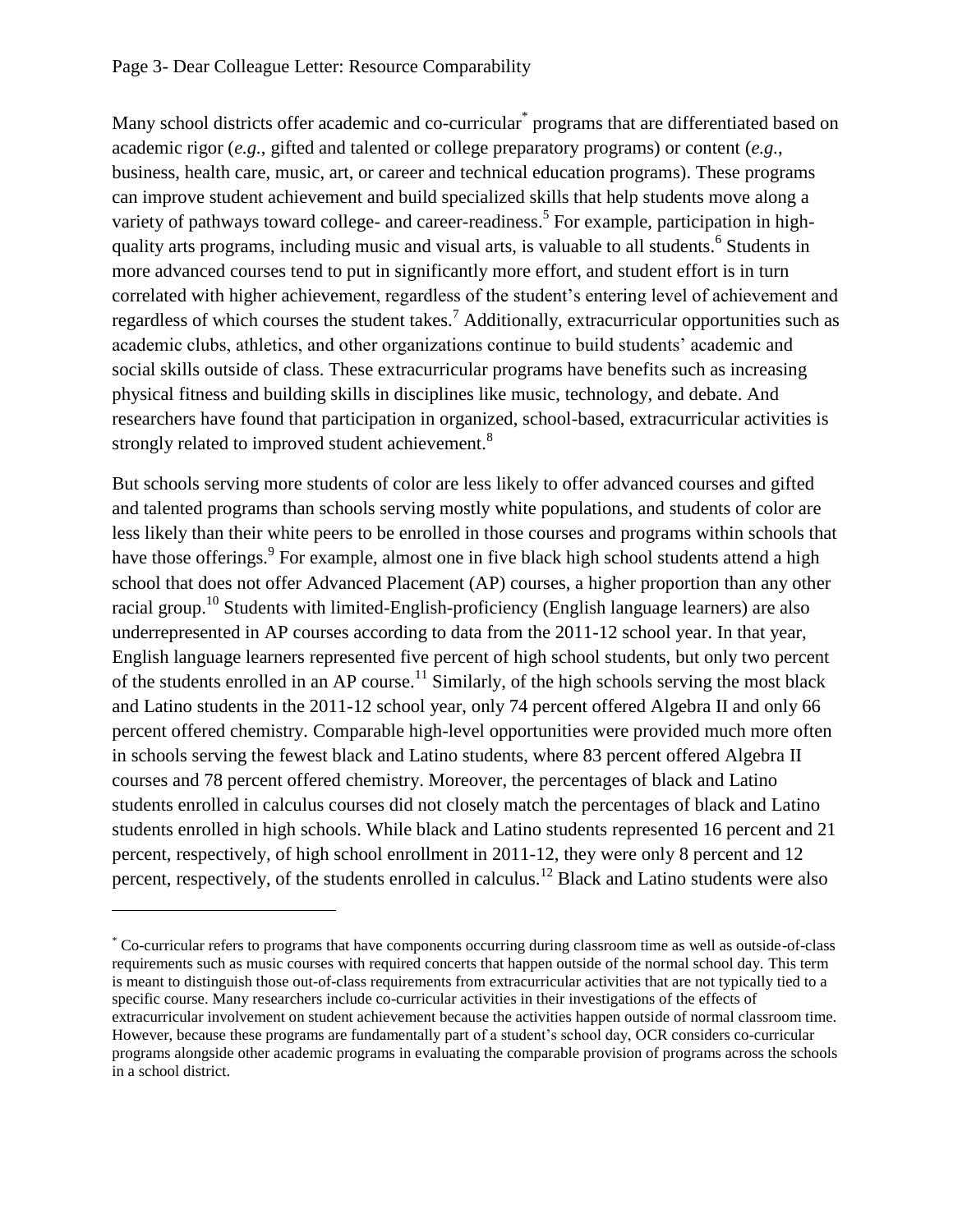<span id="page-2-0"></span>Many school districts offer academic and co-curricular<sup>\*</sup> programs that are differentiated based on academic rigor (*e.g.*, gifted and talented or college preparatory programs) or content (*e.g.*, business, health care, music, art, or career and technical education programs). These programs can improve student achievement and build specialized skills that help students move along a variety of pathways toward college- and career-readiness.<sup>5</sup> For example, participation in highquality arts programs, including music and visual arts, is valuable to all students.<sup>6</sup> Students in more advanced courses tend to put in significantly more effort, and student effort is in turn correlated with higher achievement, regardless of the student's entering level of achievement and regardless of which courses the student takes.<sup>7</sup> Additionally, extracurricular opportunities such as academic clubs, athletics, and other organizations continue to build students' academic and social skills outside of class. These extracurricular programs have benefits such as increasing physical fitness and building skills in disciplines like music, technology, and debate. And researchers have found that participation in organized, school-based, extracurricular activities is strongly related to improved student achievement.<sup>8</sup>

But schools serving more students of color are less likely to offer advanced courses and gifted and talented programs than schools serving mostly white populations, and students of color are less likely than their white peers to be enrolled in those courses and programs within schools that have those offerings. <sup>9</sup> For example, almost one in five black high school students attend a high school that does not offer Advanced Placement (AP) courses, a higher proportion than any other racial group.<sup>10</sup> Students with limited-English-proficiency (English language learners) are also underrepresented in AP courses according to data from the 2011-12 school year. In that year, English language learners represented five percent of high school students, but only two percent of the students enrolled in an AP course.<sup>11</sup> Similarly, of the high schools serving the most black and Latino students in the 2011-12 school year, only 74 percent offered Algebra II and only 66 percent offered chemistry. Comparable high-level opportunities were provided much more often in schools serving the fewest black and Latino students, where 83 percent offered Algebra II courses and 78 percent offered chemistry. Moreover, the percentages of black and Latino students enrolled in calculus courses did not closely match the percentages of black and Latino students enrolled in high schools. While black and Latino students represented 16 percent and 21 percent, respectively, of high school enrollment in 2011-12, they were only 8 percent and 12 percent, respectively, of the students enrolled in calculus.<sup>12</sup> Black and Latino students were also

<sup>\*</sup> Co-curricular refers to programs that have components occurring during classroom time as well as outside-of-class requirements such as music courses with required concerts that happen outside of the normal school day. This term is meant to distinguish those out-of-class requirements from extracurricular activities that are not typically tied to a specific course. Many researchers include co-curricular activities in their investigations of the effects of extracurricular involvement on student achievement because the activities happen outside of normal classroom time. However, because these programs are fundamentally part of a student's school day, OCR considers co-curricular programs alongside other academic programs in evaluating the comparable provision of programs across the schools in a school district.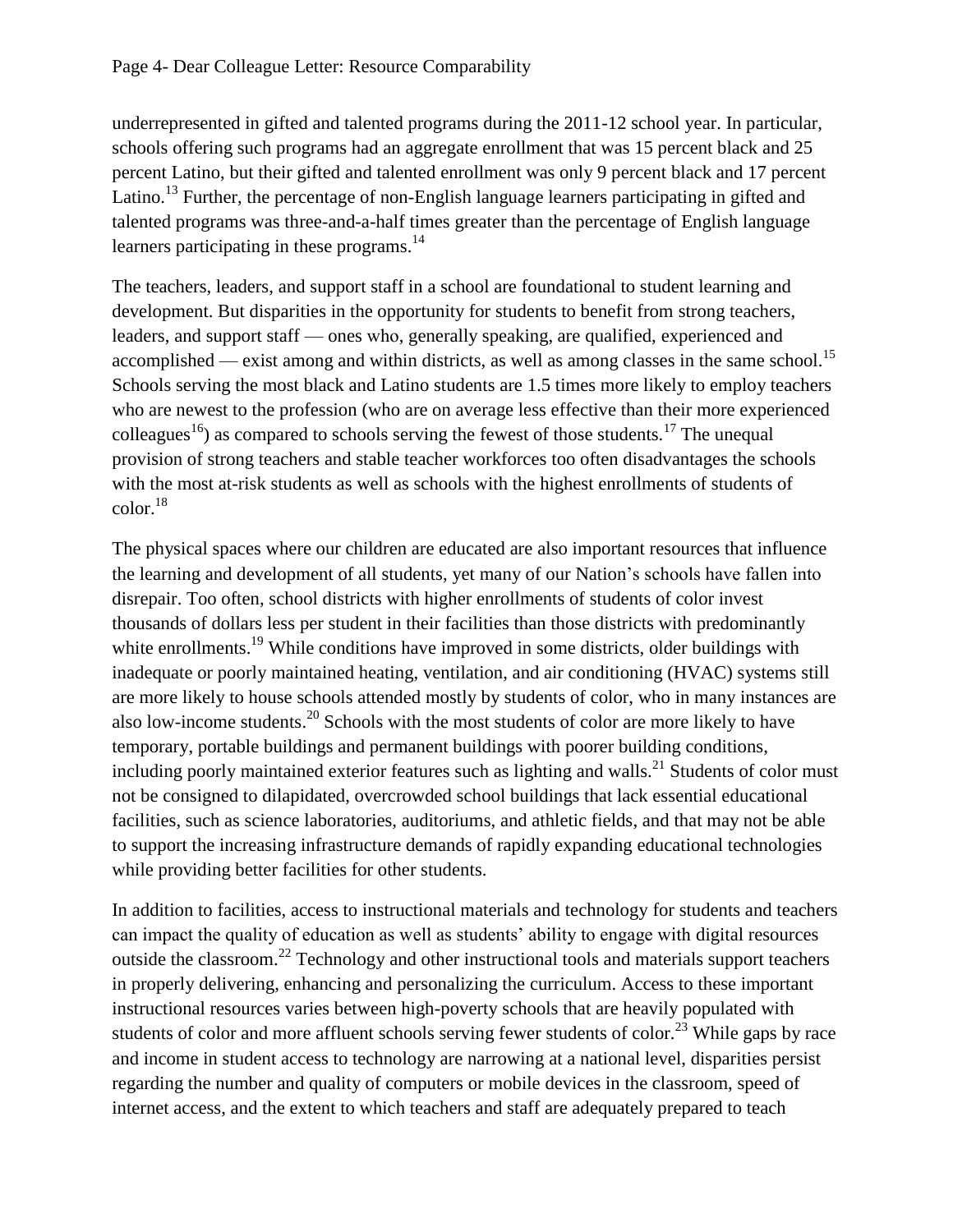underrepresented in gifted and talented programs during the 2011-12 school year. In particular, schools offering such programs had an aggregate enrollment that was 15 percent black and 25 percent Latino, but their gifted and talented enrollment was only 9 percent black and 17 percent Latino.<sup>13</sup> Further, the percentage of non-English language learners participating in gifted and talented programs was three-and-a-half times greater than the percentage of English language learners participating in these programs. $^{14}$ 

<span id="page-3-0"></span>The teachers, leaders, and support staff in a school are foundational to student learning and development. But disparities in the opportunity for students to benefit from strong teachers, leaders, and support staff — ones who, generally speaking, are qualified, experienced and accomplished — exist among and within districts, as well as among classes in the same school.<sup>15</sup> Schools serving the most black and Latino students are 1.5 times more likely to employ teachers who are newest to the profession (who are on average less effective than their more experienced colleagues<sup>16</sup>) as compared to schools serving the fewest of those students.<sup>17</sup> The unequal provision of strong teachers and stable teacher workforces too often disadvantages the schools with the most at-risk students as well as schools with the highest enrollments of students of color.<sup>18</sup>

<span id="page-3-3"></span><span id="page-3-2"></span><span id="page-3-1"></span>The physical spaces where our children are educated are also important resources that influence the learning and development of all students, yet many of our Nation's schools have fallen into disrepair. Too often, school districts with higher enrollments of students of color invest thousands of dollars less per student in their facilities than those districts with predominantly white enrollments.<sup>19</sup> While conditions have improved in some districts, older buildings with inadequate or poorly maintained heating, ventilation, and air conditioning (HVAC) systems still are more likely to house schools attended mostly by students of color, who in many instances are also low-income students.<sup>20</sup> Schools with the most students of color are more likely to have temporary, portable buildings and permanent buildings with poorer building conditions, including poorly maintained exterior features such as lighting and walls.<sup>21</sup> Students of color must not be consigned to dilapidated, overcrowded school buildings that lack essential educational facilities, such as science laboratories, auditoriums, and athletic fields, and that may not be able to support the increasing infrastructure demands of rapidly expanding educational technologies while providing better facilities for other students.

In addition to facilities, access to instructional materials and technology for students and teachers can impact the quality of education as well as students' ability to engage with digital resources outside the classroom.<sup>22</sup> Technology and other instructional tools and materials support teachers in properly delivering, enhancing and personalizing the curriculum. Access to these important instructional resources varies between high-poverty schools that are heavily populated with students of color and more affluent schools serving fewer students of color.<sup>23</sup> While gaps by race and income in student access to technology are narrowing at a national level, disparities persist regarding the number and quality of computers or mobile devices in the classroom, speed of internet access, and the extent to which teachers and staff are adequately prepared to teach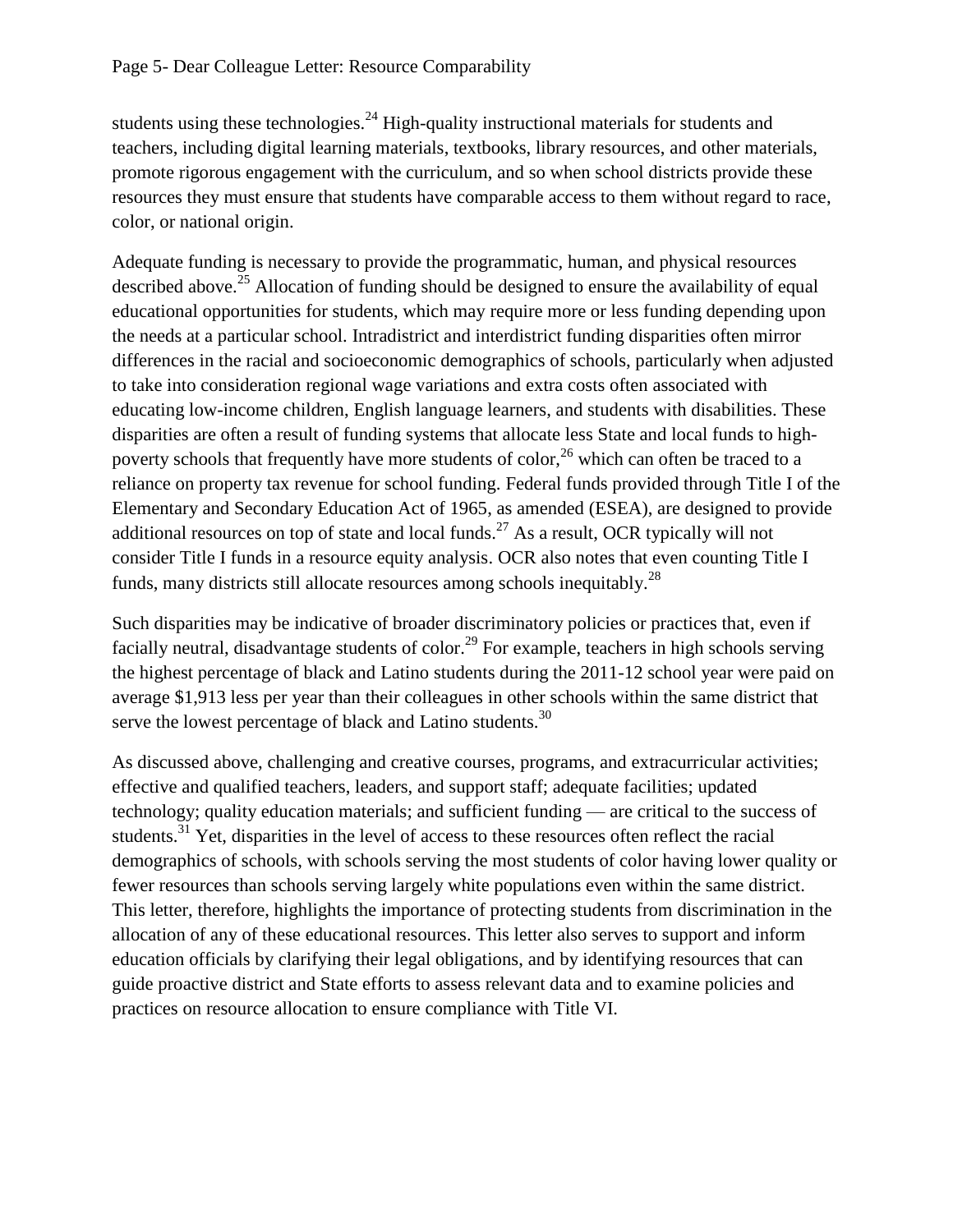students using these technologies.<sup>24</sup> High-quality instructional materials for students and teachers, including digital learning materials, textbooks, library resources, and other materials, promote rigorous engagement with the curriculum, and so when school districts provide these resources they must ensure that students have comparable access to them without regard to race, color, or national origin.

<span id="page-4-0"></span>Adequate funding is necessary to provide the programmatic, human, and physical resources described above.<sup>25</sup> Allocation of funding should be designed to ensure the availability of equal educational opportunities for students, which may require more or less funding depending upon the needs at a particular school. Intradistrict and interdistrict funding disparities often mirror differences in the racial and socioeconomic demographics of schools, particularly when adjusted to take into consideration regional wage variations and extra costs often associated with educating low-income children, English language learners, and students with disabilities. These disparities are often a result of funding systems that allocate less State and local funds to highpoverty schools that frequently have more students of color,  $26$  which can often be traced to a reliance on property tax revenue for school funding. Federal funds provided through Title I of the Elementary and Secondary Education Act of 1965, as amended (ESEA), are designed to provide additional resources on top of state and local funds.<sup>27</sup> As a result, OCR typically will not consider Title I funds in a resource equity analysis. OCR also notes that even counting Title I funds, many districts still allocate resources among schools inequitably.<sup>28</sup>

Such disparities may be indicative of broader discriminatory policies or practices that, even if facially neutral, disadvantage students of color.<sup>29</sup> For example, teachers in high schools serving the highest percentage of black and Latino students during the 2011-12 school year were paid on average \$1,913 less per year than their colleagues in other schools within the same district that serve the lowest percentage of black and Latino students.<sup>30</sup>

As discussed above, challenging and creative courses, programs, and extracurricular activities; effective and qualified teachers, leaders, and support staff; adequate facilities; updated technology; quality education materials; and sufficient funding — are critical to the success of students.<sup>31</sup> Yet, disparities in the level of access to these resources often reflect the racial demographics of schools, with schools serving the most students of color having lower quality or fewer resources than schools serving largely white populations even within the same district. This letter, therefore, highlights the importance of protecting students from discrimination in the allocation of any of these educational resources. This letter also serves to support and inform education officials by clarifying their legal obligations, and by identifying resources that can guide proactive district and State efforts to assess relevant data and to examine policies and practices on resource allocation to ensure compliance with Title VI.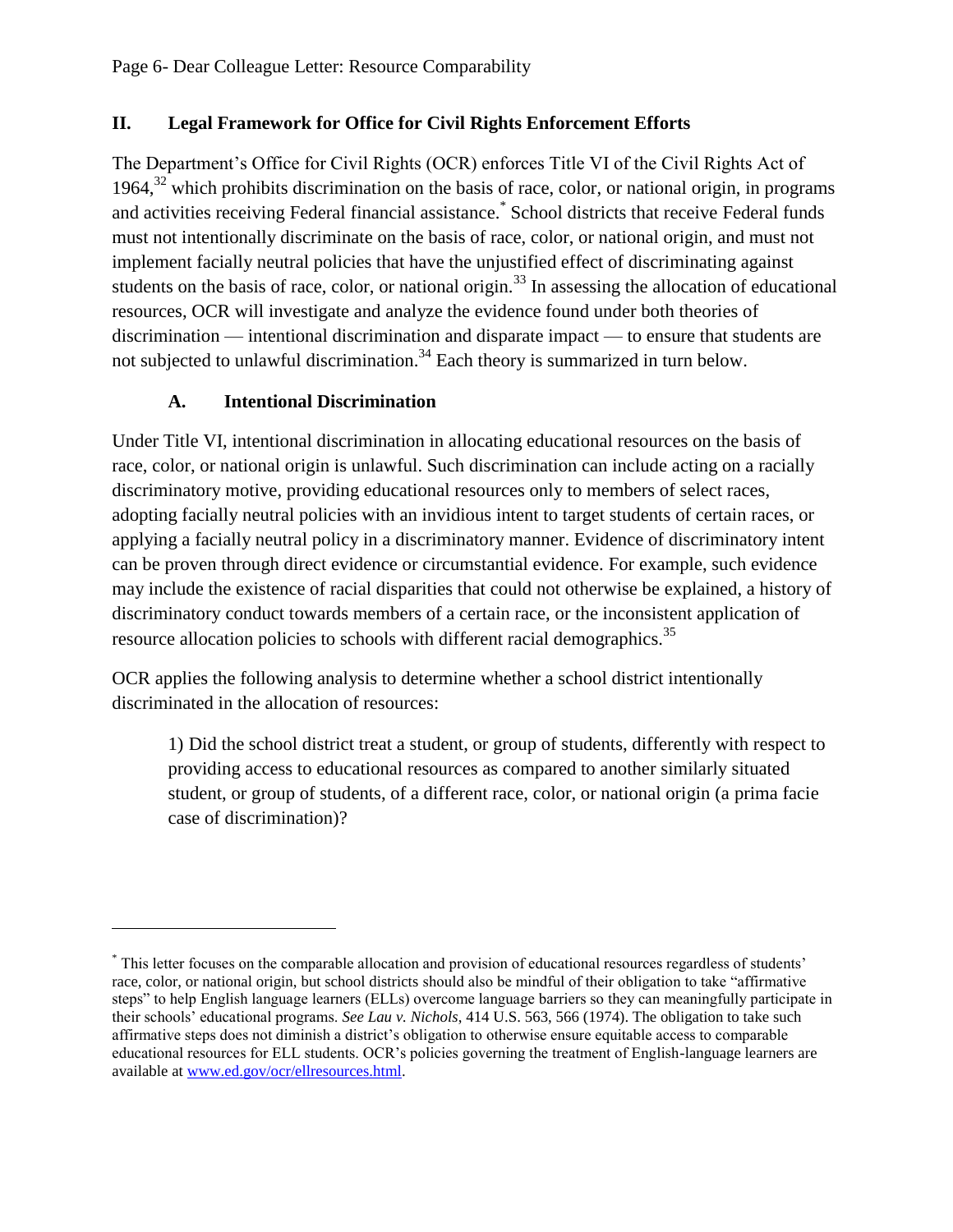## **II. Legal Framework for Office for Civil Rights Enforcement Efforts**

The Department's Office for Civil Rights (OCR) enforces Title VI of the Civil Rights Act of 1964, $^{32}$  which prohibits discrimination on the basis of race, color, or national origin, in programs and activities receiving Federal financial assistance.\* School districts that receive Federal funds must not intentionally discriminate on the basis of race, color, or national origin, and must not implement facially neutral policies that have the unjustified effect of discriminating against students on the basis of race, color, or national origin.<sup>33</sup> In assessing the allocation of educational resources, OCR will investigate and analyze the evidence found under both theories of discrimination — intentional discrimination and disparate impact — to ensure that students are not subjected to unlawful discrimination.<sup>34</sup> Each theory is summarized in turn below.

## **A. Intentional Discrimination**

 $\overline{a}$ 

Under Title VI, intentional discrimination in allocating educational resources on the basis of race, color, or national origin is unlawful. Such discrimination can include acting on a racially discriminatory motive, providing educational resources only to members of select races, adopting facially neutral policies with an invidious intent to target students of certain races, or applying a facially neutral policy in a discriminatory manner. Evidence of discriminatory intent can be proven through direct evidence or circumstantial evidence. For example, such evidence may include the existence of racial disparities that could not otherwise be explained, a history of discriminatory conduct towards members of a certain race, or the inconsistent application of resource allocation policies to schools with different racial demographics.<sup>35</sup>

OCR applies the following analysis to determine whether a school district intentionally discriminated in the allocation of resources:

<span id="page-5-0"></span>1) Did the school district treat a student, or group of students, differently with respect to providing access to educational resources as compared to another similarly situated student, or group of students, of a different race, color, or national origin (a prima facie case of discrimination)?

<sup>\*</sup> This letter focuses on the comparable allocation and provision of educational resources regardless of students' race, color, or national origin, but school districts should also be mindful of their obligation to take "affirmative steps" to help English language learners (ELLs) overcome language barriers so they can meaningfully participate in their schools' educational programs. *See Lau v. Nichols*, 414 U.S. 563, 566 (1974). The obligation to take such affirmative steps does not diminish a district's obligation to otherwise ensure equitable access to comparable educational resources for ELL students. OCR's policies governing the treatment of English-language learners are available at [www.ed.gov/ocr/ellresources.html.](http://www.ed.gov/ocr/ellresources.html)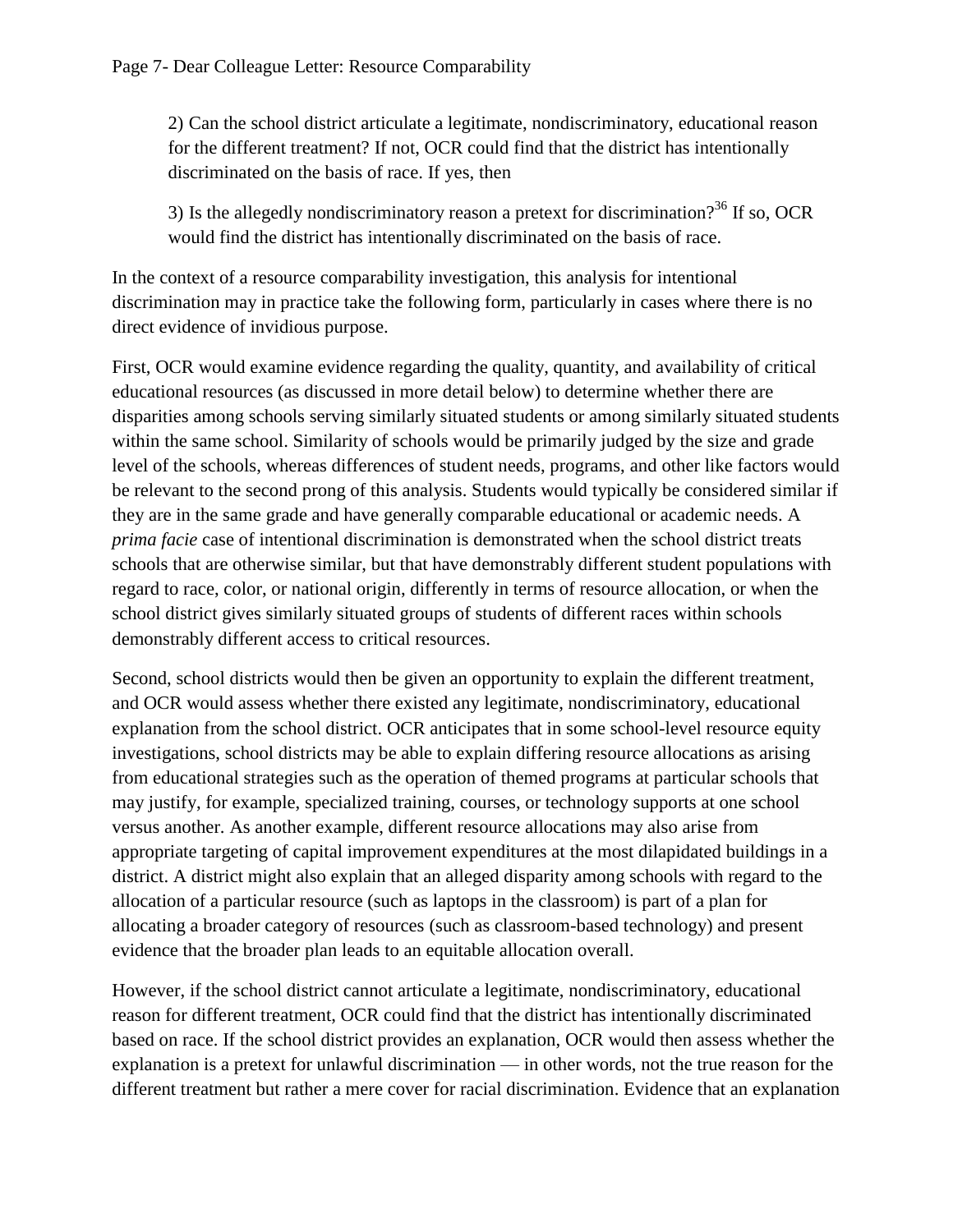2) Can the school district articulate a legitimate, nondiscriminatory, educational reason for the different treatment? If not, OCR could find that the district has intentionally discriminated on the basis of race. If yes, then

3) Is the allegedly nondiscriminatory reason a pretext for discrimination?<sup>36</sup> If so, OCR would find the district has intentionally discriminated on the basis of race.

In the context of a resource comparability investigation, this analysis for intentional discrimination may in practice take the following form, particularly in cases where there is no direct evidence of invidious purpose.

First, OCR would examine evidence regarding the quality, quantity, and availability of critical educational resources (as discussed in more detail below) to determine whether there are disparities among schools serving similarly situated students or among similarly situated students within the same school. Similarity of schools would be primarily judged by the size and grade level of the schools, whereas differences of student needs, programs, and other like factors would be relevant to the second prong of this analysis. Students would typically be considered similar if they are in the same grade and have generally comparable educational or academic needs. A *prima facie* case of intentional discrimination is demonstrated when the school district treats schools that are otherwise similar, but that have demonstrably different student populations with regard to race, color, or national origin, differently in terms of resource allocation, or when the school district gives similarly situated groups of students of different races within schools demonstrably different access to critical resources.

Second, school districts would then be given an opportunity to explain the different treatment, and OCR would assess whether there existed any legitimate, nondiscriminatory, educational explanation from the school district. OCR anticipates that in some school-level resource equity investigations, school districts may be able to explain differing resource allocations as arising from educational strategies such as the operation of themed programs at particular schools that may justify, for example, specialized training, courses, or technology supports at one school versus another. As another example, different resource allocations may also arise from appropriate targeting of capital improvement expenditures at the most dilapidated buildings in a district. A district might also explain that an alleged disparity among schools with regard to the allocation of a particular resource (such as laptops in the classroom) is part of a plan for allocating a broader category of resources (such as classroom-based technology) and present evidence that the broader plan leads to an equitable allocation overall.

However, if the school district cannot articulate a legitimate, nondiscriminatory, educational reason for different treatment, OCR could find that the district has intentionally discriminated based on race. If the school district provides an explanation, OCR would then assess whether the explanation is a pretext for unlawful discrimination — in other words, not the true reason for the different treatment but rather a mere cover for racial discrimination. Evidence that an explanation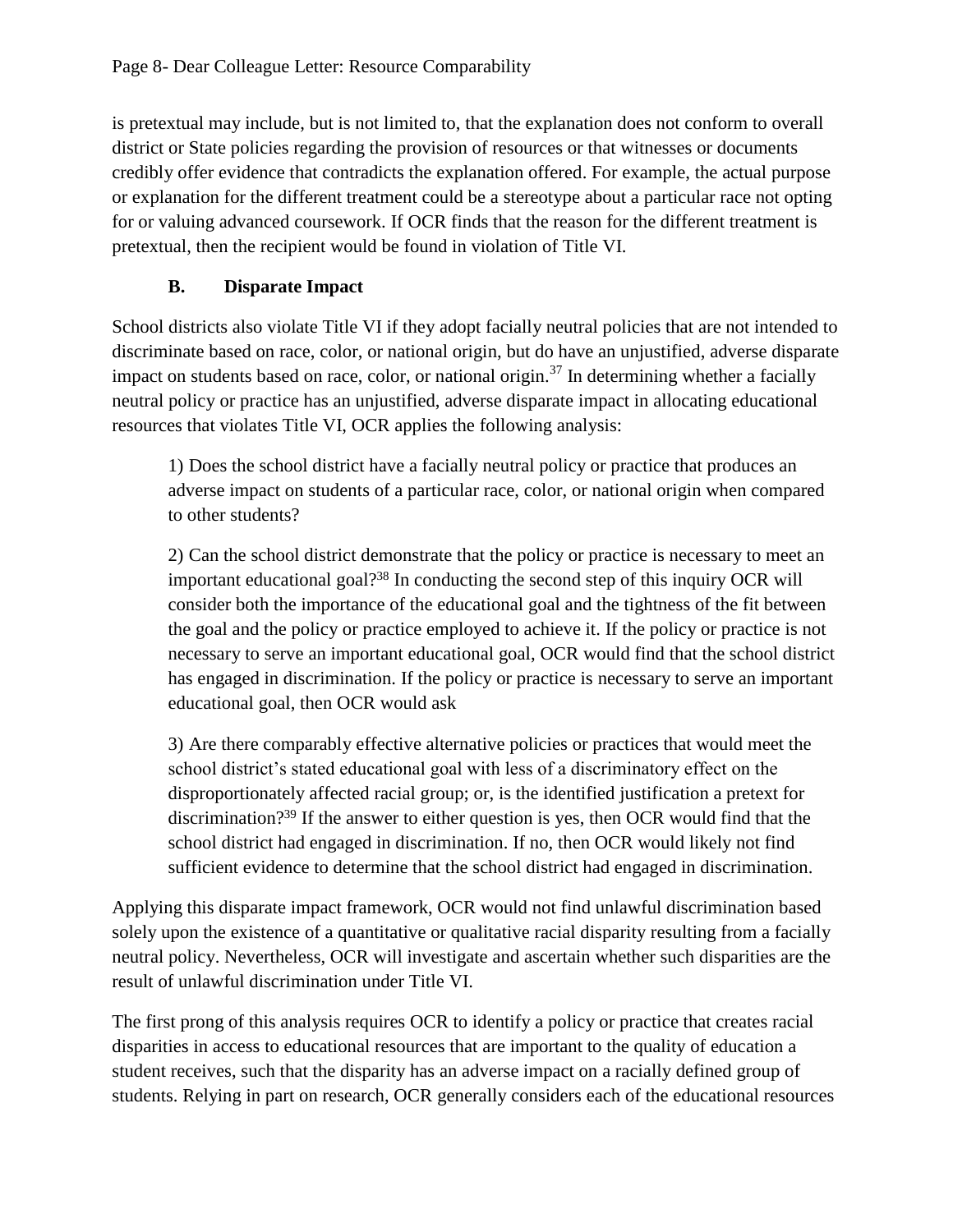is pretextual may include, but is not limited to, that the explanation does not conform to overall district or State policies regarding the provision of resources or that witnesses or documents credibly offer evidence that contradicts the explanation offered. For example, the actual purpose or explanation for the different treatment could be a stereotype about a particular race not opting for or valuing advanced coursework. If OCR finds that the reason for the different treatment is pretextual, then the recipient would be found in violation of Title VI.

# **B. Disparate Impact**

School districts also violate Title VI if they adopt facially neutral policies that are not intended to discriminate based on race, color, or national origin, but do have an unjustified, adverse disparate impact on students based on race, color, or national origin.<sup>37</sup> In determining whether a facially neutral policy or practice has an unjustified, adverse disparate impact in allocating educational resources that violates Title VI, OCR applies the following analysis:

1) Does the school district have a facially neutral policy or practice that produces an adverse impact on students of a particular race, color, or national origin when compared to other students?

2) Can the school district demonstrate that the policy or practice is necessary to meet an important educational goal?<sup>38</sup> In conducting the second step of this inquiry OCR will consider both the importance of the educational goal and the tightness of the fit between the goal and the policy or practice employed to achieve it. If the policy or practice is not necessary to serve an important educational goal, OCR would find that the school district has engaged in discrimination. If the policy or practice is necessary to serve an important educational goal, then OCR would ask

3) Are there comparably effective alternative policies or practices that would meet the school district's stated educational goal with less of a discriminatory effect on the disproportionately affected racial group; or, is the identified justification a pretext for discrimination?<sup>39</sup> If the answer to either question is yes, then OCR would find that the school district had engaged in discrimination. If no, then OCR would likely not find sufficient evidence to determine that the school district had engaged in discrimination.

Applying this disparate impact framework, OCR would not find unlawful discrimination based solely upon the existence of a quantitative or qualitative racial disparity resulting from a facially neutral policy. Nevertheless, OCR will investigate and ascertain whether such disparities are the result of unlawful discrimination under Title VI.

The first prong of this analysis requires OCR to identify a policy or practice that creates racial disparities in access to educational resources that are important to the quality of education a student receives, such that the disparity has an adverse impact on a racially defined group of students. Relying in part on research, OCR generally considers each of the educational resources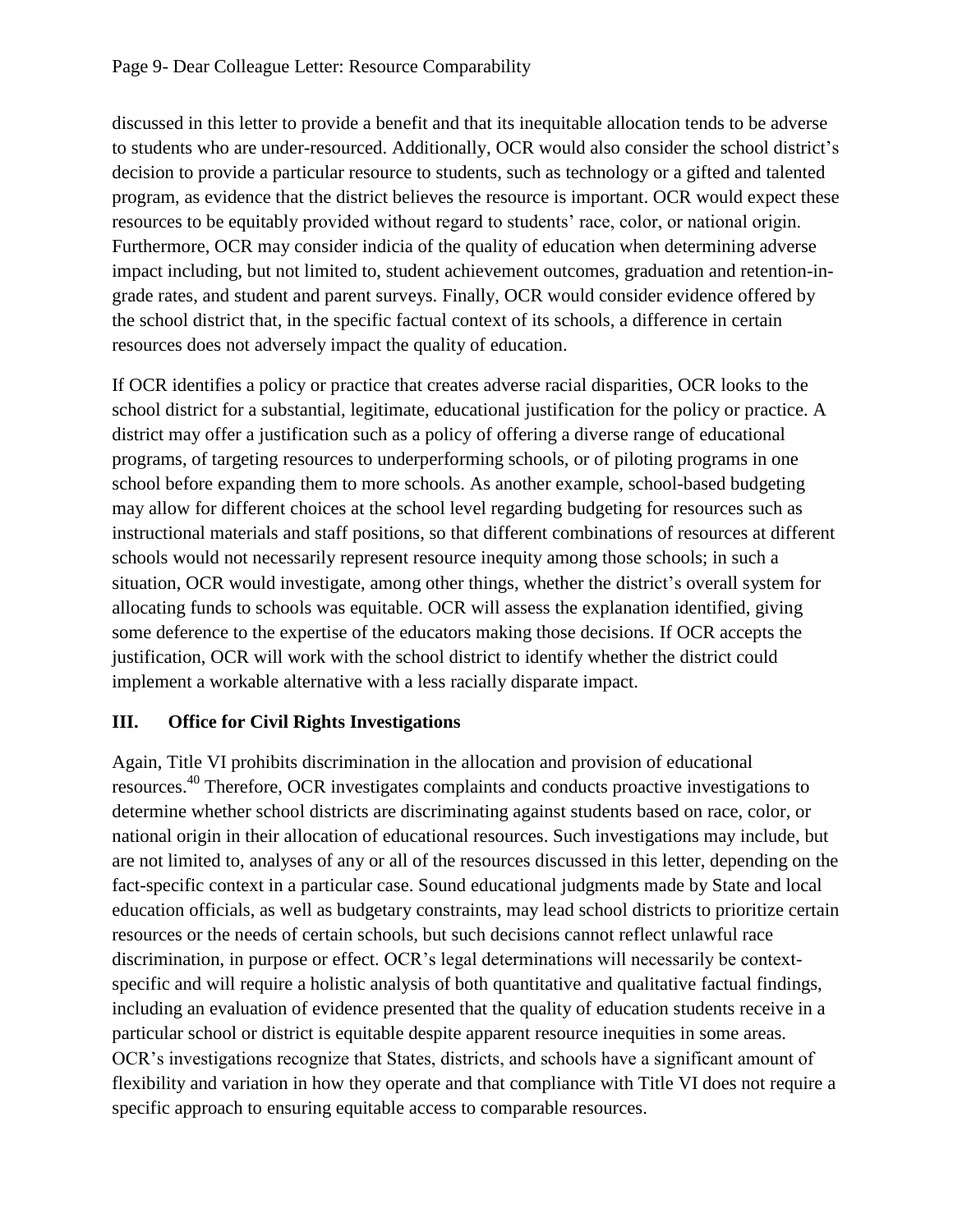discussed in this letter to provide a benefit and that its inequitable allocation tends to be adverse to students who are under-resourced. Additionally, OCR would also consider the school district's decision to provide a particular resource to students, such as technology or a gifted and talented program, as evidence that the district believes the resource is important. OCR would expect these resources to be equitably provided without regard to students' race, color, or national origin. Furthermore, OCR may consider indicia of the quality of education when determining adverse impact including, but not limited to, student achievement outcomes, graduation and retention-ingrade rates, and student and parent surveys. Finally, OCR would consider evidence offered by the school district that, in the specific factual context of its schools, a difference in certain resources does not adversely impact the quality of education.

If OCR identifies a policy or practice that creates adverse racial disparities, OCR looks to the school district for a substantial, legitimate, educational justification for the policy or practice. A district may offer a justification such as a policy of offering a diverse range of educational programs, of targeting resources to underperforming schools, or of piloting programs in one school before expanding them to more schools. As another example, school-based budgeting may allow for different choices at the school level regarding budgeting for resources such as instructional materials and staff positions, so that different combinations of resources at different schools would not necessarily represent resource inequity among those schools; in such a situation, OCR would investigate, among other things, whether the district's overall system for allocating funds to schools was equitable. OCR will assess the explanation identified, giving some deference to the expertise of the educators making those decisions. If OCR accepts the justification, OCR will work with the school district to identify whether the district could implement a workable alternative with a less racially disparate impact.

## **III. Office for Civil Rights Investigations**

Again, Title VI prohibits discrimination in the allocation and provision of educational resources.<sup>40</sup> Therefore, OCR investigates complaints and conducts proactive investigations to determine whether school districts are discriminating against students based on race, color, or national origin in their allocation of educational resources. Such investigations may include, but are not limited to, analyses of any or all of the resources discussed in this letter, depending on the fact-specific context in a particular case. Sound educational judgments made by State and local education officials, as well as budgetary constraints, may lead school districts to prioritize certain resources or the needs of certain schools, but such decisions cannot reflect unlawful race discrimination, in purpose or effect. OCR's legal determinations will necessarily be contextspecific and will require a holistic analysis of both quantitative and qualitative factual findings, including an evaluation of evidence presented that the quality of education students receive in a particular school or district is equitable despite apparent resource inequities in some areas. OCR's investigations recognize that States, districts, and schools have a significant amount of flexibility and variation in how they operate and that compliance with Title VI does not require a specific approach to ensuring equitable access to comparable resources.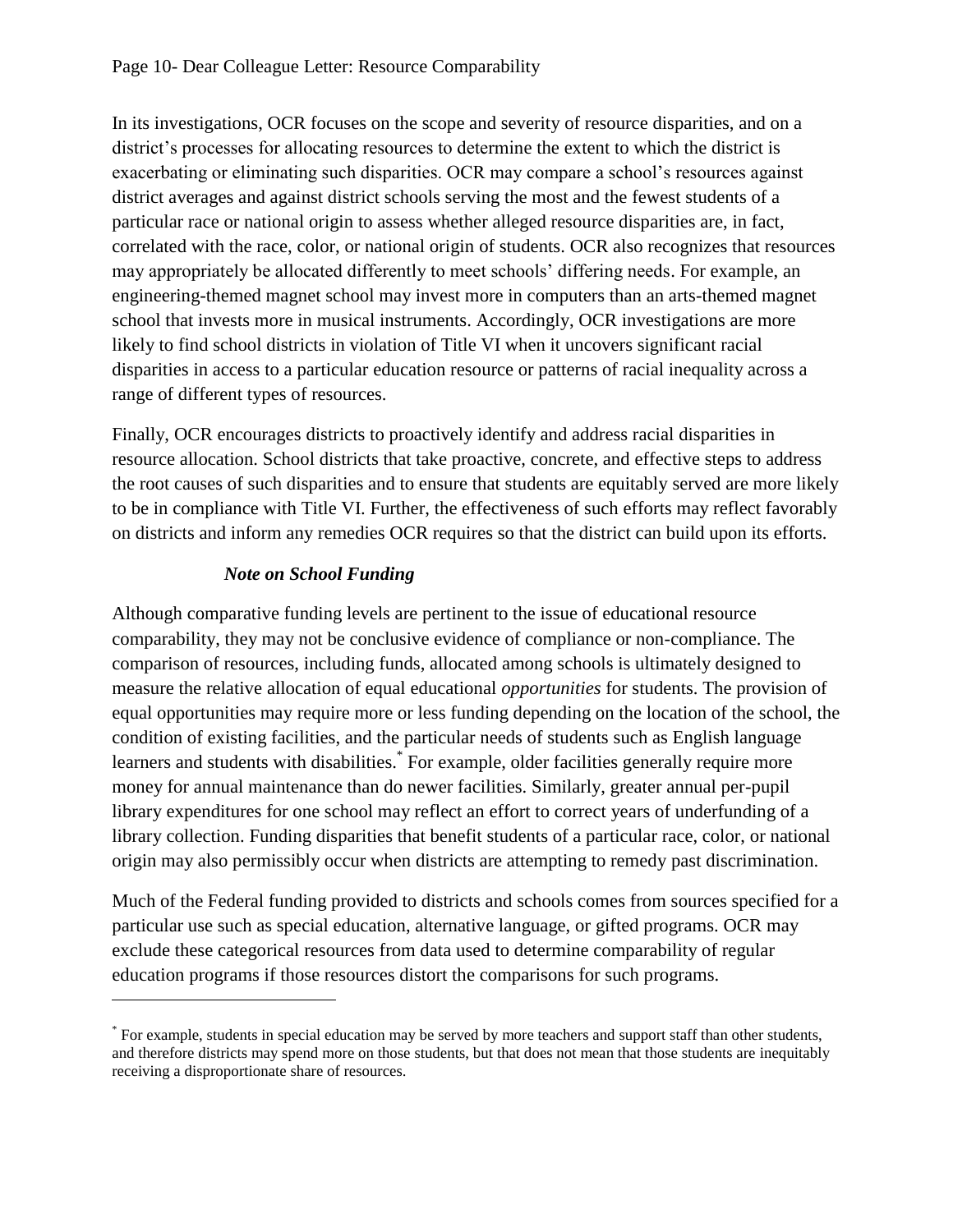In its investigations, OCR focuses on the scope and severity of resource disparities, and on a district's processes for allocating resources to determine the extent to which the district is exacerbating or eliminating such disparities. OCR may compare a school's resources against district averages and against district schools serving the most and the fewest students of a particular race or national origin to assess whether alleged resource disparities are, in fact, correlated with the race, color, or national origin of students. OCR also recognizes that resources may appropriately be allocated differently to meet schools' differing needs. For example, an engineering-themed magnet school may invest more in computers than an arts-themed magnet school that invests more in musical instruments. Accordingly, OCR investigations are more likely to find school districts in violation of Title VI when it uncovers significant racial disparities in access to a particular education resource or patterns of racial inequality across a range of different types of resources.

Finally, OCR encourages districts to proactively identify and address racial disparities in resource allocation. School districts that take proactive, concrete, and effective steps to address the root causes of such disparities and to ensure that students are equitably served are more likely to be in compliance with Title VI. Further, the effectiveness of such efforts may reflect favorably on districts and inform any remedies OCR requires so that the district can build upon its efforts.

## *Note on School Funding*

 $\overline{a}$ 

Although comparative funding levels are pertinent to the issue of educational resource comparability, they may not be conclusive evidence of compliance or non-compliance. The comparison of resources, including funds, allocated among schools is ultimately designed to measure the relative allocation of equal educational *opportunities* for students. The provision of equal opportunities may require more or less funding depending on the location of the school, the condition of existing facilities, and the particular needs of students such as English language learners and students with disabilities. For example, older facilities generally require more money for annual maintenance than do newer facilities. Similarly, greater annual per-pupil library expenditures for one school may reflect an effort to correct years of underfunding of a library collection. Funding disparities that benefit students of a particular race, color, or national origin may also permissibly occur when districts are attempting to remedy past discrimination.

Much of the Federal funding provided to districts and schools comes from sources specified for a particular use such as special education, alternative language, or gifted programs. OCR may exclude these categorical resources from data used to determine comparability of regular education programs if those resources distort the comparisons for such programs.

<sup>\*</sup> For example, students in special education may be served by more teachers and support staff than other students, and therefore districts may spend more on those students, but that does not mean that those students are inequitably receiving a disproportionate share of resources.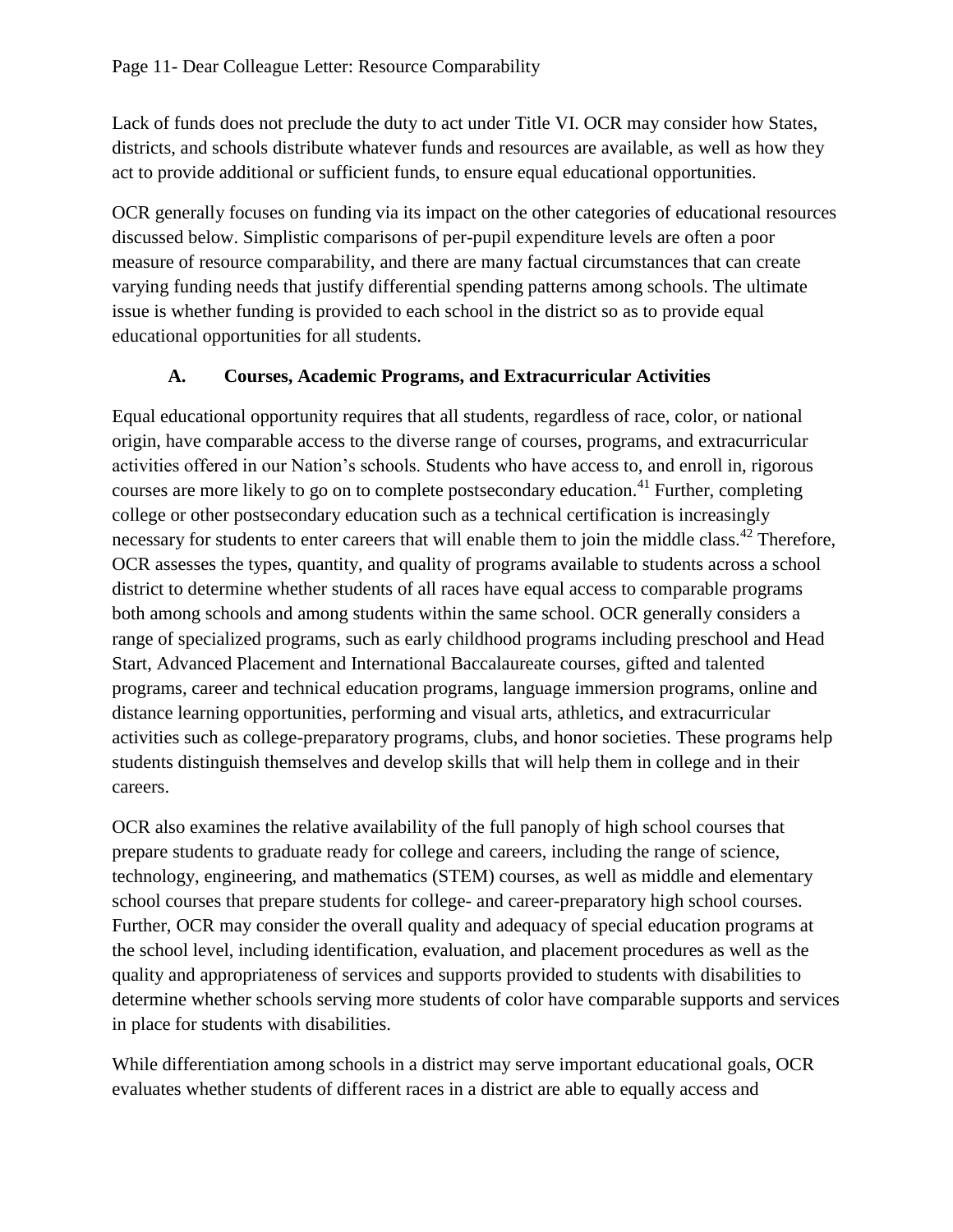Lack of funds does not preclude the duty to act under Title VI. OCR may consider how States, districts, and schools distribute whatever funds and resources are available, as well as how they act to provide additional or sufficient funds, to ensure equal educational opportunities.

OCR generally focuses on funding via its impact on the other categories of educational resources discussed below. Simplistic comparisons of per-pupil expenditure levels are often a poor measure of resource comparability, and there are many factual circumstances that can create varying funding needs that justify differential spending patterns among schools. The ultimate issue is whether funding is provided to each school in the district so as to provide equal educational opportunities for all students.

### **A. Courses, Academic Programs, and Extracurricular Activities**

Equal educational opportunity requires that all students, regardless of race, color, or national origin, have comparable access to the diverse range of courses, programs, and extracurricular activities offered in our Nation's schools. Students who have access to, and enroll in, rigorous courses are more likely to go on to complete postsecondary education.<sup>41</sup> Further, completing college or other postsecondary education such as a technical certification is increasingly necessary for students to enter careers that will enable them to join the middle class.<sup>42</sup> Therefore, OCR assesses the types, quantity, and quality of programs available to students across a school district to determine whether students of all races have equal access to comparable programs both among schools and among students within the same school. OCR generally considers a range of specialized programs, such as early childhood programs including preschool and Head Start, Advanced Placement and International Baccalaureate courses, gifted and talented programs, career and technical education programs, language immersion programs, online and distance learning opportunities, performing and visual arts, athletics, and extracurricular activities such as college-preparatory programs, clubs, and honor societies. These programs help students distinguish themselves and develop skills that will help them in college and in their careers.

OCR also examines the relative availability of the full panoply of high school courses that prepare students to graduate ready for college and careers, including the range of science, technology, engineering, and mathematics (STEM) courses, as well as middle and elementary school courses that prepare students for college- and career-preparatory high school courses. Further, OCR may consider the overall quality and adequacy of special education programs at the school level, including identification, evaluation, and placement procedures as well as the quality and appropriateness of services and supports provided to students with disabilities to determine whether schools serving more students of color have comparable supports and services in place for students with disabilities.

While differentiation among schools in a district may serve important educational goals, OCR evaluates whether students of different races in a district are able to equally access and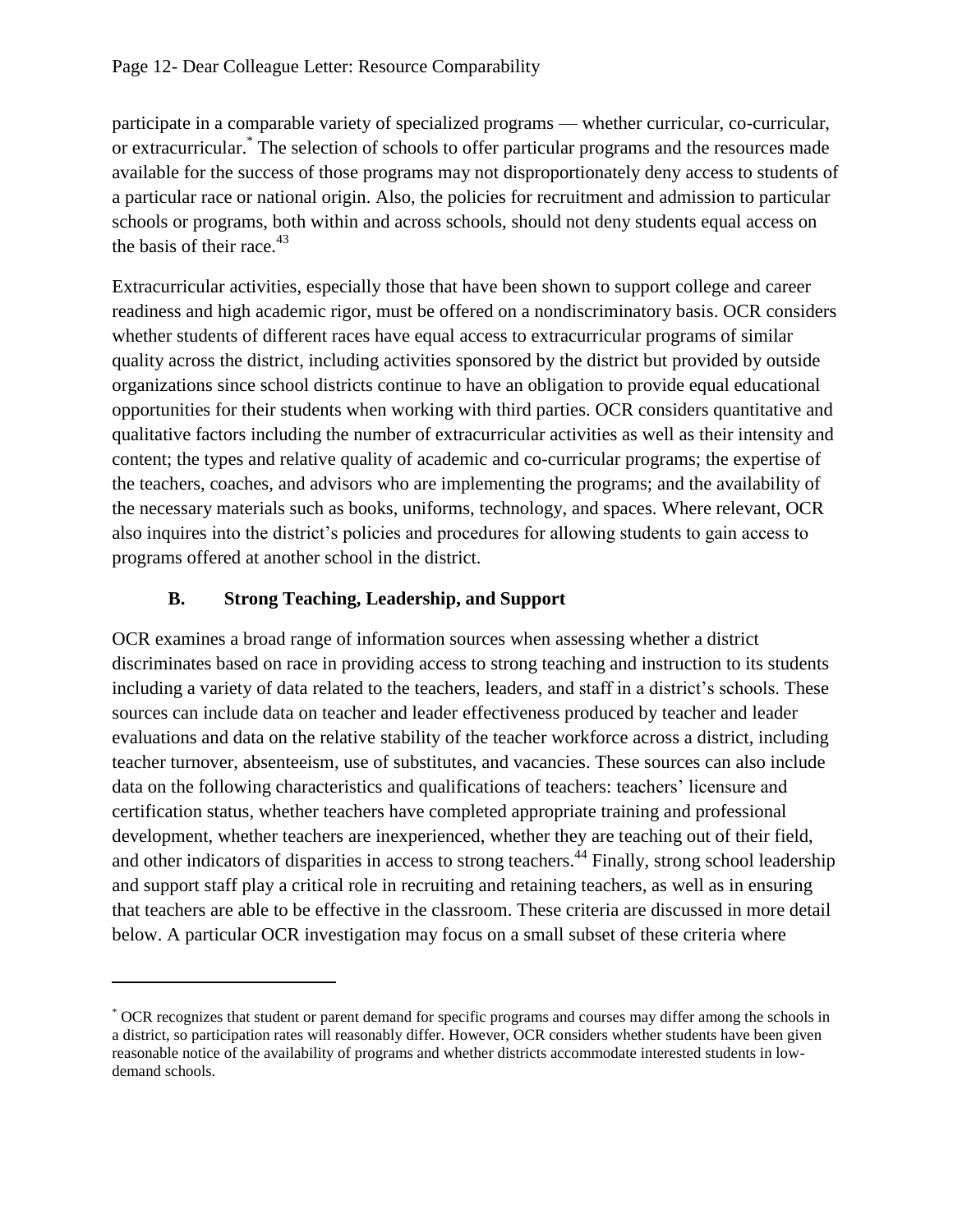participate in a comparable variety of specialized programs — whether curricular, co-curricular, or extracurricular.\* The selection of schools to offer particular programs and the resources made available for the success of those programs may not disproportionately deny access to students of a particular race or national origin. Also, the policies for recruitment and admission to particular schools or programs, both within and across schools, should not deny students equal access on the basis of their race. $43$ 

Extracurricular activities, especially those that have been shown to support college and career readiness and high academic rigor, must be offered on a nondiscriminatory basis. OCR considers whether students of different races have equal access to extracurricular programs of similar quality across the district, including activities sponsored by the district but provided by outside organizations since school districts continue to have an obligation to provide equal educational opportunities for their students when working with third parties. OCR considers quantitative and qualitative factors including the number of extracurricular activities as well as their intensity and content; the types and relative quality of academic and co-curricular programs; the expertise of the teachers, coaches, and advisors who are implementing the programs; and the availability of the necessary materials such as books, uniforms, technology, and spaces. Where relevant, OCR also inquires into the district's policies and procedures for allowing students to gain access to programs offered at another school in the district.

## **B. Strong Teaching, Leadership, and Support**

 $\overline{a}$ 

OCR examines a broad range of information sources when assessing whether a district discriminates based on race in providing access to strong teaching and instruction to its students including a variety of data related to the teachers, leaders, and staff in a district's schools. These sources can include data on teacher and leader effectiveness produced by teacher and leader evaluations and data on the relative stability of the teacher workforce across a district, including teacher turnover, absenteeism, use of substitutes, and vacancies. These sources can also include data on the following characteristics and qualifications of teachers: teachers' licensure and certification status, whether teachers have completed appropriate training and professional development, whether teachers are inexperienced, whether they are teaching out of their field, and other indicators of disparities in access to strong teachers.<sup>44</sup> Finally, strong school leadership and support staff play a critical role in recruiting and retaining teachers, as well as in ensuring that teachers are able to be effective in the classroom. These criteria are discussed in more detail below. A particular OCR investigation may focus on a small subset of these criteria where

<sup>\*</sup> OCR recognizes that student or parent demand for specific programs and courses may differ among the schools in a district, so participation rates will reasonably differ. However, OCR considers whether students have been given reasonable notice of the availability of programs and whether districts accommodate interested students in lowdemand schools.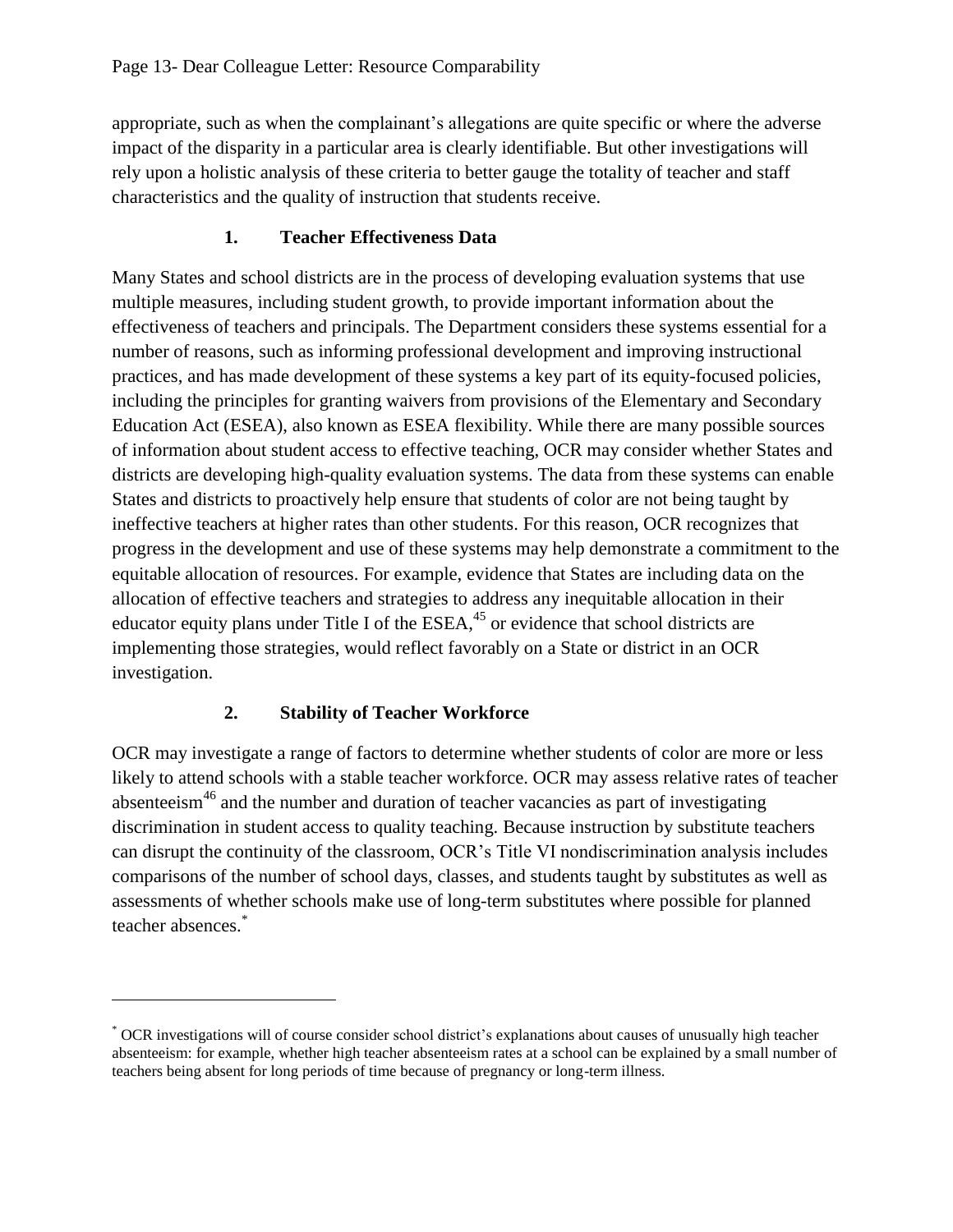appropriate, such as when the complainant's allegations are quite specific or where the adverse impact of the disparity in a particular area is clearly identifiable. But other investigations will rely upon a holistic analysis of these criteria to better gauge the totality of teacher and staff characteristics and the quality of instruction that students receive.

## **1. Teacher Effectiveness Data**

Many States and school districts are in the process of developing evaluation systems that use multiple measures, including student growth, to provide important information about the effectiveness of teachers and principals. The Department considers these systems essential for a number of reasons, such as informing professional development and improving instructional practices, and has made development of these systems a key part of its equity-focused policies, including the principles for granting waivers from provisions of the Elementary and Secondary Education Act (ESEA), also known as ESEA flexibility. While there are many possible sources of information about student access to effective teaching, OCR may consider whether States and districts are developing high-quality evaluation systems. The data from these systems can enable States and districts to proactively help ensure that students of color are not being taught by ineffective teachers at higher rates than other students. For this reason, OCR recognizes that progress in the development and use of these systems may help demonstrate a commitment to the equitable allocation of resources. For example, evidence that States are including data on the allocation of effective teachers and strategies to address any inequitable allocation in their educator equity plans under Title I of the  $ESEA$ ,  $45$  or evidence that school districts are implementing those strategies, would reflect favorably on a State or district in an OCR investigation.

## **2. Stability of Teacher Workforce**

 $\overline{a}$ 

OCR may investigate a range of factors to determine whether students of color are more or less likely to attend schools with a stable teacher workforce. OCR may assess relative rates of teacher absenteeism<sup>46</sup> and the number and duration of teacher vacancies as part of investigating discrimination in student access to quality teaching. Because instruction by substitute teachers can disrupt the continuity of the classroom, OCR's Title VI nondiscrimination analysis includes comparisons of the number of school days, classes, and students taught by substitutes as well as assessments of whether schools make use of long-term substitutes where possible for planned teacher absences.\*

<sup>\*</sup> OCR investigations will of course consider school district's explanations about causes of unusually high teacher absenteeism: for example, whether high teacher absenteeism rates at a school can be explained by a small number of teachers being absent for long periods of time because of pregnancy or long-term illness.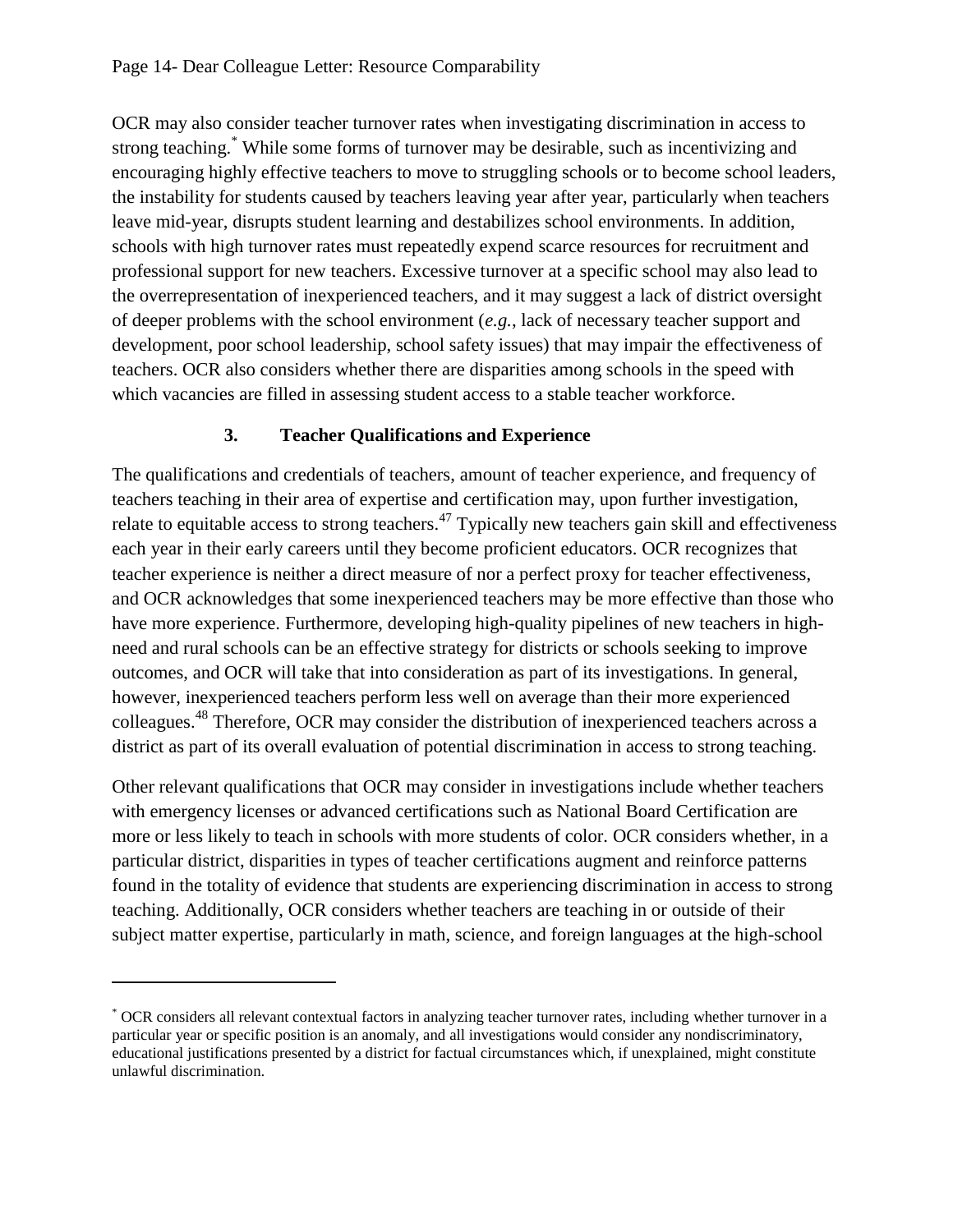OCR may also consider teacher turnover rates when investigating discrimination in access to strong teaching.\* While some forms of turnover may be desirable, such as incentivizing and encouraging highly effective teachers to move to struggling schools or to become school leaders, the instability for students caused by teachers leaving year after year, particularly when teachers leave mid-year, disrupts student learning and destabilizes school environments. In addition, schools with high turnover rates must repeatedly expend scarce resources for recruitment and professional support for new teachers. Excessive turnover at a specific school may also lead to the overrepresentation of inexperienced teachers, and it may suggest a lack of district oversight of deeper problems with the school environment (*e.g.*, lack of necessary teacher support and development, poor school leadership, school safety issues) that may impair the effectiveness of teachers. OCR also considers whether there are disparities among schools in the speed with which vacancies are filled in assessing student access to a stable teacher workforce.

### **3. Teacher Qualifications and Experience**

The qualifications and credentials of teachers, amount of teacher experience, and frequency of teachers teaching in their area of expertise and certification may, upon further investigation, relate to equitable access to strong teachers.<sup>47</sup> Typically new teachers gain skill and effectiveness each year in their early careers until they become proficient educators. OCR recognizes that teacher experience is neither a direct measure of nor a perfect proxy for teacher effectiveness, and OCR acknowledges that some inexperienced teachers may be more effective than those who have more experience. Furthermore, developing high-quality pipelines of new teachers in highneed and rural schools can be an effective strategy for districts or schools seeking to improve outcomes, and OCR will take that into consideration as part of its investigations. In general, however, inexperienced teachers perform less well on average than their more experienced colleagues.<sup>48</sup> Therefore, OCR may consider the distribution of inexperienced teachers across a district as part of its overall evaluation of potential discrimination in access to strong teaching.

<span id="page-13-0"></span>Other relevant qualifications that OCR may consider in investigations include whether teachers with emergency licenses or advanced certifications such as National Board Certification are more or less likely to teach in schools with more students of color. OCR considers whether, in a particular district, disparities in types of teacher certifications augment and reinforce patterns found in the totality of evidence that students are experiencing discrimination in access to strong teaching. Additionally, OCR considers whether teachers are teaching in or outside of their subject matter expertise, particularly in math, science, and foreign languages at the high-school

 $\overline{a}$ 

<sup>\*</sup> OCR considers all relevant contextual factors in analyzing teacher turnover rates, including whether turnover in a particular year or specific position is an anomaly, and all investigations would consider any nondiscriminatory, educational justifications presented by a district for factual circumstances which, if unexplained, might constitute unlawful discrimination.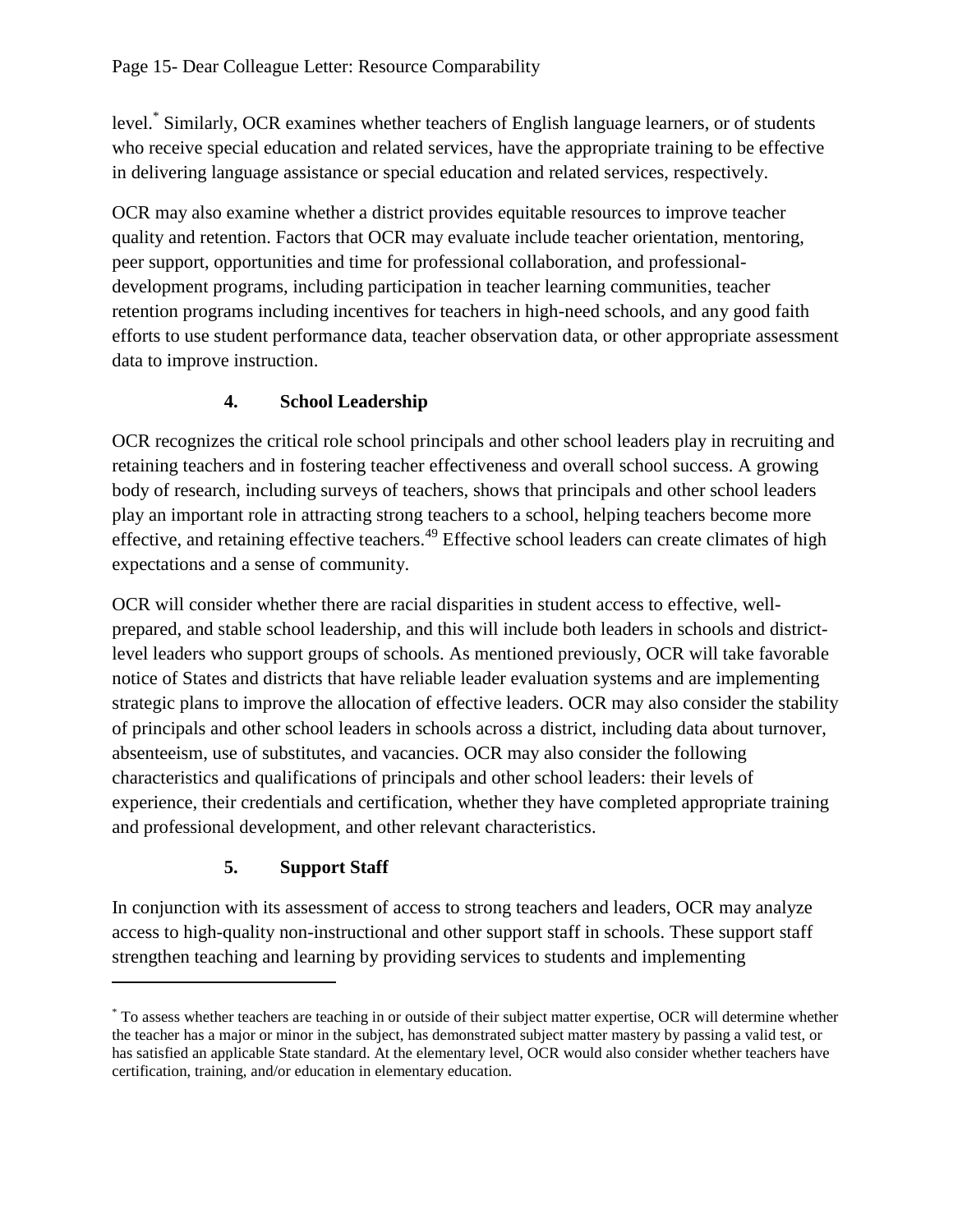level.\* Similarly, OCR examines whether teachers of English language learners, or of students who receive special education and related services, have the appropriate training to be effective in delivering language assistance or special education and related services, respectively.

OCR may also examine whether a district provides equitable resources to improve teacher quality and retention. Factors that OCR may evaluate include teacher orientation, mentoring, peer support, opportunities and time for professional collaboration, and professionaldevelopment programs, including participation in teacher learning communities, teacher retention programs including incentives for teachers in high-need schools, and any good faith efforts to use student performance data, teacher observation data, or other appropriate assessment data to improve instruction.

## **4. School Leadership**

OCR recognizes the critical role school principals and other school leaders play in recruiting and retaining teachers and in fostering teacher effectiveness and overall school success. A growing body of research, including surveys of teachers, shows that principals and other school leaders play an important role in attracting strong teachers to a school, helping teachers become more effective, and retaining effective teachers.<sup>49</sup> Effective school leaders can create climates of high expectations and a sense of community.

OCR will consider whether there are racial disparities in student access to effective, wellprepared, and stable school leadership, and this will include both leaders in schools and districtlevel leaders who support groups of schools. As mentioned previously, OCR will take favorable notice of States and districts that have reliable leader evaluation systems and are implementing strategic plans to improve the allocation of effective leaders. OCR may also consider the stability of principals and other school leaders in schools across a district, including data about turnover, absenteeism, use of substitutes, and vacancies. OCR may also consider the following characteristics and qualifications of principals and other school leaders: their levels of experience, their credentials and certification, whether they have completed appropriate training and professional development, and other relevant characteristics.

# **5. Support Staff**

 $\overline{a}$ 

In conjunction with its assessment of access to strong teachers and leaders, OCR may analyze access to high-quality non-instructional and other support staff in schools. These support staff strengthen teaching and learning by providing services to students and implementing

<sup>\*</sup> To assess whether teachers are teaching in or outside of their subject matter expertise, OCR will determine whether the teacher has a major or minor in the subject, has demonstrated subject matter mastery by passing a valid test, or has satisfied an applicable State standard. At the elementary level, OCR would also consider whether teachers have certification, training, and/or education in elementary education.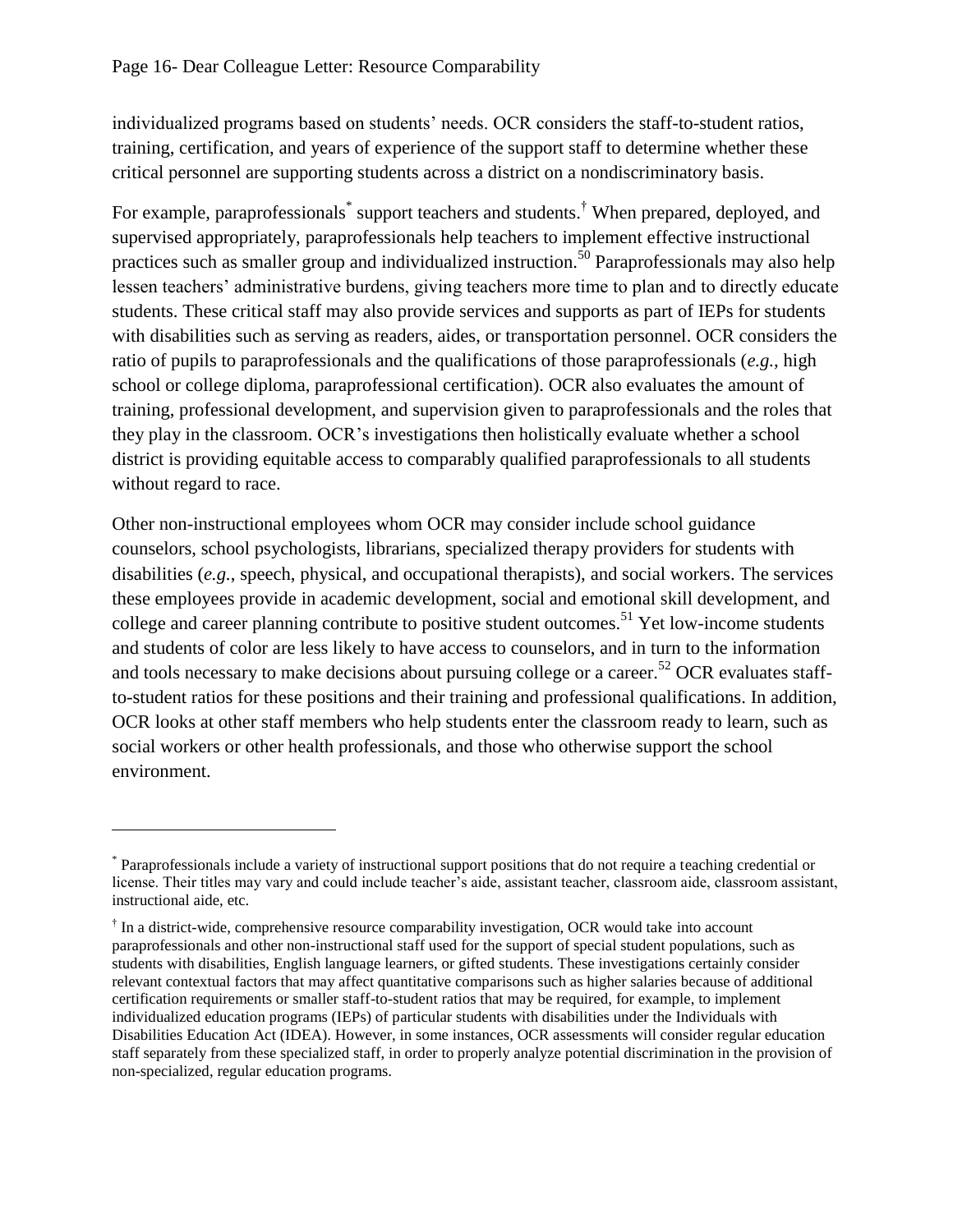$\overline{a}$ 

individualized programs based on students' needs. OCR considers the staff-to-student ratios, training, certification, and years of experience of the support staff to determine whether these critical personnel are supporting students across a district on a nondiscriminatory basis.

For example, paraprofessionals<sup>\*</sup> support teachers and students.<sup>†</sup> When prepared, deployed, and supervised appropriately, paraprofessionals help teachers to implement effective instructional practices such as smaller group and individualized instruction.<sup>50</sup> Paraprofessionals may also help lessen teachers' administrative burdens, giving teachers more time to plan and to directly educate students. These critical staff may also provide services and supports as part of IEPs for students with disabilities such as serving as readers, aides, or transportation personnel. OCR considers the ratio of pupils to paraprofessionals and the qualifications of those paraprofessionals (*e.g.*, high school or college diploma, paraprofessional certification). OCR also evaluates the amount of training, professional development, and supervision given to paraprofessionals and the roles that they play in the classroom. OCR's investigations then holistically evaluate whether a school district is providing equitable access to comparably qualified paraprofessionals to all students without regard to race.

Other non-instructional employees whom OCR may consider include school guidance counselors, school psychologists, librarians, specialized therapy providers for students with disabilities (*e.g.*, speech, physical, and occupational therapists), and social workers. The services these employees provide in academic development, social and emotional skill development, and college and career planning contribute to positive student outcomes.<sup>51</sup> Yet low-income students and students of color are less likely to have access to counselors, and in turn to the information and tools necessary to make decisions about pursuing college or a career.<sup>52</sup> OCR evaluates staffto-student ratios for these positions and their training and professional qualifications. In addition, OCR looks at other staff members who help students enter the classroom ready to learn, such as social workers or other health professionals, and those who otherwise support the school environment.

<sup>\*</sup> Paraprofessionals include a variety of instructional support positions that do not require a teaching credential or license. Their titles may vary and could include teacher's aide, assistant teacher, classroom aide, classroom assistant, instructional aide, etc.

<sup>†</sup> In a district-wide, comprehensive resource comparability investigation, OCR would take into account paraprofessionals and other non-instructional staff used for the support of special student populations, such as students with disabilities, English language learners, or gifted students. These investigations certainly consider relevant contextual factors that may affect quantitative comparisons such as higher salaries because of additional certification requirements or smaller staff-to-student ratios that may be required, for example, to implement individualized education programs (IEPs) of particular students with disabilities under the Individuals with Disabilities Education Act (IDEA). However, in some instances, OCR assessments will consider regular education staff separately from these specialized staff, in order to properly analyze potential discrimination in the provision of non-specialized, regular education programs.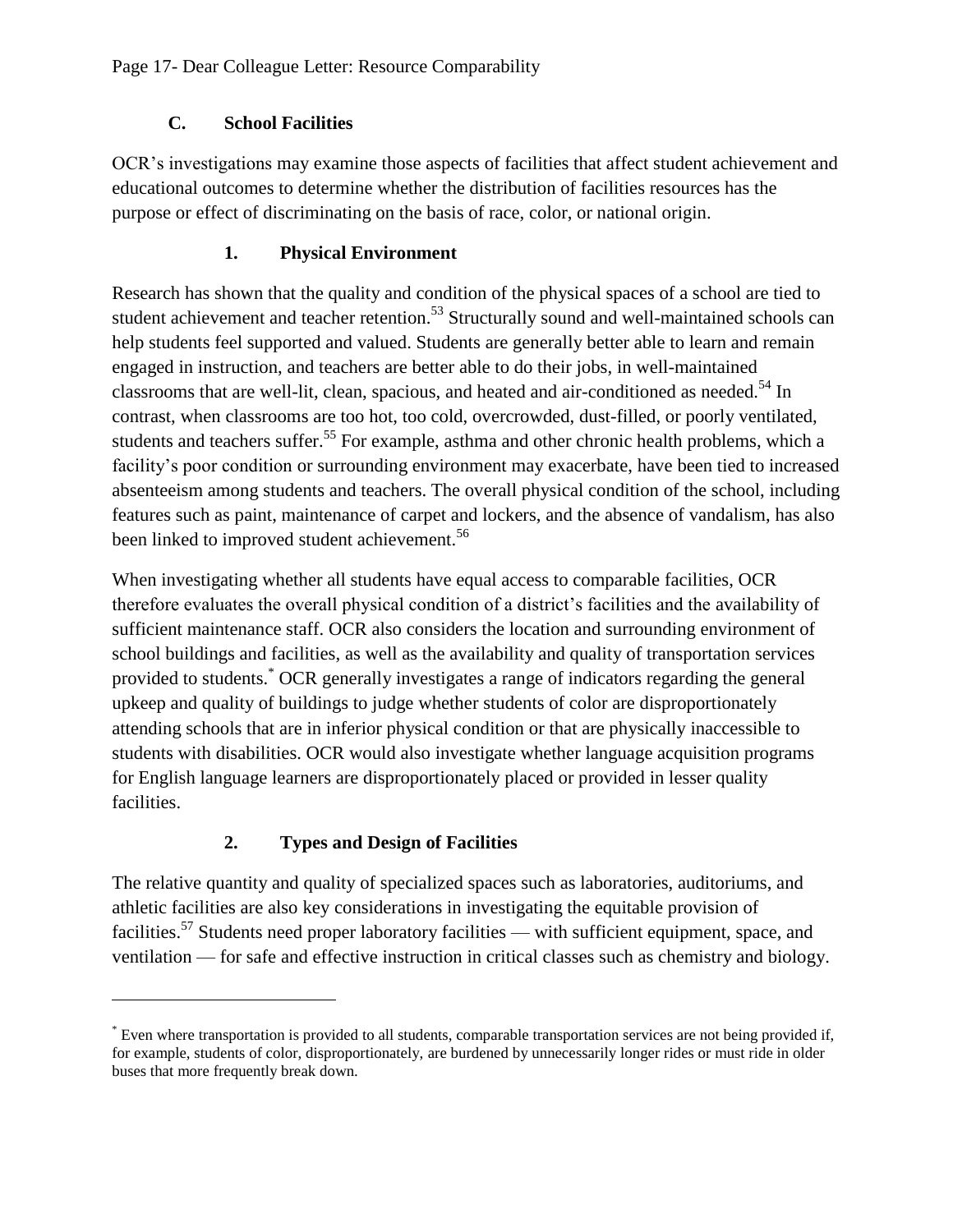## **C. School Facilities**

OCR's investigations may examine those aspects of facilities that affect student achievement and educational outcomes to determine whether the distribution of facilities resources has the purpose or effect of discriminating on the basis of race, color, or national origin.

## **1. Physical Environment**

Research has shown that the quality and condition of the physical spaces of a school are tied to student achievement and teacher retention.<sup>53</sup> Structurally sound and well-maintained schools can help students feel supported and valued. Students are generally better able to learn and remain engaged in instruction, and teachers are better able to do their jobs, in well-maintained classrooms that are well-lit, clean, spacious, and heated and air-conditioned as needed.<sup>54</sup> In contrast, when classrooms are too hot, too cold, overcrowded, dust-filled, or poorly ventilated, students and teachers suffer.<sup>55</sup> For example, asthma and other chronic health problems, which a facility's poor condition or surrounding environment may exacerbate, have been tied to increased absenteeism among students and teachers. The overall physical condition of the school, including features such as paint, maintenance of carpet and lockers, and the absence of vandalism, has also been linked to improved student achievement.<sup>56</sup>

When investigating whether all students have equal access to comparable facilities, OCR therefore evaluates the overall physical condition of a district's facilities and the availability of sufficient maintenance staff. OCR also considers the location and surrounding environment of school buildings and facilities, as well as the availability and quality of transportation services provided to students.\* OCR generally investigates a range of indicators regarding the general upkeep and quality of buildings to judge whether students of color are disproportionately attending schools that are in inferior physical condition or that are physically inaccessible to students with disabilities. OCR would also investigate whether language acquisition programs for English language learners are disproportionately placed or provided in lesser quality facilities.

# **2. Types and Design of Facilities**

 $\overline{a}$ 

The relative quantity and quality of specialized spaces such as laboratories, auditoriums, and athletic facilities are also key considerations in investigating the equitable provision of facilities.<sup>57</sup> Students need proper laboratory facilities — with sufficient equipment, space, and ventilation — for safe and effective instruction in critical classes such as chemistry and biology.

<sup>\*</sup> Even where transportation is provided to all students, comparable transportation services are not being provided if, for example, students of color, disproportionately, are burdened by unnecessarily longer rides or must ride in older buses that more frequently break down.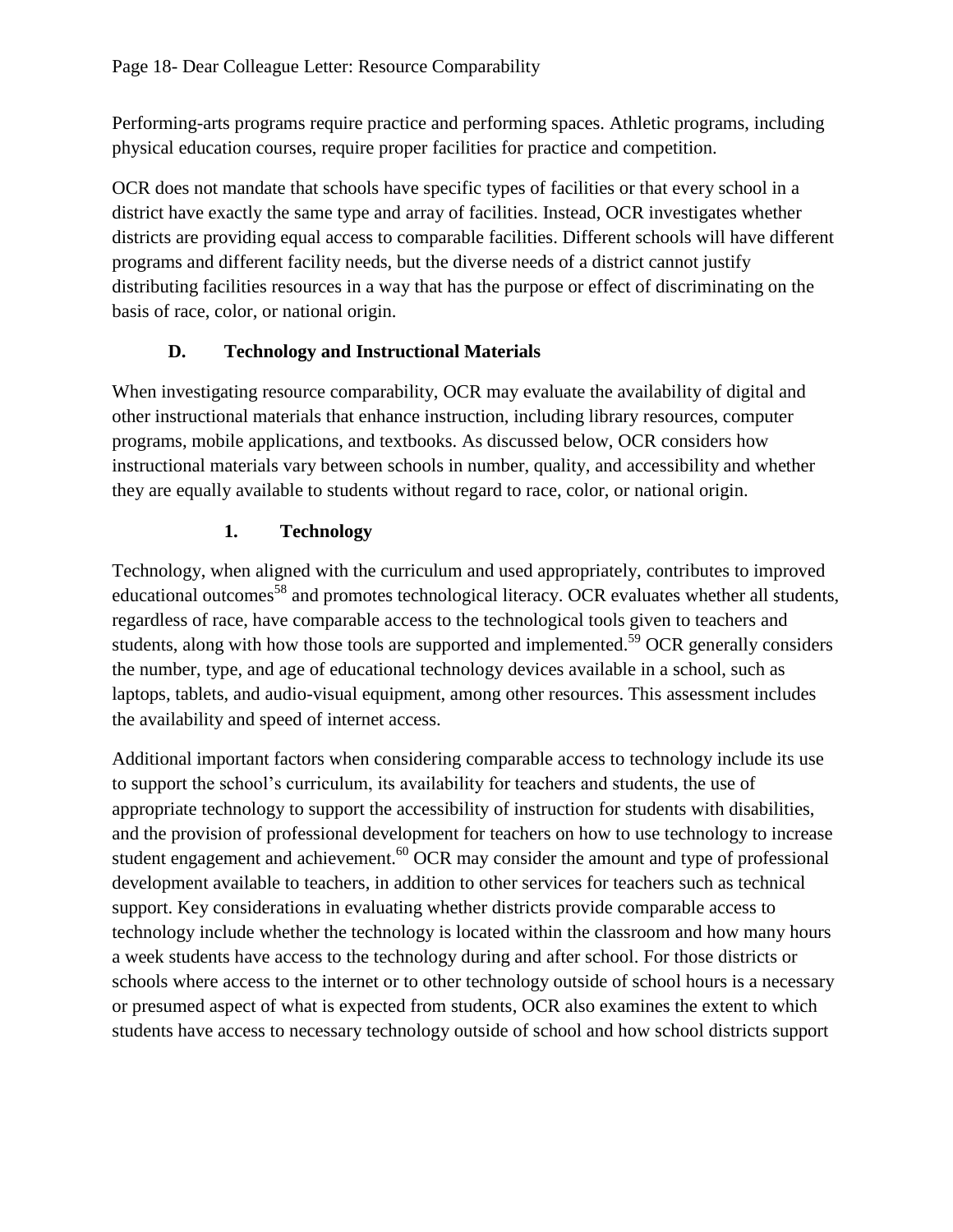Performing-arts programs require practice and performing spaces. Athletic programs, including physical education courses, require proper facilities for practice and competition.

OCR does not mandate that schools have specific types of facilities or that every school in a district have exactly the same type and array of facilities. Instead, OCR investigates whether districts are providing equal access to comparable facilities. Different schools will have different programs and different facility needs, but the diverse needs of a district cannot justify distributing facilities resources in a way that has the purpose or effect of discriminating on the basis of race, color, or national origin.

## **D. Technology and Instructional Materials**

When investigating resource comparability, OCR may evaluate the availability of digital and other instructional materials that enhance instruction, including library resources, computer programs, mobile applications, and textbooks. As discussed below, OCR considers how instructional materials vary between schools in number, quality, and accessibility and whether they are equally available to students without regard to race, color, or national origin.

# **1. Technology**

Technology, when aligned with the curriculum and used appropriately, contributes to improved educational outcomes<sup>58</sup> and promotes technological literacy. OCR evaluates whether all students, regardless of race, have comparable access to the technological tools given to teachers and students, along with how those tools are supported and implemented.<sup>59</sup> OCR generally considers the number, type, and age of educational technology devices available in a school, such as laptops, tablets, and audio-visual equipment, among other resources. This assessment includes the availability and speed of internet access.

Additional important factors when considering comparable access to technology include its use to support the school's curriculum, its availability for teachers and students, the use of appropriate technology to support the accessibility of instruction for students with disabilities, and the provision of professional development for teachers on how to use technology to increase student engagement and achievement.<sup>60</sup> OCR may consider the amount and type of professional development available to teachers, in addition to other services for teachers such as technical support. Key considerations in evaluating whether districts provide comparable access to technology include whether the technology is located within the classroom and how many hours a week students have access to the technology during and after school. For those districts or schools where access to the internet or to other technology outside of school hours is a necessary or presumed aspect of what is expected from students, OCR also examines the extent to which students have access to necessary technology outside of school and how school districts support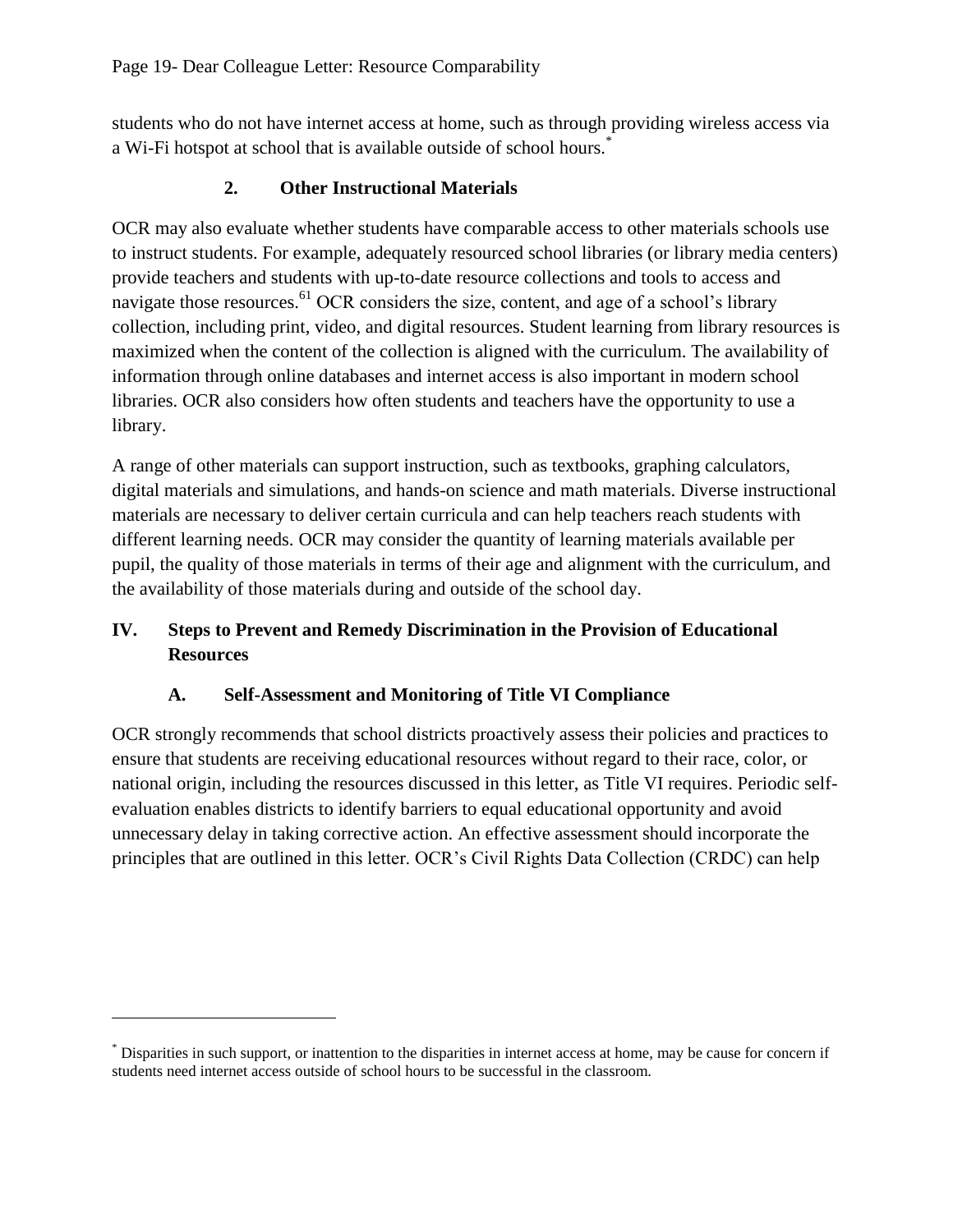students who do not have internet access at home, such as through providing wireless access via a Wi-Fi hotspot at school that is available outside of school hours. \*

## **2. Other Instructional Materials**

OCR may also evaluate whether students have comparable access to other materials schools use to instruct students. For example, adequately resourced school libraries (or library media centers) provide teachers and students with up-to-date resource collections and tools to access and navigate those resources.<sup>61</sup> OCR considers the size, content, and age of a school's library collection, including print, video, and digital resources. Student learning from library resources is maximized when the content of the collection is aligned with the curriculum. The availability of information through online databases and internet access is also important in modern school libraries. OCR also considers how often students and teachers have the opportunity to use a library.

A range of other materials can support instruction, such as textbooks, graphing calculators, digital materials and simulations, and hands-on science and math materials. Diverse instructional materials are necessary to deliver certain curricula and can help teachers reach students with different learning needs. OCR may consider the quantity of learning materials available per pupil, the quality of those materials in terms of their age and alignment with the curriculum, and the availability of those materials during and outside of the school day.

## **IV. Steps to Prevent and Remedy Discrimination in the Provision of Educational Resources**

## **A. Self-Assessment and Monitoring of Title VI Compliance**

OCR strongly recommends that school districts proactively assess their policies and practices to ensure that students are receiving educational resources without regard to their race, color, or national origin, including the resources discussed in this letter, as Title VI requires. Periodic selfevaluation enables districts to identify barriers to equal educational opportunity and avoid unnecessary delay in taking corrective action. An effective assessment should incorporate the principles that are outlined in this letter. OCR's Civil Rights Data Collection (CRDC) can help

 $\overline{a}$ 

<sup>\*</sup> Disparities in such support, or inattention to the disparities in internet access at home, may be cause for concern if students need internet access outside of school hours to be successful in the classroom.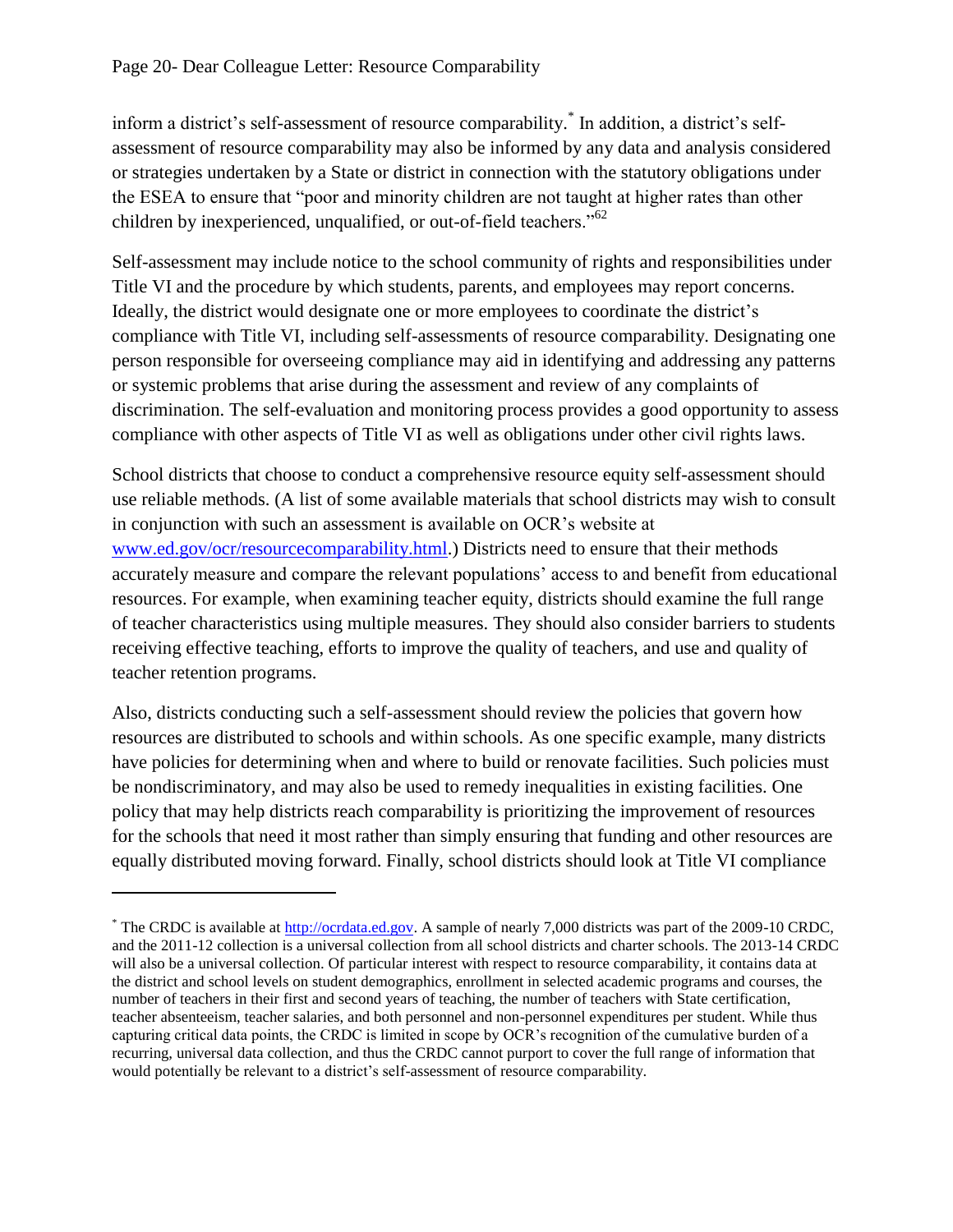$\overline{a}$ 

inform a district's self-assessment of resource comparability.\* In addition, a district's selfassessment of resource comparability may also be informed by any data and analysis considered or strategies undertaken by a State or district in connection with the statutory obligations under the ESEA to ensure that "poor and minority children are not taught at higher rates than other children by inexperienced, unqualified, or out-of-field teachers."<sup>62</sup>

Self-assessment may include notice to the school community of rights and responsibilities under Title VI and the procedure by which students, parents, and employees may report concerns. Ideally, the district would designate one or more employees to coordinate the district's compliance with Title VI, including self-assessments of resource comparability. Designating one person responsible for overseeing compliance may aid in identifying and addressing any patterns or systemic problems that arise during the assessment and review of any complaints of discrimination. The self-evaluation and monitoring process provides a good opportunity to assess compliance with other aspects of Title VI as well as obligations under other civil rights laws.

School districts that choose to conduct a comprehensive resource equity self-assessment should use reliable methods. (A list of some available materials that school districts may wish to consult in conjunction with such an assessment is available on OCR's website at [www.ed.gov/ocr/resourcecomparability.html.](http://www.ed.gov/ocr/resourcecomparability.html)) Districts need to ensure that their methods accurately measure and compare the relevant populations' access to and benefit from educational resources. For example, when examining teacher equity, districts should examine the full range of teacher characteristics using multiple measures. They should also consider barriers to students receiving effective teaching, efforts to improve the quality of teachers, and use and quality of teacher retention programs.

Also, districts conducting such a self-assessment should review the policies that govern how resources are distributed to schools and within schools. As one specific example, many districts have policies for determining when and where to build or renovate facilities. Such policies must be nondiscriminatory, and may also be used to remedy inequalities in existing facilities. One policy that may help districts reach comparability is prioritizing the improvement of resources for the schools that need it most rather than simply ensuring that funding and other resources are equally distributed moving forward. Finally, school districts should look at Title VI compliance

<sup>&</sup>lt;sup>\*</sup> The CRDC is available at [http://ocrdata.ed.gov.](http://ocrdata.ed.gov/) A sample of nearly 7,000 districts was part of the 2009-10 CRDC, and the 2011-12 collection is a universal collection from all school districts and charter schools. The 2013-14 CRDC will also be a universal collection. Of particular interest with respect to resource comparability, it contains data at the district and school levels on student demographics, enrollment in selected academic programs and courses, the number of teachers in their first and second years of teaching, the number of teachers with State certification, teacher absenteeism, teacher salaries, and both personnel and non-personnel expenditures per student. While thus capturing critical data points, the CRDC is limited in scope by OCR's recognition of the cumulative burden of a recurring, universal data collection, and thus the CRDC cannot purport to cover the full range of information that would potentially be relevant to a district's self-assessment of resource comparability.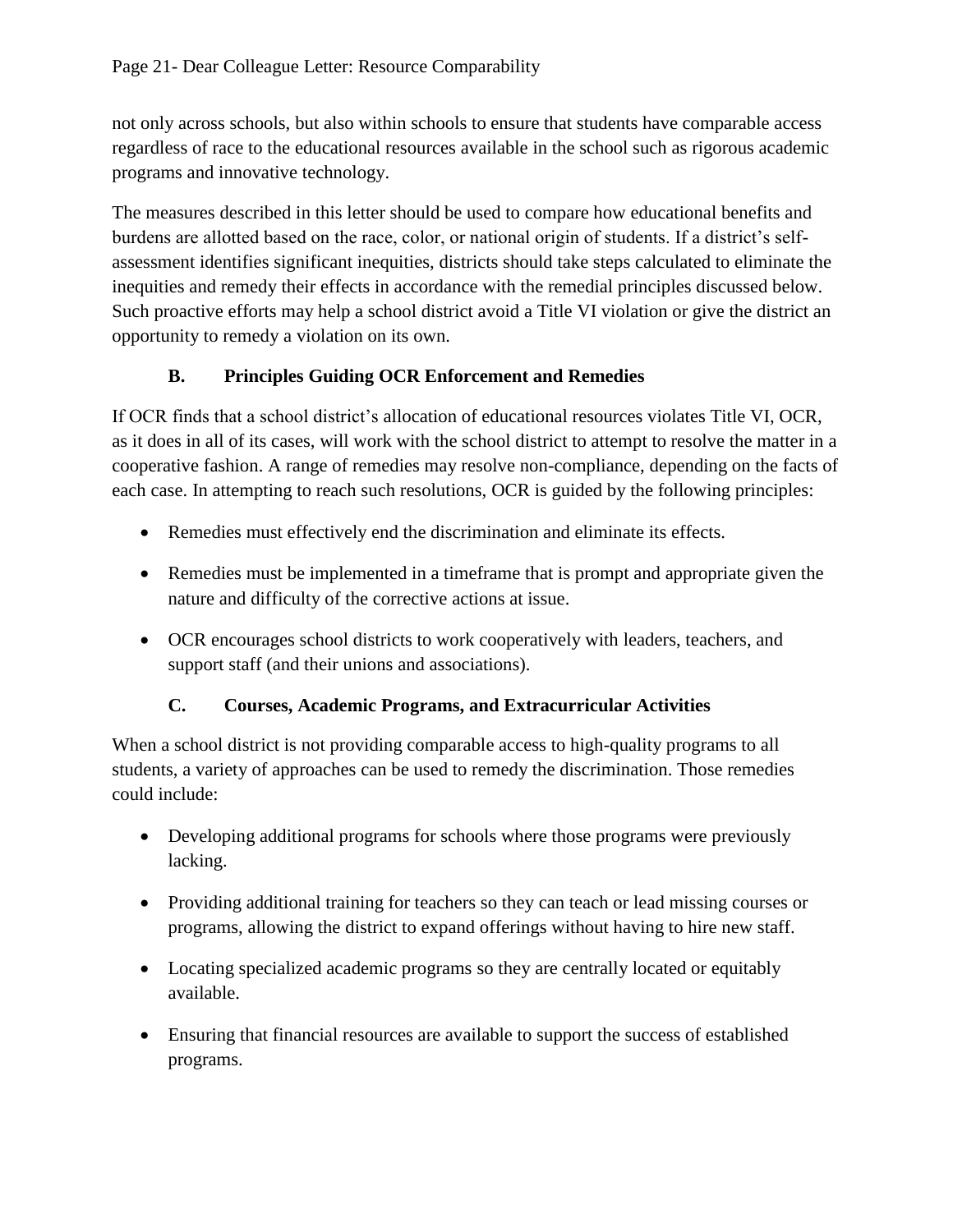not only across schools, but also within schools to ensure that students have comparable access regardless of race to the educational resources available in the school such as rigorous academic programs and innovative technology.

The measures described in this letter should be used to compare how educational benefits and burdens are allotted based on the race, color, or national origin of students. If a district's selfassessment identifies significant inequities, districts should take steps calculated to eliminate the inequities and remedy their effects in accordance with the remedial principles discussed below. Such proactive efforts may help a school district avoid a Title VI violation or give the district an opportunity to remedy a violation on its own.

## **B. Principles Guiding OCR Enforcement and Remedies**

If OCR finds that a school district's allocation of educational resources violates Title VI, OCR, as it does in all of its cases, will work with the school district to attempt to resolve the matter in a cooperative fashion. A range of remedies may resolve non-compliance, depending on the facts of each case. In attempting to reach such resolutions, OCR is guided by the following principles:

- Remedies must effectively end the discrimination and eliminate its effects.
- Remedies must be implemented in a timeframe that is prompt and appropriate given the nature and difficulty of the corrective actions at issue.
- OCR encourages school districts to work cooperatively with leaders, teachers, and support staff (and their unions and associations).

## **C. Courses, Academic Programs, and Extracurricular Activities**

When a school district is not providing comparable access to high-quality programs to all students, a variety of approaches can be used to remedy the discrimination. Those remedies could include:

- Developing additional programs for schools where those programs were previously lacking.
- Providing additional training for teachers so they can teach or lead missing courses or programs, allowing the district to expand offerings without having to hire new staff.
- Locating specialized academic programs so they are centrally located or equitably available.
- Ensuring that financial resources are available to support the success of established programs.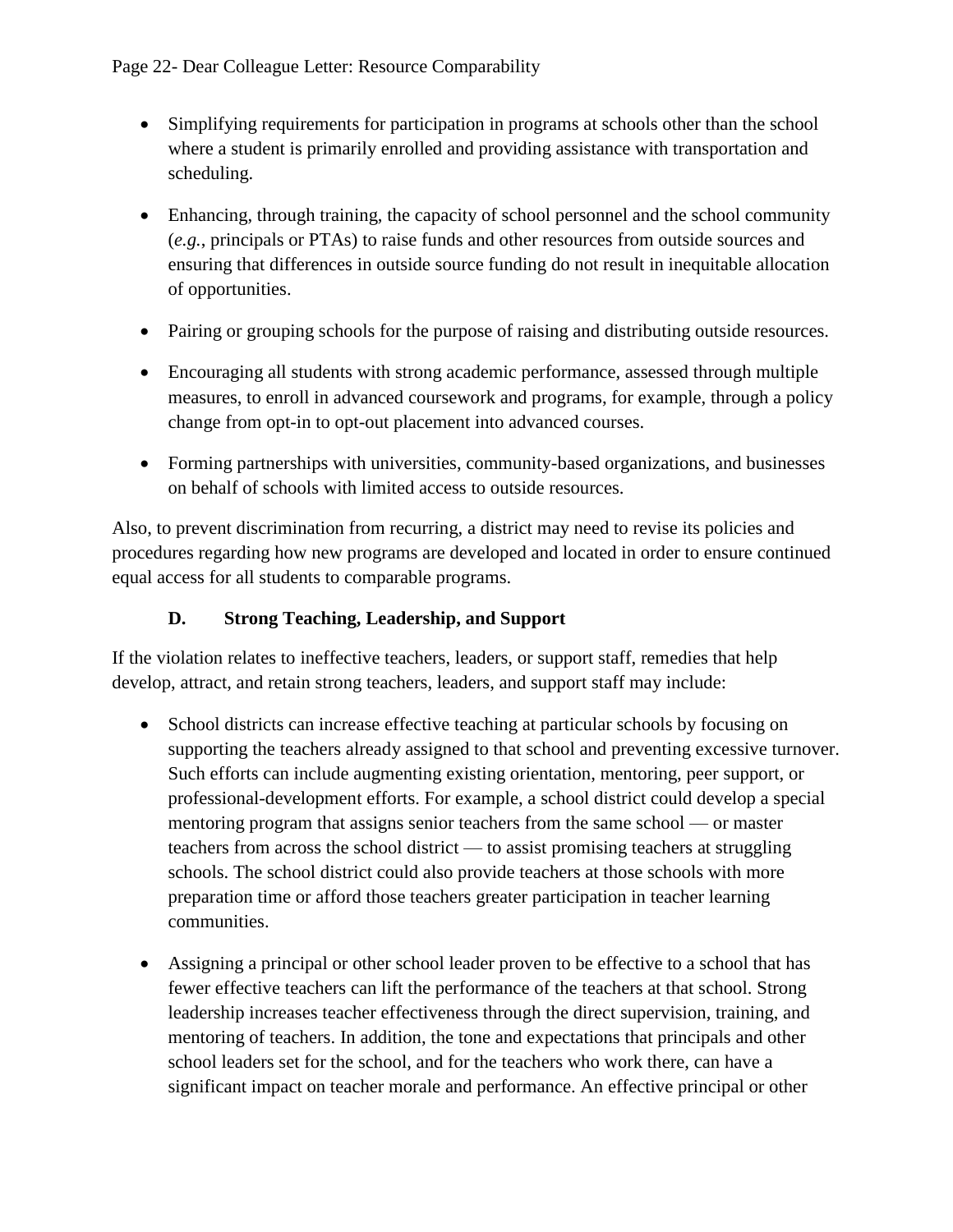- Simplifying requirements for participation in programs at schools other than the school where a student is primarily enrolled and providing assistance with transportation and scheduling.
- Enhancing, through training, the capacity of school personnel and the school community (*e.g.*, principals or PTAs) to raise funds and other resources from outside sources and ensuring that differences in outside source funding do not result in inequitable allocation of opportunities.
- Pairing or grouping schools for the purpose of raising and distributing outside resources.
- Encouraging all students with strong academic performance, assessed through multiple measures, to enroll in advanced coursework and programs, for example, through a policy change from opt-in to opt-out placement into advanced courses.
- Forming partnerships with universities, community-based organizations, and businesses on behalf of schools with limited access to outside resources.

Also, to prevent discrimination from recurring, a district may need to revise its policies and procedures regarding how new programs are developed and located in order to ensure continued equal access for all students to comparable programs.

## **D. Strong Teaching, Leadership, and Support**

If the violation relates to ineffective teachers, leaders, or support staff, remedies that help develop, attract, and retain strong teachers, leaders, and support staff may include:

- School districts can increase effective teaching at particular schools by focusing on supporting the teachers already assigned to that school and preventing excessive turnover. Such efforts can include augmenting existing orientation, mentoring, peer support, or professional-development efforts. For example, a school district could develop a special mentoring program that assigns senior teachers from the same school — or master teachers from across the school district — to assist promising teachers at struggling schools. The school district could also provide teachers at those schools with more preparation time or afford those teachers greater participation in teacher learning communities.
- Assigning a principal or other school leader proven to be effective to a school that has fewer effective teachers can lift the performance of the teachers at that school. Strong leadership increases teacher effectiveness through the direct supervision, training, and mentoring of teachers. In addition, the tone and expectations that principals and other school leaders set for the school, and for the teachers who work there, can have a significant impact on teacher morale and performance. An effective principal or other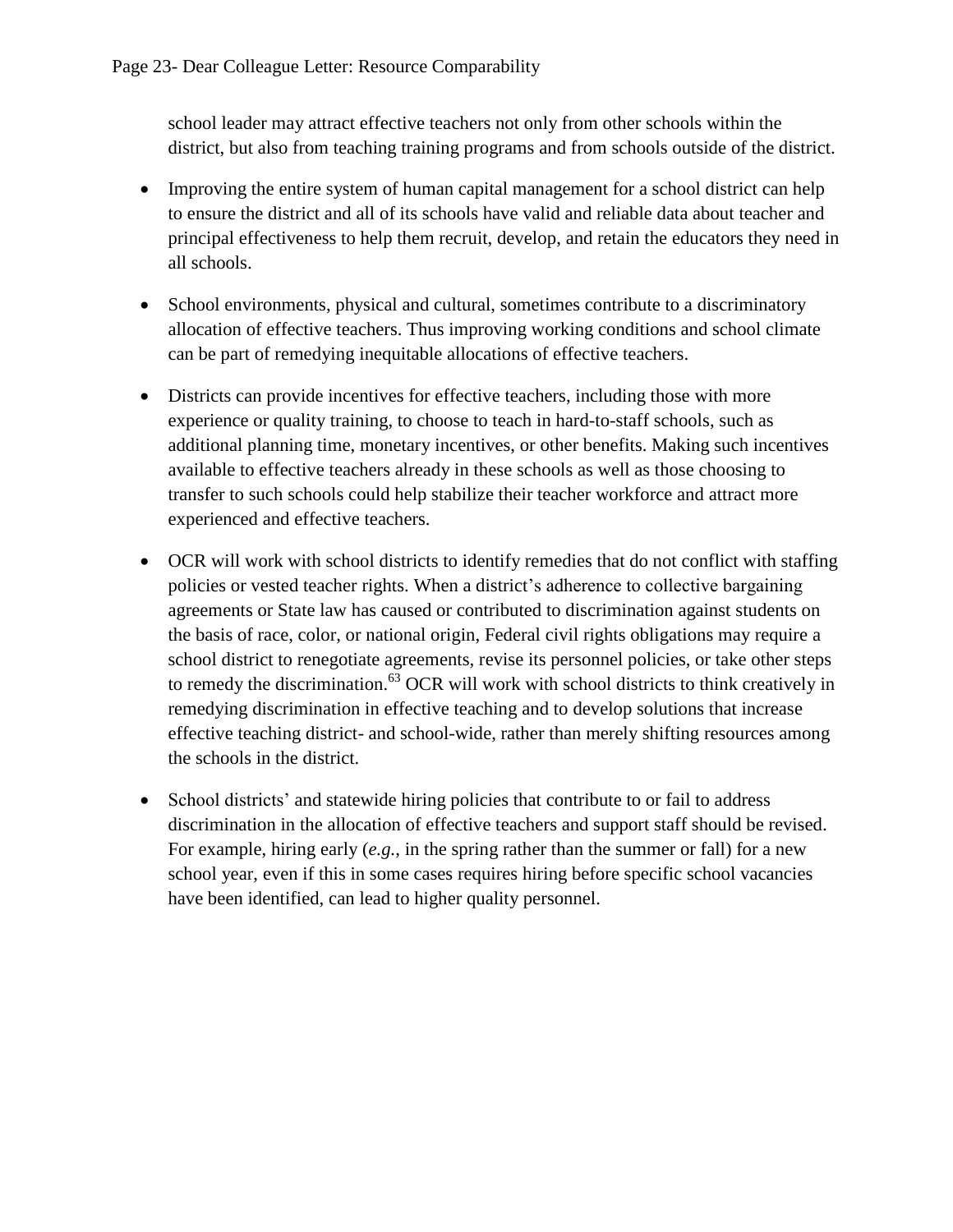school leader may attract effective teachers not only from other schools within the district, but also from teaching training programs and from schools outside of the district.

- Improving the entire system of human capital management for a school district can help to ensure the district and all of its schools have valid and reliable data about teacher and principal effectiveness to help them recruit, develop, and retain the educators they need in all schools.
- School environments, physical and cultural, sometimes contribute to a discriminatory allocation of effective teachers. Thus improving working conditions and school climate can be part of remedying inequitable allocations of effective teachers.
- Districts can provide incentives for effective teachers, including those with more experience or quality training, to choose to teach in hard-to-staff schools, such as additional planning time, monetary incentives, or other benefits. Making such incentives available to effective teachers already in these schools as well as those choosing to transfer to such schools could help stabilize their teacher workforce and attract more experienced and effective teachers.
- OCR will work with school districts to identify remedies that do not conflict with staffing policies or vested teacher rights. When a district's adherence to collective bargaining agreements or State law has caused or contributed to discrimination against students on the basis of race, color, or national origin, Federal civil rights obligations may require a school district to renegotiate agreements, revise its personnel policies, or take other steps to remedy the discrimination.<sup>63</sup> OCR will work with school districts to think creatively in remedying discrimination in effective teaching and to develop solutions that increase effective teaching district- and school-wide, rather than merely shifting resources among the schools in the district.
- School districts' and statewide hiring policies that contribute to or fail to address discrimination in the allocation of effective teachers and support staff should be revised. For example, hiring early (*e.g.*, in the spring rather than the summer or fall) for a new school year, even if this in some cases requires hiring before specific school vacancies have been identified, can lead to higher quality personnel.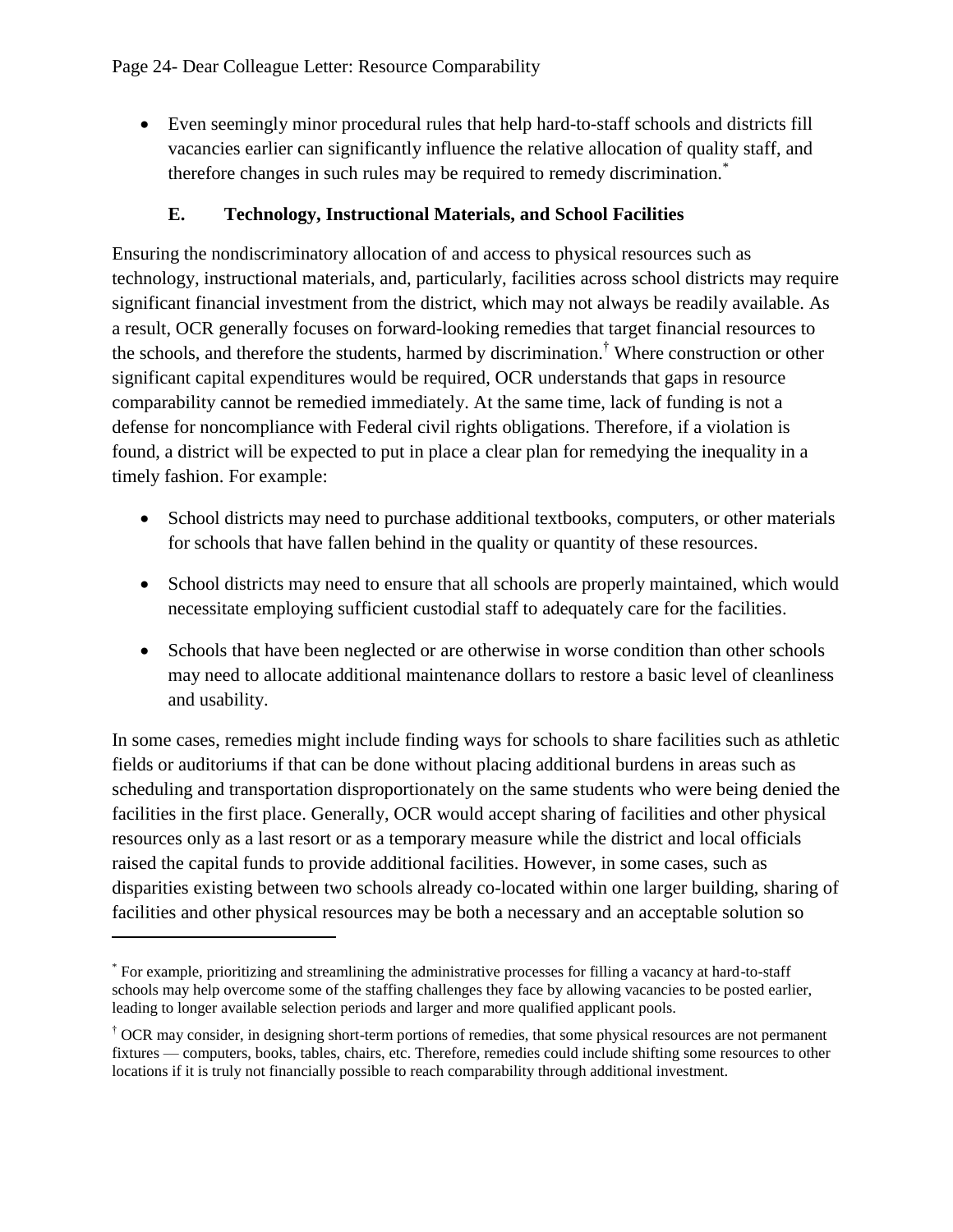Even seemingly minor procedural rules that help hard-to-staff schools and districts fill vacancies earlier can significantly influence the relative allocation of quality staff, and therefore changes in such rules may be required to remedy discrimination.<sup>\*</sup>

## **E. Technology, Instructional Materials, and School Facilities**

Ensuring the nondiscriminatory allocation of and access to physical resources such as technology, instructional materials, and, particularly, facilities across school districts may require significant financial investment from the district, which may not always be readily available. As a result, OCR generally focuses on forward-looking remedies that target financial resources to the schools, and therefore the students, harmed by discrimination.† Where construction or other significant capital expenditures would be required, OCR understands that gaps in resource comparability cannot be remedied immediately. At the same time, lack of funding is not a defense for noncompliance with Federal civil rights obligations. Therefore, if a violation is found, a district will be expected to put in place a clear plan for remedying the inequality in a timely fashion. For example:

- School districts may need to purchase additional textbooks, computers, or other materials for schools that have fallen behind in the quality or quantity of these resources.
- School districts may need to ensure that all schools are properly maintained, which would necessitate employing sufficient custodial staff to adequately care for the facilities.
- Schools that have been neglected or are otherwise in worse condition than other schools may need to allocate additional maintenance dollars to restore a basic level of cleanliness and usability.

In some cases, remedies might include finding ways for schools to share facilities such as athletic fields or auditoriums if that can be done without placing additional burdens in areas such as scheduling and transportation disproportionately on the same students who were being denied the facilities in the first place. Generally, OCR would accept sharing of facilities and other physical resources only as a last resort or as a temporary measure while the district and local officials raised the capital funds to provide additional facilities. However, in some cases, such as disparities existing between two schools already co-located within one larger building, sharing of facilities and other physical resources may be both a necessary and an acceptable solution so

 $\overline{a}$ 

<sup>\*</sup> For example, prioritizing and streamlining the administrative processes for filling a vacancy at hard-to-staff schools may help overcome some of the staffing challenges they face by allowing vacancies to be posted earlier, leading to longer available selection periods and larger and more qualified applicant pools.

<sup>†</sup> OCR may consider, in designing short-term portions of remedies, that some physical resources are not permanent fixtures — computers, books, tables, chairs, etc. Therefore, remedies could include shifting some resources to other locations if it is truly not financially possible to reach comparability through additional investment.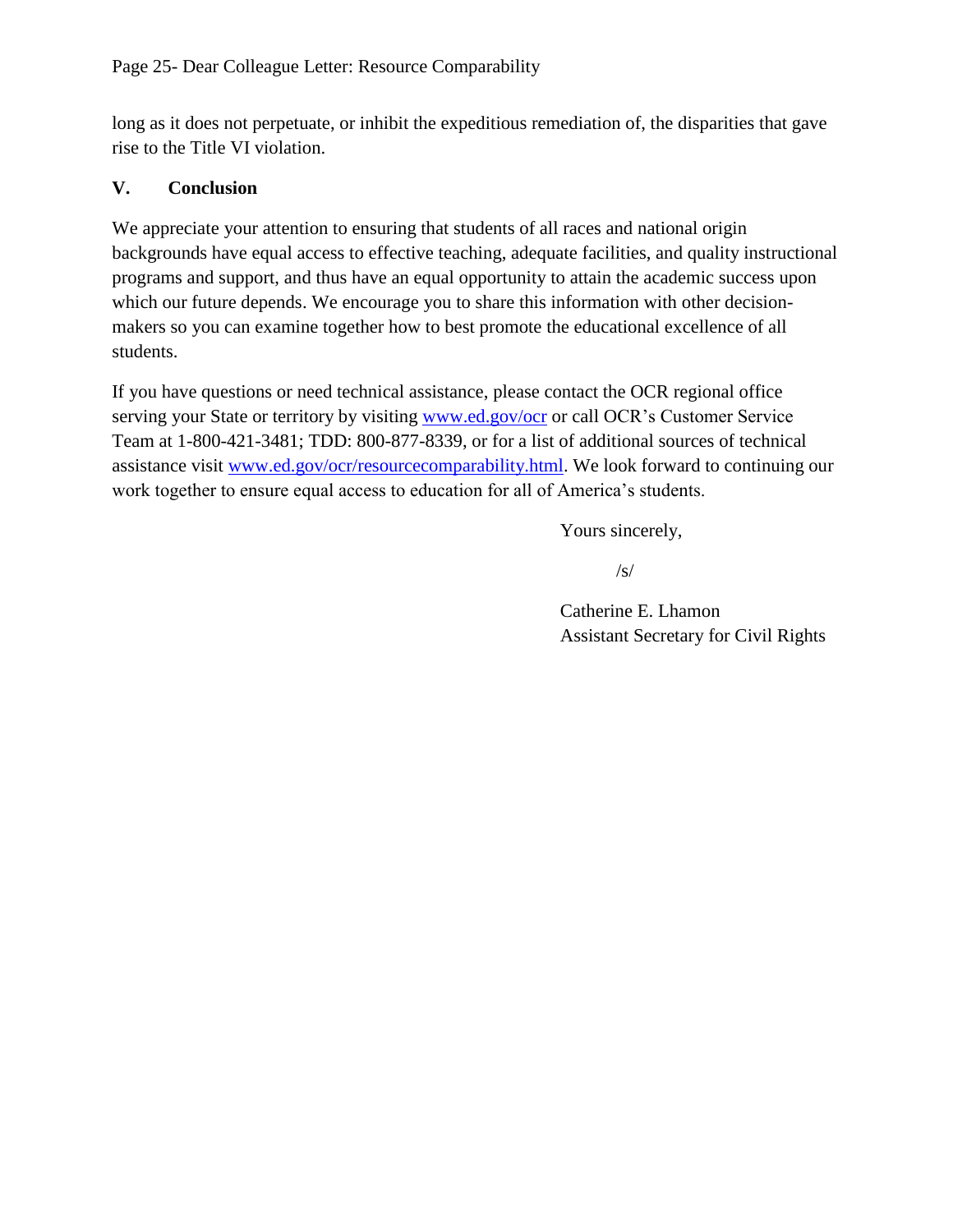long as it does not perpetuate, or inhibit the expeditious remediation of, the disparities that gave rise to the Title VI violation.

### **V. Conclusion**

We appreciate your attention to ensuring that students of all races and national origin backgrounds have equal access to effective teaching, adequate facilities, and quality instructional programs and support, and thus have an equal opportunity to attain the academic success upon which our future depends. We encourage you to share this information with other decisionmakers so you can examine together how to best promote the educational excellence of all students.

If you have questions or need technical assistance, please contact the OCR regional office serving your State or territory by visiting [www.ed.gov/ocr](http://www.ed.gov/ocr) or call OCR's Customer Service Team at 1-800-421-3481; TDD: 800-877-8339, or for a list of additional sources of technical assistance visit [www.ed.gov/ocr/resourcecomparability.html.](http://www.ed.gov/ocr/resourcecomparability.html) We look forward to continuing our work together to ensure equal access to education for all of America's students.

Yours sincerely,

 $\sqrt{s}$ 

Catherine E. Lhamon Assistant Secretary for Civil Rights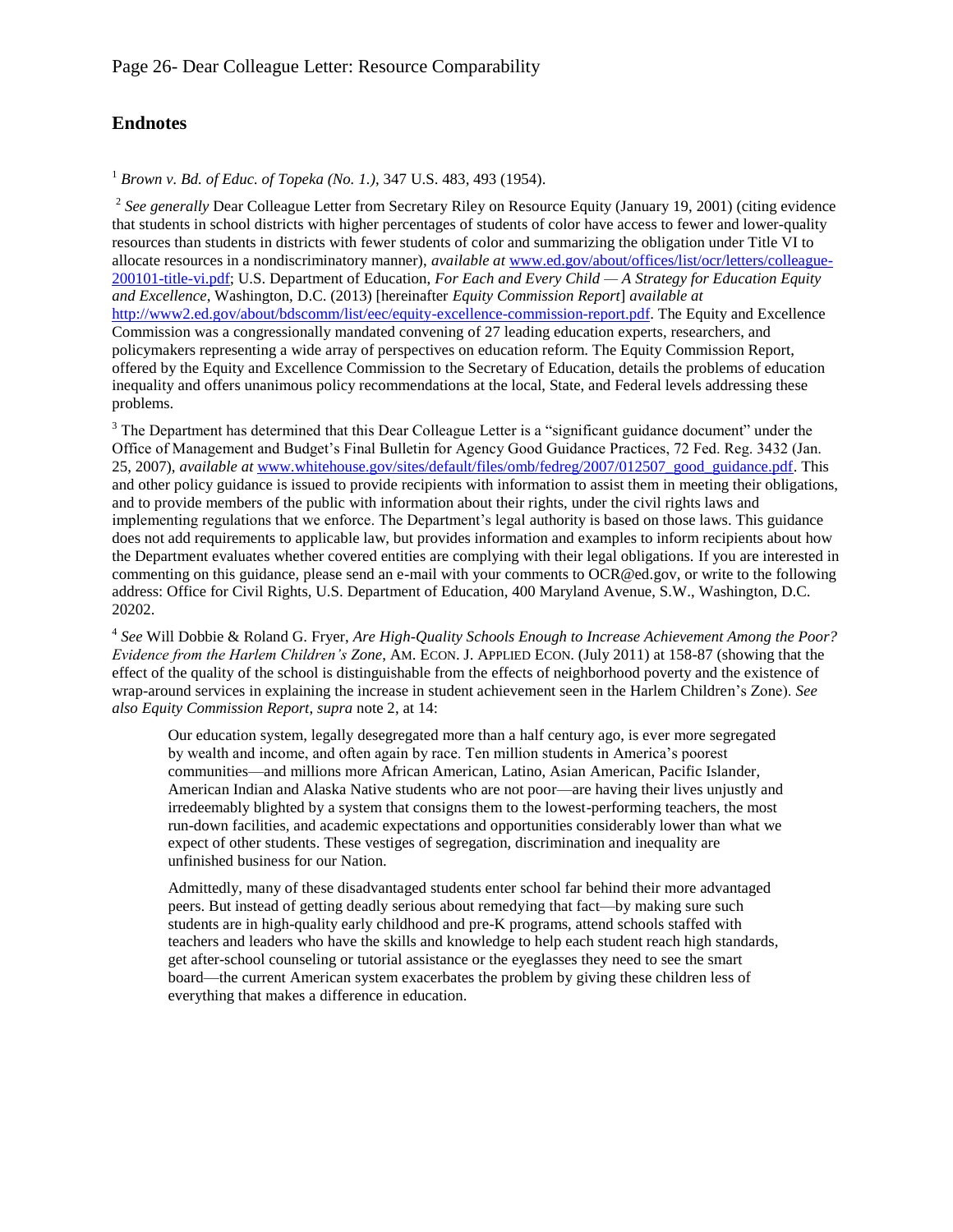### **Endnotes**

<sup>1</sup> *Brown v. Bd. of Educ. of Topeka (No. 1.)*, 347 U.S. 483, 493 (1954).

<sup>2</sup> See generally Dear Colleague Letter from Secretary Riley on Resource Equity (January 19, 2001) (citing evidence that students in school districts with higher percentages of students of color have access to fewer and lower-quality resources than students in districts with fewer students of color and summarizing the obligation under Title VI to allocate resources in a nondiscriminatory manner), *available at* [www.ed.gov/about/offices/list/ocr/letters/colleague-](http://www.ed.gov/about/offices/list/ocr/letters/colleague-200101-title-vi.pdf)[200101-title-vi.pdf;](http://www.ed.gov/about/offices/list/ocr/letters/colleague-200101-title-vi.pdf) U.S. Department of Education, *For Each and Every Child — A Strategy for Education Equity and Excellence*, Washington, D.C. (2013) [hereinafter *Equity Commission Report*] *available at* [http://www2.ed.gov/about/bdscomm/list/eec/equity-excellence-commission-report.pdf.](http://www2.ed.gov/about/bdscomm/list/eec/equity-excellence-commission-report.pdf) The Equity and Excellence Commission was a congressionally mandated convening of 27 leading education experts, researchers, and policymakers representing a wide array of perspectives on education reform. The Equity Commission Report, offered by the Equity and Excellence Commission to the Secretary of Education, details the problems of education inequality and offers unanimous policy recommendations at the local, State, and Federal levels addressing these problems.

<sup>3</sup> The Department has determined that this Dear Colleague Letter is a "significant guidance document" under the Office of Management and Budget's Final Bulletin for Agency Good Guidance Practices, 72 Fed. Reg. 3432 (Jan. 25, 2007), *available at* [www.whitehouse.gov/sites/default/files/omb/fedreg/2007/012507\\_good\\_guidance.pdf.](http://www.whitehouse.gov/sites/default/files/omb/fedreg/2007/012507_good_guidance.pdf) This and other policy guidance is issued to provide recipients with information to assist them in meeting their obligations, and to provide members of the public with information about their rights, under the civil rights laws and implementing regulations that we enforce. The Department's legal authority is based on those laws. This guidance does not add requirements to applicable law, but provides information and examples to inform recipients about how the Department evaluates whether covered entities are complying with their legal obligations. If you are interested in commenting on this guidance, please send an e-mail with your comments to OCR@ed.gov, or write to the following address: Office for Civil Rights, U.S. Department of Education, 400 Maryland Avenue, S.W., Washington, D.C. 20202.

4 *See* Will Dobbie & Roland G. Fryer, *Are High-Quality Schools Enough to Increase Achievement Among the Poor? Evidence from the Harlem Children's Zone*, AM. ECON. J. APPLIED ECON. (July 2011) at 158-87 (showing that the effect of the quality of the school is distinguishable from the effects of neighborhood poverty and the existence of wrap-around services in explaining the increase in student achievement seen in the Harlem Children's Zone). *See also Equity Commission Report*, *supra* note [2,](#page-0-0) at 14:

Our education system, legally desegregated more than a half century ago, is ever more segregated by wealth and income, and often again by race. Ten million students in America's poorest communities—and millions more African American, Latino, Asian American, Pacific Islander, American Indian and Alaska Native students who are not poor—are having their lives unjustly and irredeemably blighted by a system that consigns them to the lowest-performing teachers, the most run-down facilities, and academic expectations and opportunities considerably lower than what we expect of other students. These vestiges of segregation, discrimination and inequality are unfinished business for our Nation.

Admittedly, many of these disadvantaged students enter school far behind their more advantaged peers. But instead of getting deadly serious about remedying that fact—by making sure such students are in high-quality early childhood and pre-K programs, attend schools staffed with teachers and leaders who have the skills and knowledge to help each student reach high standards, get after-school counseling or tutorial assistance or the eyeglasses they need to see the smart board—the current American system exacerbates the problem by giving these children less of everything that makes a difference in education.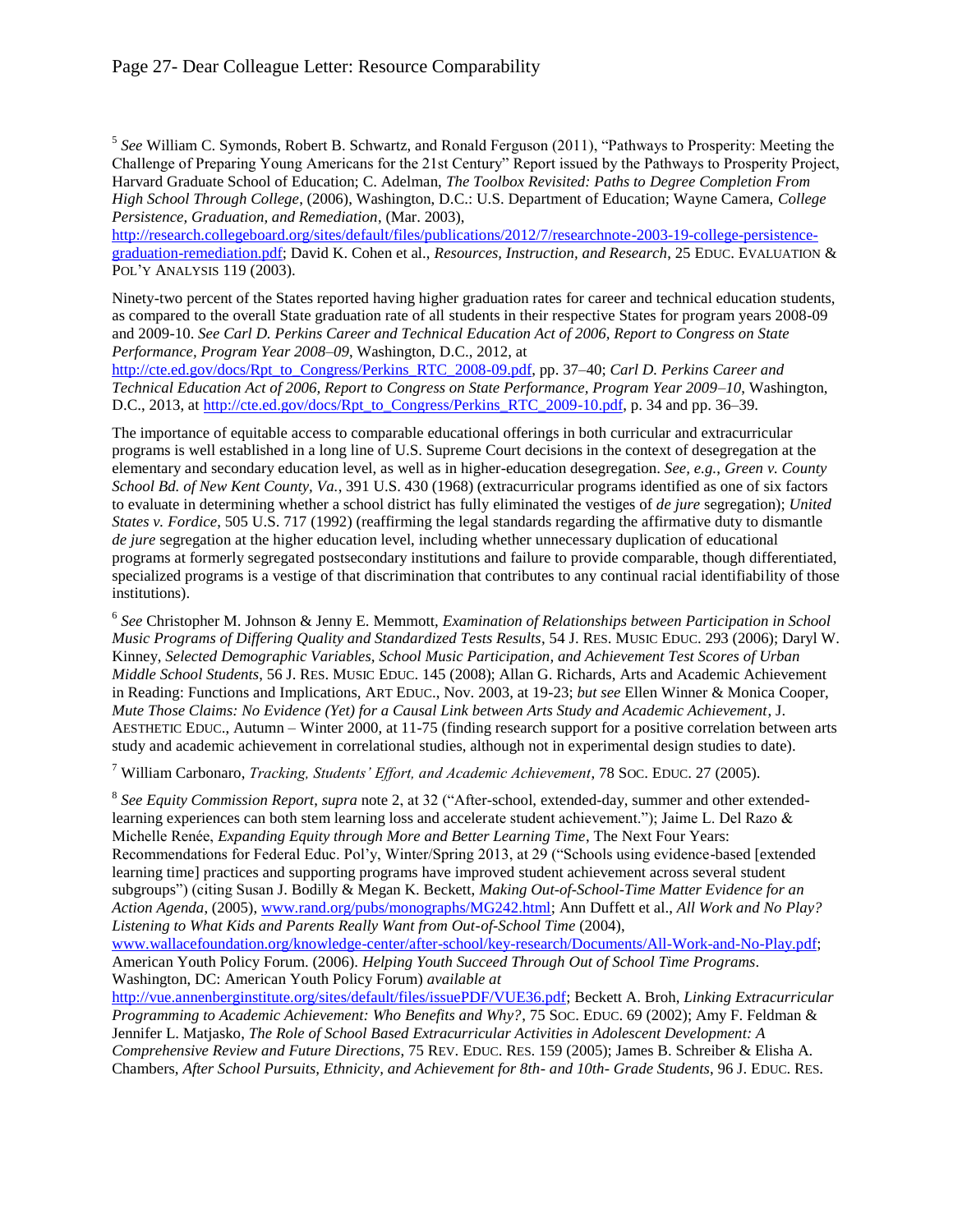5 *See* William C. Symonds, Robert B. Schwartz, and Ronald Ferguson (2011), "Pathways to Prosperity: Meeting the Challenge of Preparing Young Americans for the 21st Century" Report issued by the Pathways to Prosperity Project, Harvard Graduate School of Education; C. Adelman, *The Toolbox Revisited: Paths to Degree Completion From High School Through College*, (2006), Washington, D.C.: U.S. Department of Education; Wayne Camera, *College Persistence, Graduation, and Remediation*, (Mar. 2003),

[http://research.collegeboard.org/sites/default/files/publications/2012/7/researchnote-2003-19-college-persistence](http://research.collegeboard.org/sites/default/files/publications/2012/7/researchnote-2003-19-college-persistence-graduation-remediation.pdf)[graduation-remediation.pdf;](http://research.collegeboard.org/sites/default/files/publications/2012/7/researchnote-2003-19-college-persistence-graduation-remediation.pdf) David K. Cohen et al., *Resources, Instruction, and Research*, 25 EDUC. EVALUATION & POL'Y ANALYSIS 119 (2003).

Ninety-two percent of the States reported having higher graduation rates for career and technical education students, as compared to the overall State graduation rate of all students in their respective States for program years 2008-09 and 2009-10. *See Carl D. Perkins Career and Technical Education Act of 2006, Report to Congress on State Performance, Program Year 2008–09*, Washington, D.C., 2012, at

[http://cte.ed.gov/docs/Rpt\\_to\\_Congress/Perkins\\_RTC\\_2008-09.pdf,](http://cte.ed.gov/docs/Rpt_to_Congress/Perkins_RTC_2008-09.pdf) pp. 37–40; *Carl D. Perkins Career and Technical Education Act of 2006, Report to Congress on State Performance, Program Year 2009–10*, Washington, D.C., 2013, a[t http://cte.ed.gov/docs/Rpt\\_to\\_Congress/Perkins\\_RTC\\_2009-10.pdf,](http://cte.ed.gov/docs/Rpt_to_Congress/Perkins_RTC_2009-10.pdf) p. 34 and pp. 36–39.

The importance of equitable access to comparable educational offerings in both curricular and extracurricular programs is well established in a long line of U.S. Supreme Court decisions in the context of desegregation at the elementary and secondary education level, as well as in higher-education desegregation. *See, e.g.*, *Green v. County School Bd. of New Kent County, Va.*, 391 U.S. 430 (1968) (extracurricular programs identified as one of six factors to evaluate in determining whether a school district has fully eliminated the vestiges of *de jure* segregation); *United States v. Fordice*, 505 U.S. 717 (1992) (reaffirming the legal standards regarding the affirmative duty to dismantle *de jure* segregation at the higher education level, including whether unnecessary duplication of educational programs at formerly segregated postsecondary institutions and failure to provide comparable, though differentiated, specialized programs is a vestige of that discrimination that contributes to any continual racial identifiability of those institutions).

6 *See* Christopher M. Johnson & Jenny E. Memmott, *Examination of Relationships between Participation in School Music Programs of Differing Quality and Standardized Tests Results*, 54 J. RES. MUSIC EDUC. 293 (2006); Daryl W. Kinney, *Selected Demographic Variables, School Music Participation, and Achievement Test Scores of Urban Middle School Students*, 56 J. RES. MUSIC EDUC. 145 (2008); Allan G. Richards, Arts and Academic Achievement in Reading: Functions and Implications, ART EDUC., Nov. 2003, at 19-23; *but see* Ellen Winner & Monica Cooper, *Mute Those Claims: No Evidence (Yet) for a Causal Link between Arts Study and Academic Achievement*, J. AESTHETIC EDUC., Autumn – Winter 2000, at 11-75 (finding research support for a positive correlation between arts study and academic achievement in correlational studies, although not in experimental design studies to date).

7 William Carbonaro, *Tracking, Students' Effort, and Academic Achievement*, 78 SOC. EDUC. 27 (2005).

8 *See Equity Commission Report*, *supra* note [2,](#page-0-0) at 32 ("After-school, extended-day, summer and other extendedlearning experiences can both stem learning loss and accelerate student achievement."); Jaime L. Del Razo & Michelle Renée, *Expanding Equity through More and Better Learning Time*, The Next Four Years: Recommendations for Federal Educ. Pol'y, Winter/Spring 2013, at 29 ("Schools using evidence-based [extended learning time] practices and supporting programs have improved student achievement across several student subgroups") (citing Susan J. Bodilly & Megan K. Beckett, *Making Out-of-School-Time Matter Evidence for an Action Agenda*, (2005), [www.rand.org/pubs/monographs/MG242.html;](http://www.rand.org/pubs/monographs/MG242.html) Ann Duffett et al., *All Work and No Play? Listening to What Kids and Parents Really Want from Out-of-School Time* (2004),

[www.wallacefoundation.org/knowledge-center/after-school/key-research/Documents/All-Work-and-No-Play.pdf;](http://www.wallacefoundation.org/knowledge-center/after-school/key-research/Documents/All-Work-and-No-Play.pdf) American Youth Policy Forum. (2006). *Helping Youth Succeed Through Out of School Time Programs*. Washington, DC: American Youth Policy Forum) *available at* 

[http://vue.annenberginstitute.org/sites/default/files/issuePDF/VUE36.pdf;](http://vue.annenberginstitute.org/sites/default/files/issuePDF/VUE36.pdf) Beckett A. Broh, *Linking Extracurricular Programming to Academic Achievement: Who Benefits and Why?*, 75 SOC. EDUC. 69 (2002); Amy F. Feldman & Jennifer L. Matjasko, *The Role of School Based Extracurricular Activities in Adolescent Development: A Comprehensive Review and Future Directions*, 75 REV. EDUC. RES. 159 (2005); James B. Schreiber & Elisha A. Chambers, *After School Pursuits, Ethnicity, and Achievement for 8th- and 10th- Grade Students*, 96 J. EDUC. RES.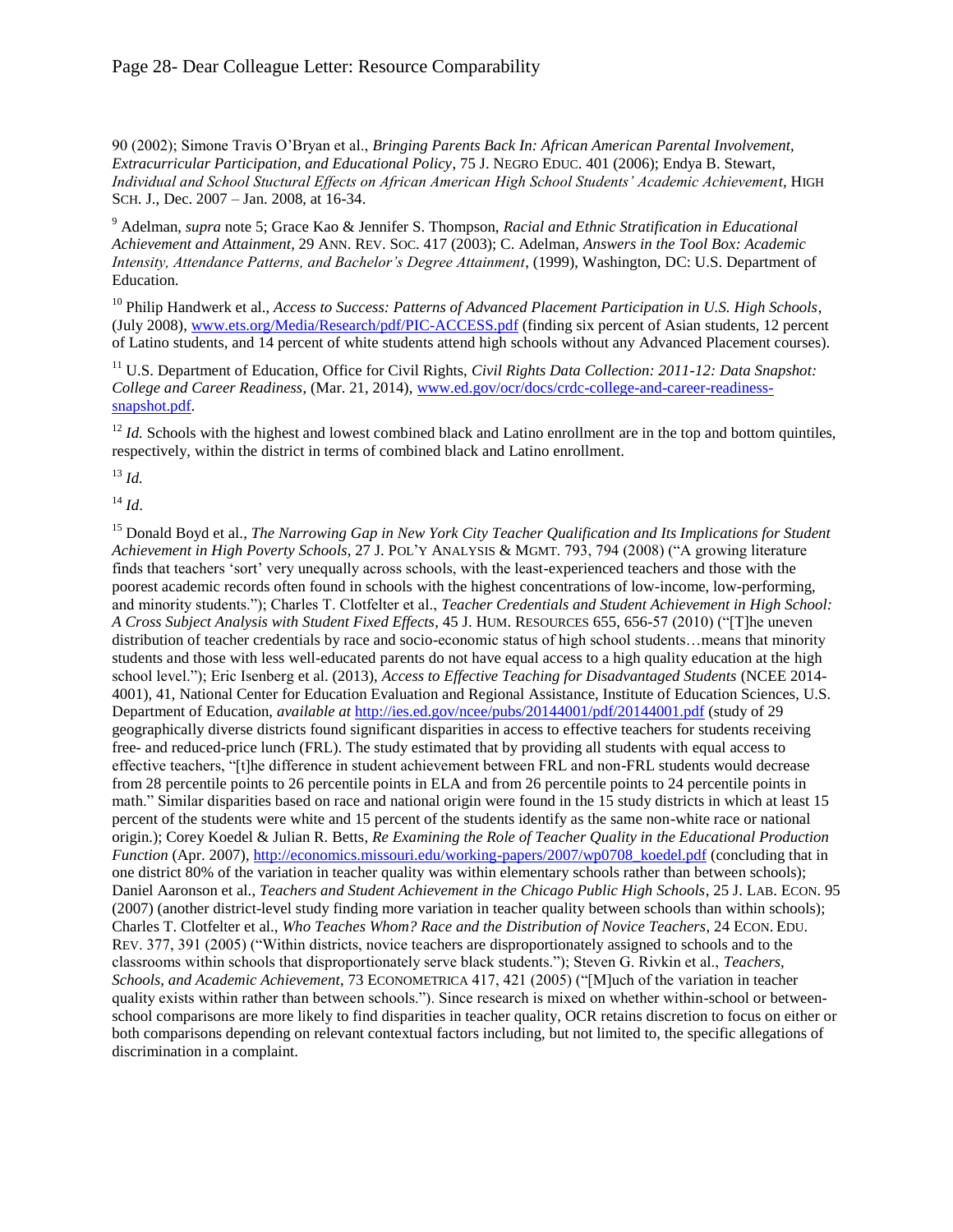90 (2002); Simone Travis O'Bryan et al., *Bringing Parents Back In: African American Parental Involvement, Extracurricular Participation, and Educational Policy*, 75 J. NEGRO EDUC. 401 (2006); Endya B. Stewart, *Individual and School Stuctural Effects on African American High School Students' Academic Achievement*, HIGH SCH. J., Dec. 2007 – Jan. 2008, at 16-34.

9 Adelman, *supra* note [5;](#page-2-0) Grace Kao & Jennifer S. Thompson, *Racial and Ethnic Stratification in Educational Achievement and Attainment*, 29 ANN. REV. SOC. 417 (2003); C. Adelman, *Answers in the Tool Box: Academic Intensity, Attendance Patterns, and Bachelor's Degree Attainment*, (1999), Washington, DC: U.S. Department of Education.

<sup>10</sup> Philip Handwerk et al., *Access to Success: Patterns of Advanced Placement Participation in U.S. High Schools*, (July 2008), [www.ets.org/Media/Research/pdf/PIC-ACCESS.pdf](http://www.ets.org/Media/Research/pdf/PIC-ACCESS.pdf) (finding six percent of Asian students, 12 percent of Latino students, and 14 percent of white students attend high schools without any Advanced Placement courses).

<sup>11</sup> U.S. Department of Education, Office for Civil Rights, *Civil Rights Data Collection: 2011-12: Data Snapshot: College and Career Readiness*, (Mar. 21, 2014), [www.ed.gov/ocr/docs/crdc-college-and-career-readiness](http://www.ed.gov/ocr/docs/crdc-college-and-career-readiness-snapshot.pdf)[snapshot.pdf.](file:///C:/Users/John.DiPaolo/AppData/Local/Microsoft/Windows/Temporary%20Internet%20Files/Content.Outlook/C8YTKNJ0/www.ed.gov/ocr/docs/crdc-college-and-career-readiness-snapshot.pdf)

<sup>12</sup> *Id.* Schools with the highest and lowest combined black and Latino enrollment are in the top and bottom quintiles, respectively, within the district in terms of combined black and Latino enrollment.

<sup>13</sup> *Id.*

 $^{14}$  *Id.* 

<sup>15</sup> Donald Boyd et al., *The Narrowing Gap in New York City Teacher Qualification and Its Implications for Student Achievement in High Poverty Schools*, 27 J. POL'Y ANALYSIS & MGMT. 793, 794 (2008) ("A growing literature finds that teachers 'sort' very unequally across schools, with the least-experienced teachers and those with the poorest academic records often found in schools with the highest concentrations of low-income, low-performing, and minority students."); Charles T. Clotfelter et al., *Teacher Credentials and Student Achievement in High School: A Cross Subject Analysis with Student Fixed Effects*, 45 J. HUM. RESOURCES 655, 656-57 (2010) ("[T]he uneven distribution of teacher credentials by race and socio-economic status of high school students…means that minority students and those with less well-educated parents do not have equal access to a high quality education at the high school level."); Eric Isenberg et al. (2013), *Access to Effective Teaching for Disadvantaged Students* (NCEE 2014-4001), 41, National Center for Education Evaluation and Regional Assistance, Institute of Education Sciences, U.S. Department of Education, *available at* <http://ies.ed.gov/ncee/pubs/20144001/pdf/20144001.pdf>(study of 29 geographically diverse districts found significant disparities in access to effective teachers for students receiving free- and reduced-price lunch (FRL). The study estimated that by providing all students with equal access to effective teachers, "[t]he difference in student achievement between FRL and non-FRL students would decrease from 28 percentile points to 26 percentile points in ELA and from 26 percentile points to 24 percentile points in math." Similar disparities based on race and national origin were found in the 15 study districts in which at least 15 percent of the students were white and 15 percent of the students identify as the same non-white race or national origin.); Corey Koedel & Julian R. Betts, *Re Examining the Role of Teacher Quality in the Educational Production Function* (Apr. 2007), [http://economics.missouri.edu/working-papers/2007/wp0708\\_koedel.pdf](http://economics.missouri.edu/working-papers/2007/wp0708_koedel.pdf) (concluding that in one district 80% of the variation in teacher quality was within elementary schools rather than between schools); Daniel Aaronson et al., *Teachers and Student Achievement in the Chicago Public High Schools*, 25 J. LAB. ECON. 95 (2007) (another district-level study finding more variation in teacher quality between schools than within schools); Charles T. Clotfelter et al., *Who Teaches Whom? Race and the Distribution of Novice Teachers*, 24 ECON. EDU. REV. 377, 391 (2005) ("Within districts, novice teachers are disproportionately assigned to schools and to the classrooms within schools that disproportionately serve black students."); Steven G. Rivkin et al., *Teachers, Schools, and Academic Achievement*, 73 ECONOMETRICA 417, 421 (2005) ("[M]uch of the variation in teacher quality exists within rather than between schools."). Since research is mixed on whether within-school or betweenschool comparisons are more likely to find disparities in teacher quality, OCR retains discretion to focus on either or both comparisons depending on relevant contextual factors including, but not limited to, the specific allegations of discrimination in a complaint.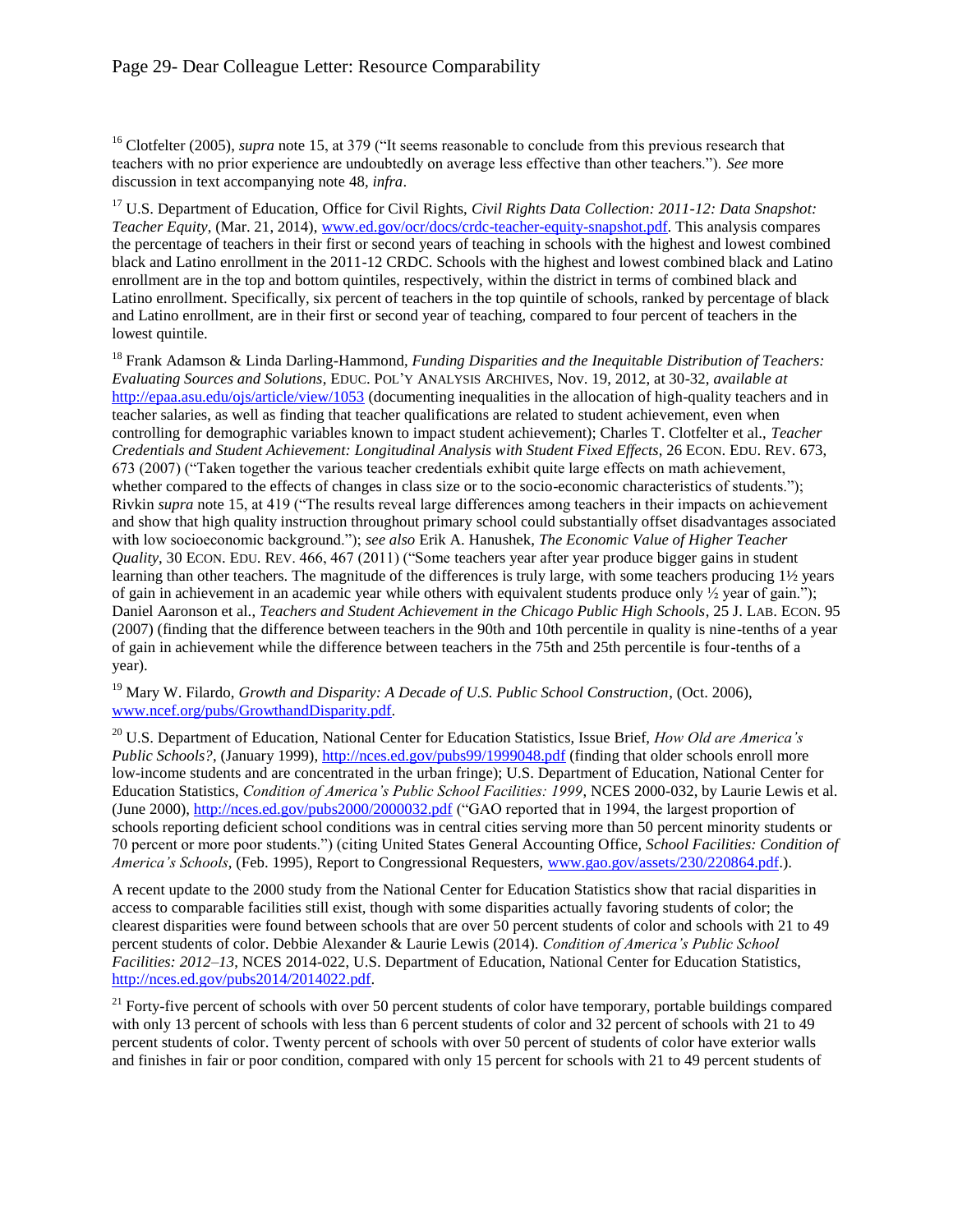<sup>16</sup> Clotfelter (2005), *supra* not[e 15,](#page-3-0) at 379 ("It seems reasonable to conclude from this previous research that teachers with no prior experience are undoubtedly on average less effective than other teachers."). *See* more discussion in text accompanying note [48,](#page-13-0) *infra*.

<sup>17</sup> U.S. Department of Education, Office for Civil Rights, *Civil Rights Data Collection: 2011-12: Data Snapshot: Teacher Equity*, (Mar. 21, 2014)[, www.ed.gov/ocr/docs/crdc-teacher-equity-snapshot.pdf.](http://www.ed.gov/ocr/docs/crdc-teacher-equity-snapshot.pdf) This analysis compares the percentage of teachers in their first or second years of teaching in schools with the highest and lowest combined black and Latino enrollment in the 2011-12 CRDC. Schools with the highest and lowest combined black and Latino enrollment are in the top and bottom quintiles, respectively, within the district in terms of combined black and Latino enrollment. Specifically, six percent of teachers in the top quintile of schools, ranked by percentage of black and Latino enrollment, are in their first or second year of teaching, compared to four percent of teachers in the lowest quintile.

<sup>18</sup> Frank Adamson & Linda Darling-Hammond, *Funding Disparities and the Inequitable Distribution of Teachers: Evaluating Sources and Solutions*, EDUC. POL'Y ANALYSIS ARCHIVES, Nov. 19, 2012, at 30-32, *available at* <http://epaa.asu.edu/ojs/article/view/1053>(documenting inequalities in the allocation of high-quality teachers and in teacher salaries, as well as finding that teacher qualifications are related to student achievement, even when controlling for demographic variables known to impact student achievement); Charles T. Clotfelter et al., *Teacher Credentials and Student Achievement: Longitudinal Analysis with Student Fixed Effects*, 26 ECON. EDU. REV. 673, 673 (2007) ("Taken together the various teacher credentials exhibit quite large effects on math achievement, whether compared to the effects of changes in class size or to the socio-economic characteristics of students."); Rivkin *supra* not[e 15,](#page-3-0) at 419 ("The results reveal large differences among teachers in their impacts on achievement and show that high quality instruction throughout primary school could substantially offset disadvantages associated with low socioeconomic background."); *see also* Erik A. Hanushek, *The Economic Value of Higher Teacher Quality*, 30 ECON. EDU. REV. 466, 467 (2011) ("Some teachers year after year produce bigger gains in student learning than other teachers. The magnitude of the differences is truly large, with some teachers producing 1½ years of gain in achievement in an academic year while others with equivalent students produce only  $\frac{1}{2}$  year of gain."); Daniel Aaronson et al., *Teachers and Student Achievement in the Chicago Public High Schools*, 25 J. LAB. ECON. 95 (2007) (finding that the difference between teachers in the 90th and 10th percentile in quality is nine-tenths of a year of gain in achievement while the difference between teachers in the 75th and 25th percentile is four-tenths of a year).

<sup>19</sup> Mary W. Filardo, *Growth and Disparity: A Decade of U.S. Public School Construction*, (Oct. 2006), [www.ncef.org/pubs/GrowthandDisparity.pdf.](http://www.ncef.org/pubs/GrowthandDisparity.pdf)

<sup>20</sup> U.S. Department of Education, National Center for Education Statistics, Issue Brief, *How Old are America's Public Schools?*, (January 1999),<http://nces.ed.gov/pubs99/1999048.pdf>(finding that older schools enroll more low-income students and are concentrated in the urban fringe); U.S. Department of Education, National Center for Education Statistics, *Condition of America's Public School Facilities: 1999*, NCES 2000-032, by Laurie Lewis et al. (June 2000)[, http://nces.ed.gov/pubs2000/2000032.pdf](http://nces.ed.gov/pubs2000/2000032.pdf) ("GAO reported that in 1994, the largest proportion of schools reporting deficient school conditions was in central cities serving more than 50 percent minority students or 70 percent or more poor students.") (citing United States General Accounting Office, *School Facilities: Condition of America's Schools*, (Feb. 1995), Report to Congressional Requesters, [www.gao.gov/assets/230/220864.pdf.](http://www.gao.gov/assets/230/220864.pdf)).

A recent update to the 2000 study from the National Center for Education Statistics show that racial disparities in access to comparable facilities still exist, though with some disparities actually favoring students of color; the clearest disparities were found between schools that are over 50 percent students of color and schools with 21 to 49 percent students of color. Debbie Alexander & Laurie Lewis (2014). *Condition of America's Public School Facilities: 2012–13*, NCES 2014-022, U.S. Department of Education, National Center for Education Statistics, [http://nces.ed.gov/pubs2014/2014022.pdf.](http://nces.ed.gov/pubs2014/2014022.pdf)

 $21$  Forty-five percent of schools with over 50 percent students of color have temporary, portable buildings compared with only 13 percent of schools with less than 6 percent students of color and 32 percent of schools with 21 to 49 percent students of color. Twenty percent of schools with over 50 percent of students of color have exterior walls and finishes in fair or poor condition, compared with only 15 percent for schools with 21 to 49 percent students of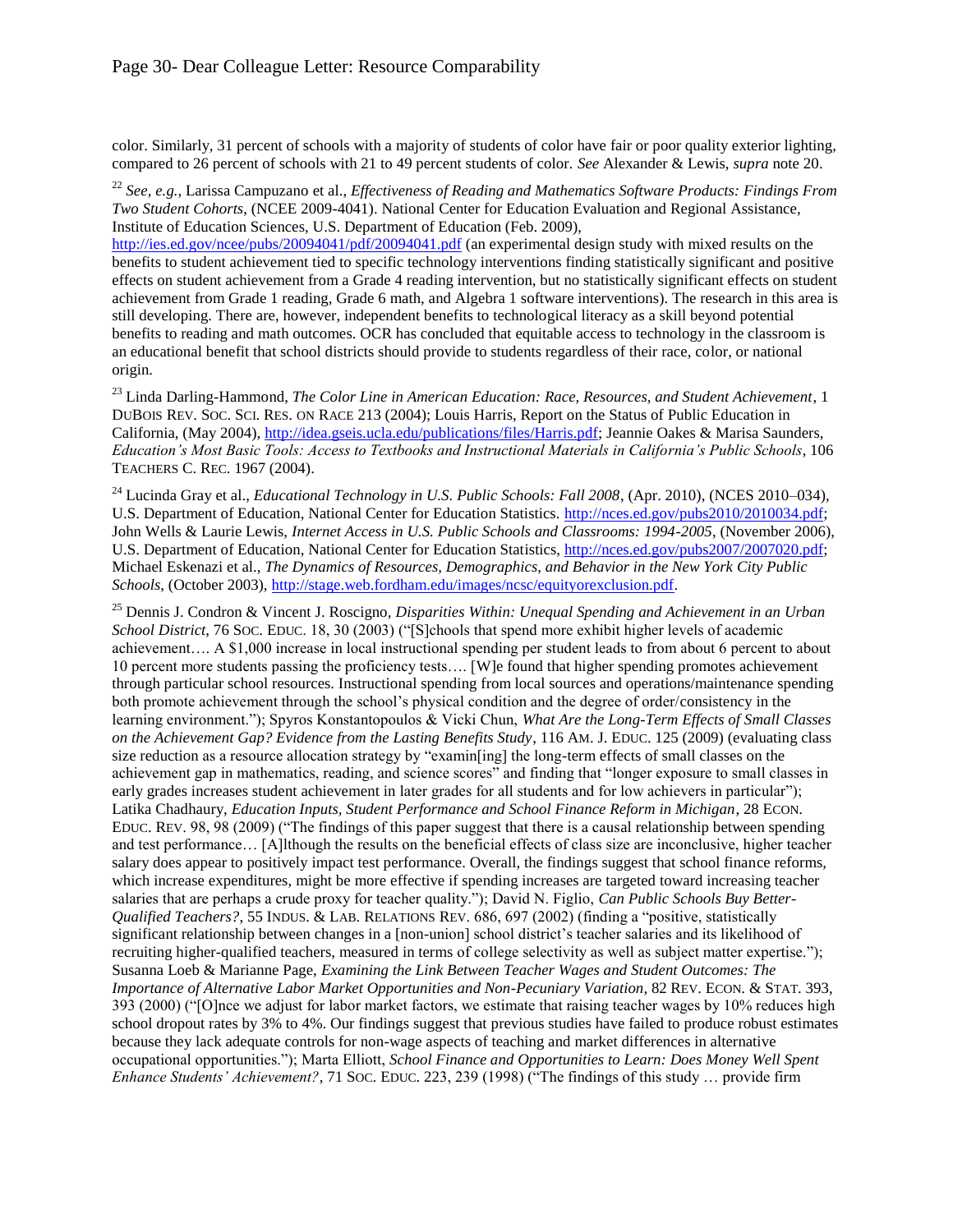color. Similarly, 31 percent of schools with a majority of students of color have fair or poor quality exterior lighting, compared to 26 percent of schools with 21 to 49 percent students of color. *See* Alexander & Lewis, *supra* note [20.](#page-3-1) 

<sup>22</sup> *See, e.g.*, Larissa Campuzano et al., *Effectiveness of Reading and Mathematics Software Products: Findings From Two Student Cohorts*, (NCEE 2009-4041). National Center for Education Evaluation and Regional Assistance, Institute of Education Sciences, U.S. Department of Education (Feb. 2009),

<http://ies.ed.gov/ncee/pubs/20094041/pdf/20094041.pdf>(an experimental design study with mixed results on the benefits to student achievement tied to specific technology interventions finding statistically significant and positive effects on student achievement from a Grade 4 reading intervention, but no statistically significant effects on student achievement from Grade 1 reading, Grade 6 math, and Algebra 1 software interventions). The research in this area is still developing. There are, however, independent benefits to technological literacy as a skill beyond potential benefits to reading and math outcomes. OCR has concluded that equitable access to technology in the classroom is an educational benefit that school districts should provide to students regardless of their race, color, or national origin.

<sup>23</sup> Linda Darling-Hammond, *The Color Line in American Education: Race, Resources, and Student Achievement*, 1 DUBOIS REV. SOC. SCI. RES. ON RACE 213 (2004); Louis Harris, Report on the Status of Public Education in California, (May 2004), [http://idea.gseis.ucla.edu/publications/files/Harris.pdf;](http://idea.gseis.ucla.edu/publications/files/Harris.pdf) Jeannie Oakes & Marisa Saunders, *Education's Most Basic Tools: Access to Textbooks and Instructional Materials in California's Public Schools*, 106 TEACHERS C. REC. 1967 (2004).

<sup>24</sup> Lucinda Gray et al., *Educational Technology in U.S. Public Schools: Fall 2008*, (Apr. 2010), (NCES 2010-034), U.S. Department of Education, National Center for Education Statistics. [http://nces.ed.gov/pubs2010/2010034.pdf;](http://nces.ed.gov/pubs2010/2010034.pdf) John Wells & Laurie Lewis, *Internet Access in U.S. Public Schools and Classrooms: 1994-2005*, (November 2006), U.S. Department of Education, National Center for Education Statistics, [http://nces.ed.gov/pubs2007/2007020.pdf;](http://nces.ed.gov/pubs2007/2007020.pdf) Michael Eskenazi et al., *The Dynamics of Resources, Demographics, and Behavior in the New York City Public Schools*, (October 2003), [http://stage.web.fordham.edu/images/ncsc/equityorexclusion.pdf.](http://stage.web.fordham.edu/images/ncsc/equityorexclusion.pdf) 

<sup>25</sup> Dennis J. Condron & Vincent J. Roscigno, *Disparities Within: Unequal Spending and Achievement in an Urban School District*, 76 SOC. EDUC. 18, 30 (2003) ("[S]chools that spend more exhibit higher levels of academic achievement…. A \$1,000 increase in local instructional spending per student leads to from about 6 percent to about 10 percent more students passing the proficiency tests…. [W]e found that higher spending promotes achievement through particular school resources. Instructional spending from local sources and operations/maintenance spending both promote achievement through the school's physical condition and the degree of order/consistency in the learning environment."); Spyros Konstantopoulos & Vicki Chun, *What Are the Long-Term Effects of Small Classes on the Achievement Gap? Evidence from the Lasting Benefits Study*, 116 AM. J. EDUC. 125 (2009) (evaluating class size reduction as a resource allocation strategy by "examin[ing] the long-term effects of small classes on the achievement gap in mathematics, reading, and science scores" and finding that "longer exposure to small classes in early grades increases student achievement in later grades for all students and for low achievers in particular"); Latika Chadhaury, *Education Inputs, Student Performance and School Finance Reform in Michigan*, 28 ECON. EDUC. REV. 98, 98 (2009) ("The findings of this paper suggest that there is a causal relationship between spending and test performance… [A]lthough the results on the beneficial effects of class size are inconclusive, higher teacher salary does appear to positively impact test performance. Overall, the findings suggest that school finance reforms, which increase expenditures, might be more effective if spending increases are targeted toward increasing teacher salaries that are perhaps a crude proxy for teacher quality."); David N. Figlio, *Can Public Schools Buy Better-Qualified Teachers?*, 55 INDUS. & LAB. RELATIONS REV. 686, 697 (2002) (finding a "positive, statistically significant relationship between changes in a [non-union] school district's teacher salaries and its likelihood of recruiting higher-qualified teachers, measured in terms of college selectivity as well as subject matter expertise."); Susanna Loeb & Marianne Page, *Examining the Link Between Teacher Wages and Student Outcomes: The Importance of Alternative Labor Market Opportunities and Non-Pecuniary Variation*, 82 REV. ECON. & STAT. 393, 393 (2000) ("[O]nce we adjust for labor market factors, we estimate that raising teacher wages by 10% reduces high school dropout rates by 3% to 4%. Our findings suggest that previous studies have failed to produce robust estimates because they lack adequate controls for non-wage aspects of teaching and market differences in alternative occupational opportunities."); Marta Elliott, *School Finance and Opportunities to Learn: Does Money Well Spent Enhance Students' Achievement?*, 71 SOC. EDUC. 223, 239 (1998) ("The findings of this study … provide firm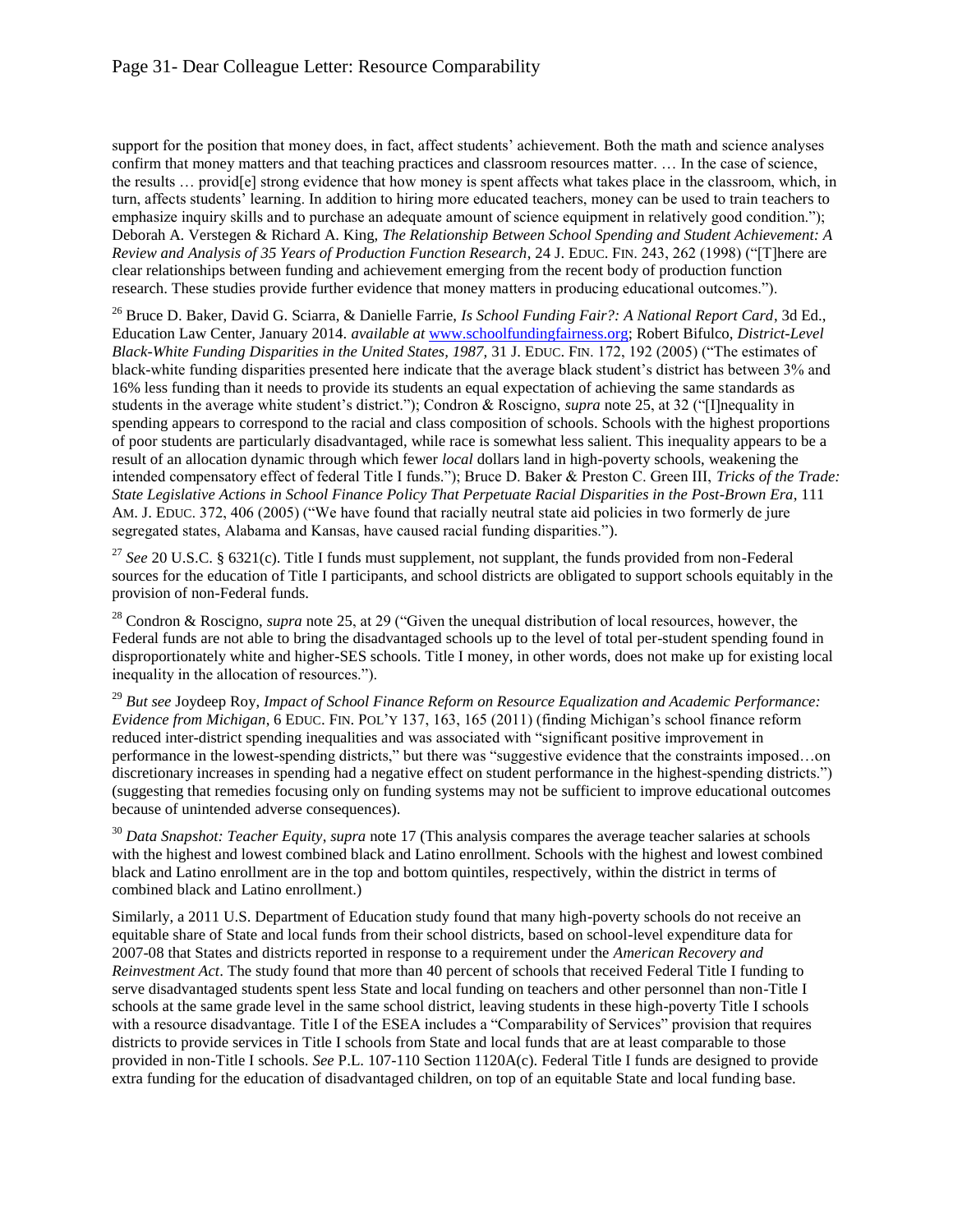support for the position that money does, in fact, affect students' achievement. Both the math and science analyses confirm that money matters and that teaching practices and classroom resources matter. … In the case of science, the results … provid[e] strong evidence that how money is spent affects what takes place in the classroom, which, in turn, affects students' learning. In addition to hiring more educated teachers, money can be used to train teachers to emphasize inquiry skills and to purchase an adequate amount of science equipment in relatively good condition."); Deborah A. Verstegen & Richard A. King, *The Relationship Between School Spending and Student Achievement: A Review and Analysis of 35 Years of Production Function Research*, 24 J. EDUC. FIN. 243, 262 (1998) ("[T]here are clear relationships between funding and achievement emerging from the recent body of production function research. These studies provide further evidence that money matters in producing educational outcomes.").

<sup>26</sup> Bruce D. Baker, David G. Sciarra, & Danielle Farrie, *Is School Funding Fair?: A National Report Card*, 3d Ed., Education Law Center, January 2014. *available at* [www.schoolfundingfairness.org;](http://www.schoolfundingfairness.org) Robert Bifulco, *District-Level Black-White Funding Disparities in the United States, 1987, 31 J. EDUC. FIN. 172, 192 (2005)* ("The estimates of black-white funding disparities presented here indicate that the average black student's district has between 3% and 16% less funding than it needs to provide its students an equal expectation of achieving the same standards as students in the average white student's district."); Condron & Roscigno, *supra* note [25,](#page-4-0) at 32 ("[I]nequality in spending appears to correspond to the racial and class composition of schools. Schools with the highest proportions of poor students are particularly disadvantaged, while race is somewhat less salient. This inequality appears to be a result of an allocation dynamic through which fewer *local* dollars land in high-poverty schools, weakening the intended compensatory effect of federal Title I funds."); Bruce D. Baker & Preston C. Green III, *Tricks of the Trade: State Legislative Actions in School Finance Policy That Perpetuate Racial Disparities in the Post-Brown Era*, 111 AM. J. EDUC. 372, 406 (2005) ("We have found that racially neutral state aid policies in two formerly de jure segregated states, Alabama and Kansas, have caused racial funding disparities.").

<sup>27</sup> *See* 20 U.S.C. § 6321(c). Title I funds must supplement, not supplant, the funds provided from non-Federal sources for the education of Title I participants, and school districts are obligated to support schools equitably in the provision of non-Federal funds.

<sup>28</sup> Condron & Roscigno, *supra* note [25,](#page-4-0) at 29 ("Given the unequal distribution of local resources, however, the Federal funds are not able to bring the disadvantaged schools up to the level of total per-student spending found in disproportionately white and higher-SES schools. Title I money, in other words, does not make up for existing local inequality in the allocation of resources.").

<sup>29</sup> *But see* Joydeep Roy, *Impact of School Finance Reform on Resource Equalization and Academic Performance: Evidence from Michigan*, 6 EDUC. FIN. POL'Y 137, 163, 165 (2011) (finding Michigan's school finance reform reduced inter-district spending inequalities and was associated with "significant positive improvement in performance in the lowest-spending districts," but there was "suggestive evidence that the constraints imposed…on discretionary increases in spending had a negative effect on student performance in the highest-spending districts.") (suggesting that remedies focusing only on funding systems may not be sufficient to improve educational outcomes because of unintended adverse consequences).

<sup>30</sup> *Data Snapshot: Teacher Equity*, *supra* note [17](#page-3-2) (This analysis compares the average teacher salaries at schools with the highest and lowest combined black and Latino enrollment. Schools with the highest and lowest combined black and Latino enrollment are in the top and bottom quintiles, respectively, within the district in terms of combined black and Latino enrollment.)

Similarly, a 2011 U.S. Department of Education study found that many high-poverty schools do not receive an equitable share of State and local funds from their school districts, based on school-level expenditure data for 2007-08 that States and districts reported in response to a requirement under the *American Recovery and Reinvestment Act*. The study found that more than 40 percent of schools that received Federal Title I funding to serve disadvantaged students spent less State and local funding on teachers and other personnel than non-Title I schools at the same grade level in the same school district, leaving students in these high-poverty Title I schools with a resource disadvantage. Title I of the ESEA includes a "Comparability of Services" provision that requires districts to provide services in Title I schools from State and local funds that are at least comparable to those provided in non-Title I schools. *See* P.L. 107-110 Section 1120A(c). Federal Title I funds are designed to provide extra funding for the education of disadvantaged children, on top of an equitable State and local funding base.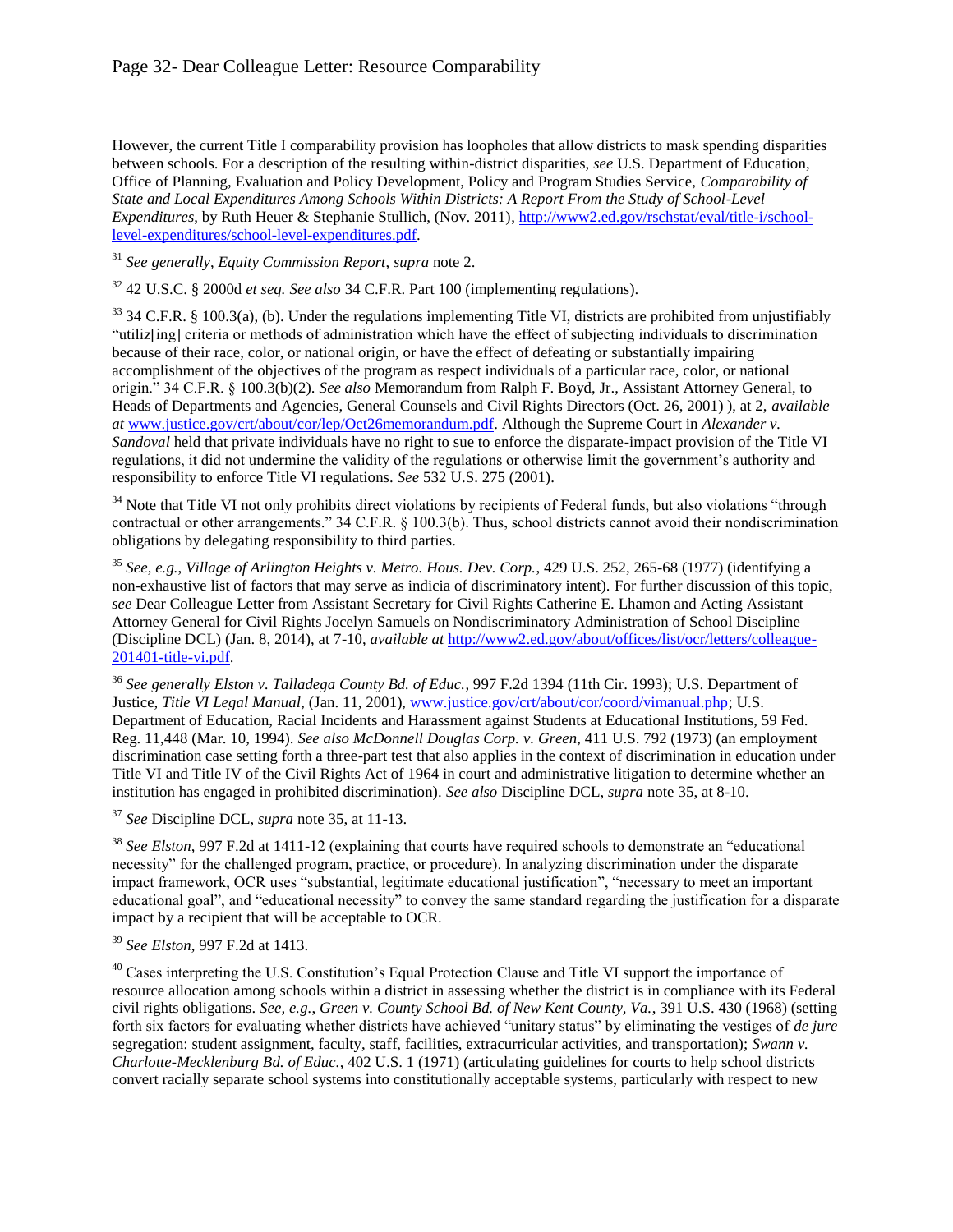### Page 32- Dear Colleague Letter: Resource Comparability

However, the current Title I comparability provision has loopholes that allow districts to mask spending disparities between schools. For a description of the resulting within-district disparities, *see* U.S. Department of Education, Office of Planning, Evaluation and Policy Development, Policy and Program Studies Service, *Comparability of State and Local Expenditures Among Schools Within Districts: A Report From the Study of School-Level Expenditures*, by Ruth Heuer & Stephanie Stullich, (Nov. 2011)[, http://www2.ed.gov/rschstat/eval/title-i/school](http://www2.ed.gov/rschstat/eval/title-i/school-level-expenditures/school-level-expenditures.pdf)[level-expenditures/school-level-expenditures.pdf.](http://www2.ed.gov/rschstat/eval/title-i/school-level-expenditures/school-level-expenditures.pdf)

<sup>31</sup> *See generally*, *Equity Commission Report*, *supra* note [2.](#page-0-0)

<sup>32</sup> 42 U.S.C. § 2000d *et seq. See also* 34 C.F.R. Part 100 (implementing regulations).

 $33$  34 C.F.R. § 100.3(a), (b). Under the regulations implementing Title VI, districts are prohibited from unjustifiably "utiliz[ing] criteria or methods of administration which have the effect of subjecting individuals to discrimination because of their race, color, or national origin, or have the effect of defeating or substantially impairing accomplishment of the objectives of the program as respect individuals of a particular race, color, or national origin." 34 C.F.R. § 100.3(b)(2). *See also* Memorandum from Ralph F. Boyd, Jr., Assistant Attorney General, to Heads of Departments and Agencies, General Counsels and Civil Rights Directors (Oct. 26, 2001) ), at 2, *available at* [www.justice.gov/crt/about/cor/lep/Oct26memorandum.pdf.](http://www.justice.gov/crt/about/cor/lep/Oct26memorandum.pdf) Although the Supreme Court in *Alexander v. Sandoval* held that private individuals have no right to sue to enforce the disparate-impact provision of the Title VI regulations, it did not undermine the validity of the regulations or otherwise limit the government's authority and responsibility to enforce Title VI regulations. *See* 532 U.S. 275 (2001).

<sup>34</sup> Note that Title VI not only prohibits direct violations by recipients of Federal funds, but also violations "through contractual or other arrangements." 34 C.F.R. § 100.3(b). Thus, school districts cannot avoid their nondiscrimination obligations by delegating responsibility to third parties.

<sup>35</sup> *See, e.g.*, *Village of Arlington Heights v. Metro. Hous. Dev. Corp.*, 429 U.S. 252, 265-68 (1977) (identifying a non-exhaustive list of factors that may serve as indicia of discriminatory intent). For further discussion of this topic, *see* Dear Colleague Letter from Assistant Secretary for Civil Rights Catherine E. Lhamon and Acting Assistant Attorney General for Civil Rights Jocelyn Samuels on Nondiscriminatory Administration of School Discipline (Discipline DCL) (Jan. 8, 2014), at 7-10, *available at* [http://www2.ed.gov/about/offices/list/ocr/letters/colleague-](http://www2.ed.gov/about/offices/list/ocr/letters/colleague-201401-title-vi.pdf)[201401-title-vi.pdf.](http://www2.ed.gov/about/offices/list/ocr/letters/colleague-201401-title-vi.pdf)

<sup>36</sup> *See generally Elston v. Talladega County Bd. of Educ.*, 997 F.2d 1394 (11th Cir. 1993); U.S. Department of Justice, *Title VI Legal Manual*, (Jan. 11, 2001), [www.justice.gov/crt/about/cor/coord/vimanual.php;](http://www.justice.gov/crt/about/cor/coord/vimanual.php) U.S. Department of Education, Racial Incidents and Harassment against Students at Educational Institutions, 59 Fed. Reg. 11,448 (Mar. 10, 1994). *See also McDonnell Douglas Corp. v. Green*, 411 U.S. 792 (1973) (an employment discrimination case setting forth a three-part test that also applies in the context of discrimination in education under Title VI and Title IV of the Civil Rights Act of 1964 in court and administrative litigation to determine whether an institution has engaged in prohibited discrimination). *See also* Discipline DCL, *supra* note [35,](#page-5-0) at 8-10.

<sup>37</sup> *See* Discipline DCL, *supra* note [35,](#page-5-0) at 11-13.

<sup>38</sup> *See Elston*, 997 F.2d at 1411-12 (explaining that courts have required schools to demonstrate an "educational necessity" for the challenged program, practice, or procedure). In analyzing discrimination under the disparate impact framework, OCR uses "substantial, legitimate educational justification", "necessary to meet an important educational goal", and "educational necessity" to convey the same standard regarding the justification for a disparate impact by a recipient that will be acceptable to OCR.

#### <sup>39</sup> *See Elston*, 997 F.2d at 1413.

<sup>40</sup> Cases interpreting the U.S. Constitution's Equal Protection Clause and Title VI support the importance of resource allocation among schools within a district in assessing whether the district is in compliance with its Federal civil rights obligations. *See, e.g.*, *Green v. County School Bd. of New Kent County, Va.*, 391 U.S. 430 (1968) (setting forth six factors for evaluating whether districts have achieved "unitary status" by eliminating the vestiges of *de jure* segregation: student assignment, faculty, staff, facilities, extracurricular activities, and transportation); *Swann v. Charlotte-Mecklenburg Bd. of Educ.*, 402 U.S. 1 (1971) (articulating guidelines for courts to help school districts convert racially separate school systems into constitutionally acceptable systems, particularly with respect to new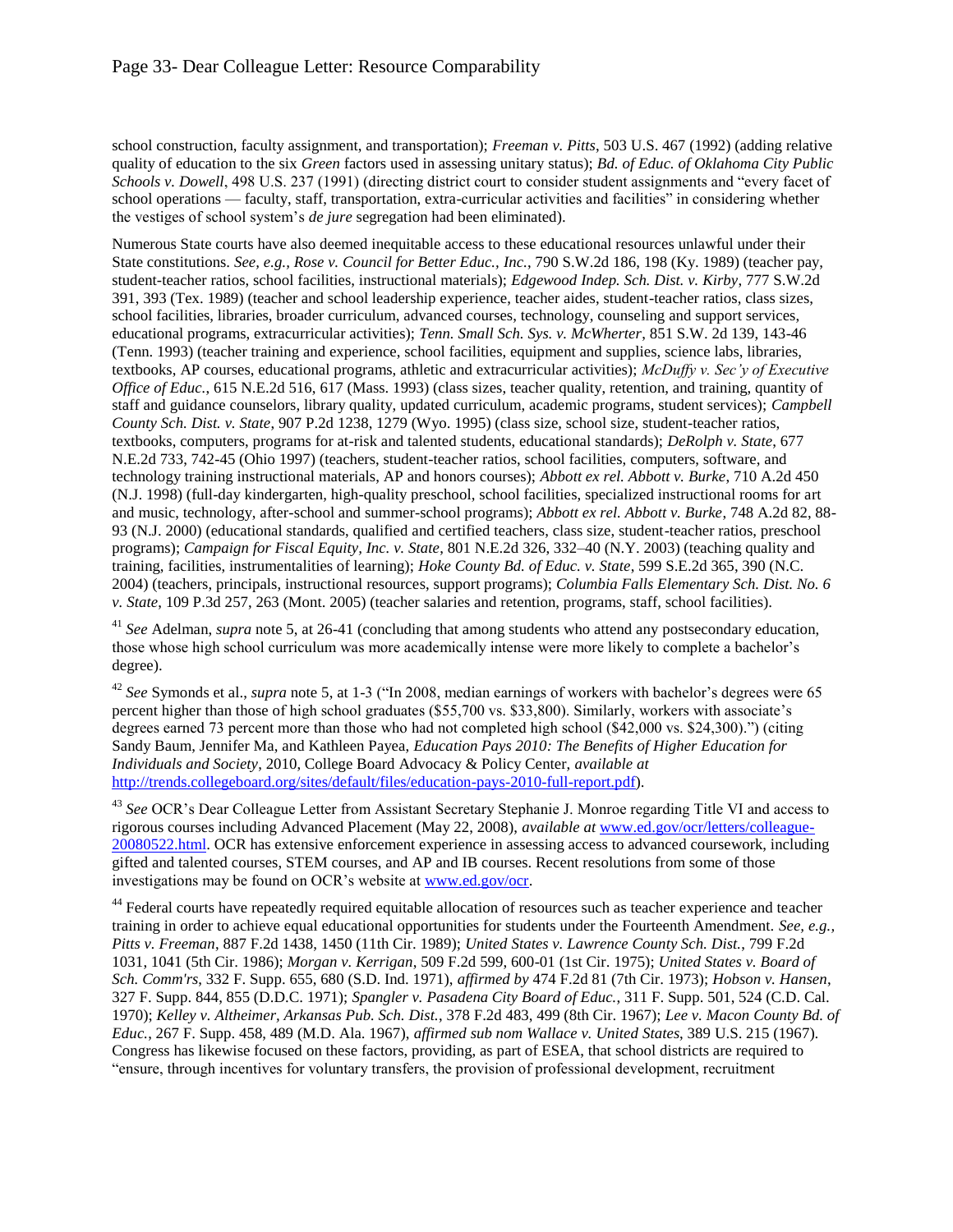school construction, faculty assignment, and transportation); *Freeman v. Pitts*, 503 U.S. 467 (1992) (adding relative quality of education to the six *Green* factors used in assessing unitary status); *Bd. of Educ. of Oklahoma City Public Schools v. Dowell*, 498 U.S. 237 (1991) (directing district court to consider student assignments and "every facet of school operations — faculty, staff, transportation, extra-curricular activities and facilities" in considering whether the vestiges of school system's *de jure* segregation had been eliminated).

Numerous State courts have also deemed inequitable access to these educational resources unlawful under their State constitutions. *See, e.g., Rose v. Council for Better Educ., Inc.*, 790 S.W.2d 186, 198 (Ky. 1989) (teacher pay, student-teacher ratios, school facilities, instructional materials); *Edgewood Indep. Sch. Dist. v. Kirby*, 777 S.W.2d 391, 393 (Tex. 1989) (teacher and school leadership experience, teacher aides, student-teacher ratios, class sizes, school facilities, libraries, broader curriculum, advanced courses, technology, counseling and support services, educational programs, extracurricular activities); *Tenn. Small Sch. Sys. v. McWherter*, 851 S.W. 2d 139, 143-46 (Tenn. 1993) (teacher training and experience, school facilities, equipment and supplies, science labs, libraries, textbooks, AP courses, educational programs, athletic and extracurricular activities); *McDuffy v. Sec'y of Executive Office of Educ.*, 615 N.E.2d 516, 617 (Mass. 1993) (class sizes, teacher quality, retention, and training, quantity of staff and guidance counselors, library quality, updated curriculum, academic programs, student services); *Campbell County Sch. Dist. v. State*, 907 P.2d 1238, 1279 (Wyo. 1995) (class size, school size, student-teacher ratios, textbooks, computers, programs for at-risk and talented students, educational standards); *DeRolph v. State*, 677 N.E.2d 733, 742-45 (Ohio 1997) (teachers, student-teacher ratios, school facilities, computers, software, and technology training instructional materials, AP and honors courses); *Abbott ex rel. Abbott v. Burke*, 710 A.2d 450 (N.J. 1998) (full-day kindergarten, high-quality preschool, school facilities, specialized instructional rooms for art and music, technology, after-school and summer-school programs); *Abbott ex rel. Abbott v. Burke*, 748 A.2d 82, 88- 93 (N.J. 2000) (educational standards, qualified and certified teachers, class size, student-teacher ratios, preschool programs); *Campaign for Fiscal Equity, Inc. v. State*, 801 N.E.2d 326, 332–40 (N.Y. 2003) (teaching quality and training, facilities, instrumentalities of learning); *Hoke County Bd. of Educ. v. State*, 599 S.E.2d 365, 390 (N.C. 2004) (teachers, principals, instructional resources, support programs); *Columbia Falls Elementary Sch. Dist. No. 6 v. State*, 109 P.3d 257, 263 (Mont. 2005) (teacher salaries and retention, programs, staff, school facilities).

<sup>41</sup> *See* Adelman, *supra* note [5,](#page-2-0) at 26-41 (concluding that among students who attend any postsecondary education, those whose high school curriculum was more academically intense were more likely to complete a bachelor's degree).

<sup>42</sup> *See* Symonds et al., *supra* not[e 5,](#page-2-0) at 1-3 ("In 2008, median earnings of workers with bachelor's degrees were 65 percent higher than those of high school graduates (\$55,700 vs. \$33,800). Similarly, workers with associate's degrees earned 73 percent more than those who had not completed high school (\$42,000 vs. \$24,300).") (citing Sandy Baum, Jennifer Ma, and Kathleen Payea, *Education Pays 2010: The Benefits of Higher Education for Individuals and Society*, 2010, College Board Advocacy & Policy Center, *available at*  [http://trends.collegeboard.org/sites/default/files/education-pays-2010-full-report.pdf\)](http://trends.collegeboard.org/sites/default/files/education-pays-2010-full-report.pdf).

<sup>43</sup> *See* OCR's Dear Colleague Letter from Assistant Secretary Stephanie J. Monroe regarding Title VI and access to rigorous courses including Advanced Placement (May 22, 2008), *available at* [www.ed.gov/ocr/letters/colleague-](http://www.ed.gov/ocr/letters/colleague-20080522.html)[20080522.html.](file:///C:/Users/John.DiPaolo/AppData/Local/Microsoft/Windows/Temporary%20Internet%20Files/Content.Outlook/C8YTKNJ0/www.ed.gov/ocr/letters/colleague-20080522.html) OCR has extensive enforcement experience in assessing access to advanced coursework, including gifted and talented courses, STEM courses, and AP and IB courses. Recent resolutions from some of those investigations may be found on OCR's website at [www.ed.gov/ocr.](http://www.ed.gov/ocr)

<sup>44</sup> Federal courts have repeatedly required equitable allocation of resources such as teacher experience and teacher training in order to achieve equal educational opportunities for students under the Fourteenth Amendment. *See, e.g., Pitts v. Freeman*, 887 F.2d 1438, 1450 (11th Cir. 1989); *United States v. Lawrence County Sch. Dist.*, 799 F.2d 1031, 1041 (5th Cir. 1986); *Morgan v. Kerrigan*, 509 F.2d 599, 600-01 (1st Cir. 1975); *United States v. Board of Sch. Comm'rs*, 332 F. Supp. 655, 680 (S.D. Ind. 1971), *affirmed by* 474 F.2d 81 (7th Cir. 1973); *Hobson v. Hansen*, 327 F. Supp. 844, 855 (D.D.C. 1971); *Spangler v. Pasadena City Board of Educ.*, 311 F. Supp. 501, 524 (C.D. Cal. 1970); *Kelley v. Altheimer, Arkansas Pub. Sch. Dist.*, 378 F.2d 483, 499 (8th Cir. 1967); *Lee v. Macon County Bd. of Educ.*, 267 F. Supp. 458, 489 (M.D. Ala. 1967), *affirmed sub nom Wallace v. United States*, 389 U.S. 215 (1967). Congress has likewise focused on these factors, providing, as part of ESEA, that school districts are required to "ensure, through incentives for voluntary transfers, the provision of professional development, recruitment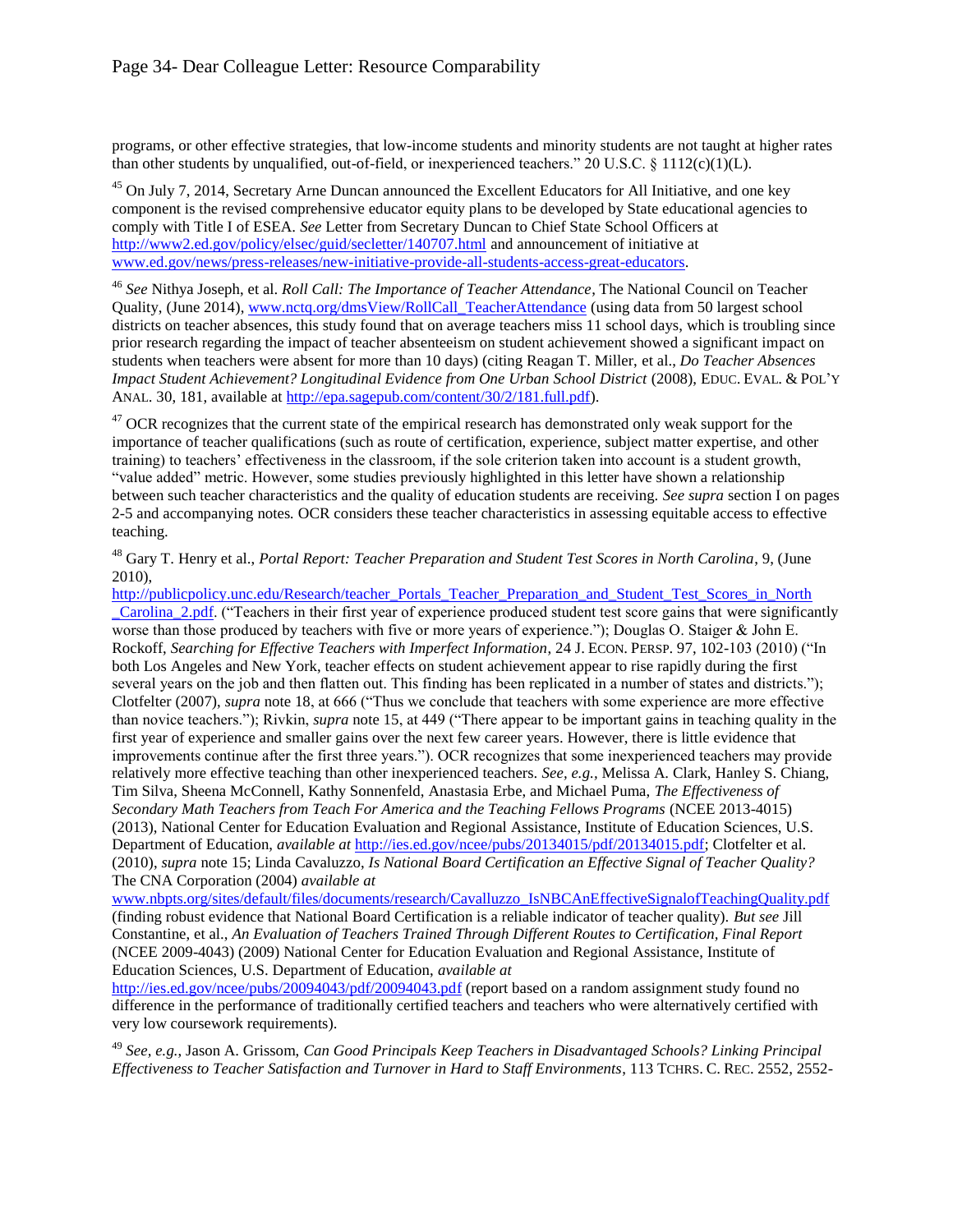programs, or other effective strategies, that low-income students and minority students are not taught at higher rates than other students by unqualified, out-of-field, or inexperienced teachers." 20 U.S.C. § 1112(c)(1)(L).

<sup>45</sup> On July 7, 2014, Secretary Arne Duncan announced the Excellent Educators for All Initiative, and one key component is the revised comprehensive educator equity plans to be developed by State educational agencies to comply with Title I of ESEA. *See* Letter from Secretary Duncan to Chief State School Officers at <http://www2.ed.gov/policy/elsec/guid/secletter/140707.html> and announcement of initiative at [www.ed.gov/news/press-releases/new-initiative-provide-all-students-access-great-educators.](http://www.ed.gov/news/press-releases/new-initiative-provide-all-students-access-great-educators)

<sup>46</sup> *See* Nithya Joseph, et al. *Roll Call: The Importance of Teacher Attendance*, The National Council on Teacher Quality, (June 2014), [www.nctq.org/dmsView/RollCall\\_TeacherAttendance](http://www.nctq.org/dmsView/RollCall_TeacherAttendance) (using data from 50 largest school districts on teacher absences, this study found that on average teachers miss 11 school days, which is troubling since prior research regarding the impact of teacher absenteeism on student achievement showed a significant impact on students when teachers were absent for more than 10 days) (citing Reagan T. Miller, et al., *Do Teacher Absences Impact Student Achievement? Longitudinal Evidence from One Urban School District* (2008), EDUC. EVAL. & POL'Y ANAL. 30, 181, available at [http://epa.sagepub.com/content/30/2/181.full.pdf\)](http://epa.sagepub.com/content/30/2/181.full.pdf).

<sup>47</sup> OCR recognizes that the current state of the empirical research has demonstrated only weak support for the importance of teacher qualifications (such as route of certification, experience, subject matter expertise, and other training) to teachers' effectiveness in the classroom, if the sole criterion taken into account is a student growth, "value added" metric. However, some studies previously highlighted in this letter have shown a relationship between such teacher characteristics and the quality of education students are receiving. *See supra* section I on pages 2-5 and accompanying notes*.* OCR considers these teacher characteristics in assessing equitable access to effective teaching.

<sup>48</sup> Garv T. Henry et al., *Portal Report: Teacher Preparation and Student Test Scores in North Carolina*, 9, (June 2010),

http://publicpolicy.unc.edu/Research/teacher\_Portals\_Teacher\_Preparation\_and\_Student\_Test\_Scores\_in\_North Carolina 2.pdf. ("Teachers in their first year of experience produced student test score gains that were significantly worse than those produced by teachers with five or more years of experience."); Douglas O. Staiger  $\&$  John E. Rockoff, *Searching for Effective Teachers with Imperfect Information*, 24 J. ECON. PERSP. 97, 102-103 (2010) ("In both Los Angeles and New York, teacher effects on student achievement appear to rise rapidly during the first several years on the job and then flatten out. This finding has been replicated in a number of states and districts."); Clotfelter (2007), *supra* not[e 18,](#page-3-3) at 666 ("Thus we conclude that teachers with some experience are more effective than novice teachers."); Rivkin, *supra* note [15,](#page-3-0) at 449 ("There appear to be important gains in teaching quality in the first year of experience and smaller gains over the next few career years. However, there is little evidence that improvements continue after the first three years."). OCR recognizes that some inexperienced teachers may provide relatively more effective teaching than other inexperienced teachers. *See, e.g.,* Melissa A. Clark, Hanley S. Chiang, Tim Silva, Sheena McConnell, Kathy Sonnenfeld, Anastasia Erbe, and Michael Puma, *The Effectiveness of Secondary Math Teachers from Teach For America and the Teaching Fellows Programs* (NCEE 2013-4015) (2013), National Center for Education Evaluation and Regional Assistance, Institute of Education Sciences, U.S. Department of Education, *available at* [http://ies.ed.gov/ncee/pubs/20134015/pdf/20134015.pdf;](http://ies.ed.gov/ncee/pubs/20134015/pdf/20134015.pdf) Clotfelter et al. (2010), *supra* not[e 15;](#page-3-0) Linda Cavaluzzo, *Is National Board Certification an Effective Signal of Teacher Quality?*  The CNA Corporation (2004) *available at* 

[www.nbpts.org/sites/default/files/documents/research/Cavalluzzo\\_IsNBCAnEffectiveSignalofTeachingQuality.pdf](http://www.nbpts.org/sites/default/files/documents/research/Cavalluzzo_IsNBCAnEffectiveSignalofTeachingQuality.pdf) (finding robust evidence that National Board Certification is a reliable indicator of teacher quality). *But see* Jill Constantine, et al., *An Evaluation of Teachers Trained Through Different Routes to Certification, Final Report*  (NCEE 2009-4043) (2009) National Center for Education Evaluation and Regional Assistance, Institute of Education Sciences, U.S. Department of Education, *available at*

<http://ies.ed.gov/ncee/pubs/20094043/pdf/20094043.pdf> (report based on a random assignment study found no difference in the performance of traditionally certified teachers and teachers who were alternatively certified with very low coursework requirements).

<sup>49</sup> *See, e.g.*, Jason A. Grissom, *Can Good Principals Keep Teachers in Disadvantaged Schools? Linking Principal Effectiveness to Teacher Satisfaction and Turnover in Hard to Staff Environments*, 113 TCHRS. C. REC. 2552, 2552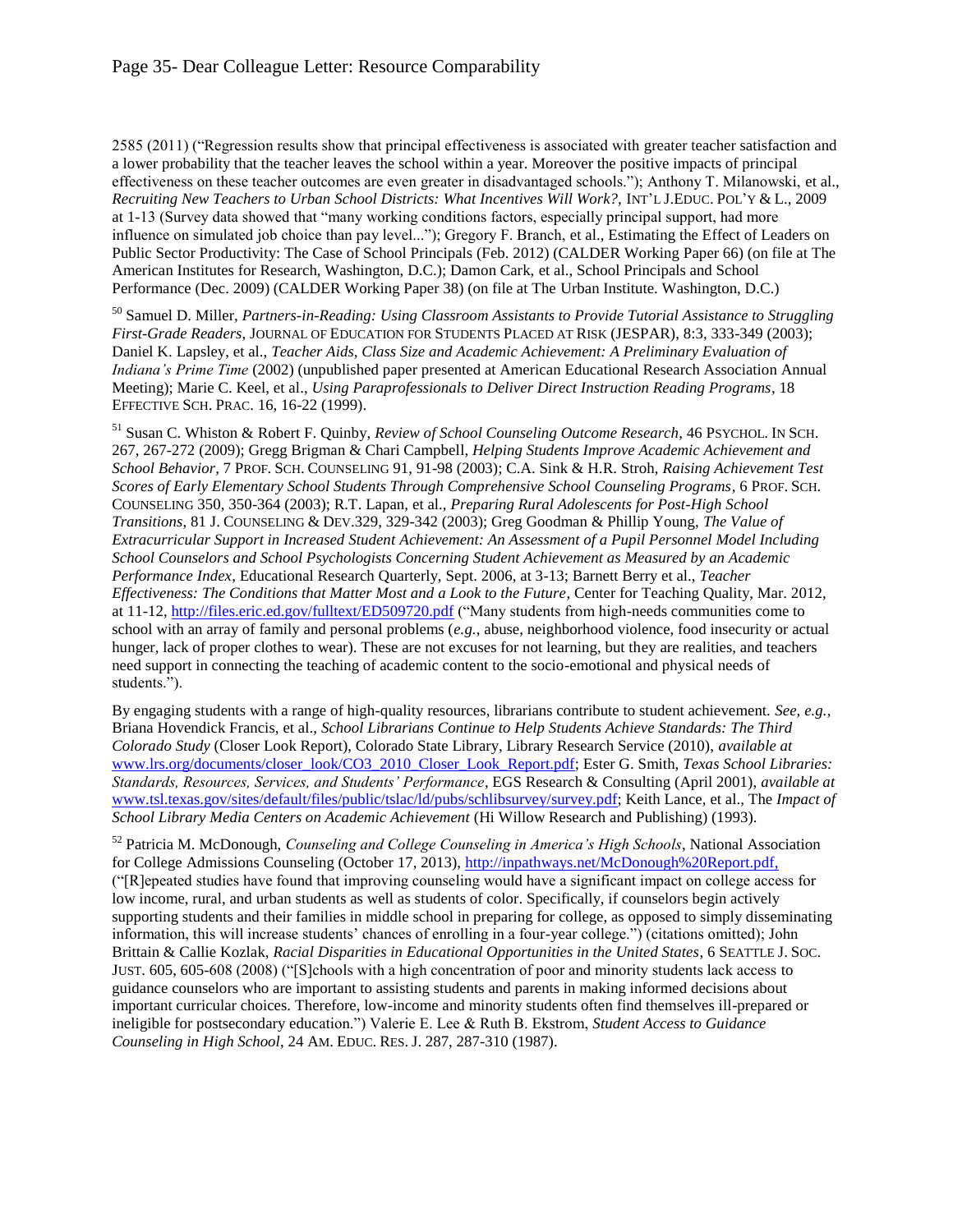2585 (2011) ("Regression results show that principal effectiveness is associated with greater teacher satisfaction and a lower probability that the teacher leaves the school within a year. Moreover the positive impacts of principal effectiveness on these teacher outcomes are even greater in disadvantaged schools."); Anthony T. Milanowski, et al., *Recruiting New Teachers to Urban School Districts: What Incentives Will Work?,* INT'L J.EDUC. POL'Y & L., 2009 at 1-13 (Survey data showed that "many working conditions factors, especially principal support, had more influence on simulated job choice than pay level..."); Gregory F. Branch, et al., Estimating the Effect of Leaders on Public Sector Productivity: The Case of School Principals (Feb. 2012) (CALDER Working Paper 66) (on file at The American Institutes for Research, Washington, D.C.); Damon Cark, et al., School Principals and School Performance (Dec. 2009) (CALDER Working Paper 38) (on file at The Urban Institute. Washington, D.C.)

<sup>50</sup> Samuel D. Miller, *Partners-in-Reading: Using Classroom Assistants to Provide Tutorial Assistance to Struggling First-Grade Readers*, JOURNAL OF EDUCATION FOR STUDENTS PLACED AT RISK (JESPAR), 8:3, 333-349 (2003); Daniel K. Lapsley, et al., *Teacher Aids, Class Size and Academic Achievement: A Preliminary Evaluation of Indiana's Prime Time* (2002) (unpublished paper presented at American Educational Research Association Annual Meeting); Marie C. Keel, et al., *Using Paraprofessionals to Deliver Direct Instruction Reading Programs*, 18 EFFECTIVE SCH. PRAC. 16, 16-22 (1999).

<sup>51</sup> Susan C. Whiston & Robert F. Quinby, *Review of School Counseling Outcome Research*, 46 PSYCHOL. IN SCH. 267, 267-272 (2009); Gregg Brigman & Chari Campbell, *Helping Students Improve Academic Achievement and School Behavior*, 7 PROF. SCH. COUNSELING 91, 91-98 (2003); C.A. Sink & H.R. Stroh, *Raising Achievement Test Scores of Early Elementary School Students Through Comprehensive School Counseling Programs*, 6 PROF. SCH. COUNSELING 350, 350-364 (2003); R.T. Lapan, et al., *Preparing Rural Adolescents for Post-High School Transitions*, 81 J. COUNSELING & DEV.329, 329-342 (2003); Greg Goodman & Phillip Young, *The Value of Extracurricular Support in Increased Student Achievement: An Assessment of a Pupil Personnel Model Including School Counselors and School Psychologists Concerning Student Achievement as Measured by an Academic Performance Index*, Educational Research Quarterly, Sept. 2006, at 3-13; Barnett Berry et al., *Teacher Effectiveness: The Conditions that Matter Most and a Look to the Future*, Center for Teaching Quality, Mar. 2012, at 11-12,<http://files.eric.ed.gov/fulltext/ED509720.pdf> ("Many students from high-needs communities come to school with an array of family and personal problems (*e.g.*, abuse, neighborhood violence, food insecurity or actual hunger, lack of proper clothes to wear). These are not excuses for not learning, but they are realities, and teachers need support in connecting the teaching of academic content to the socio-emotional and physical needs of students.").

By engaging students with a range of high-quality resources, librarians contribute to student achievement. *See, e.g.,* Briana Hovendick Francis, et al., *School Librarians Continue to Help Students Achieve Standards: The Third Colorado Study* (Closer Look Report), Colorado State Library, Library Research Service (2010), *available at*  [www.lrs.org/documents/closer\\_look/CO3\\_2010\\_Closer\\_Look\\_Report.pdf;](http://www.lrs.org/documents/closer_look/CO3_2010_Closer_Look_Report.pdf) Ester G. Smith, *Texas School Libraries: Standards, Resources, Services, and Students' Performance*, EGS Research & Consulting (April 2001), *available at* [www.tsl.texas.gov/sites/default/files/public/tslac/ld/pubs/schlibsurvey/survey.pdf;](http://www.tsl.texas.gov/sites/default/files/public/tslac/ld/pubs/schlibsurvey/survey.pdf) Keith Lance, et al., The *Impact of School Library Media Centers on Academic Achievement* (Hi Willow Research and Publishing) (1993).

<sup>52</sup> Patricia M. McDonough, *Counseling and College Counseling in America's High Schools*, National Association for College Admissions Counseling (October 17, 2013), [http://inpathways.net/McDonough%20Report.pdf,](http://inpathways.net/McDonough%20Report.pdf) ("[R]epeated studies have found that improving counseling would have a significant impact on college access for low income, rural, and urban students as well as students of color. Specifically, if counselors begin actively supporting students and their families in middle school in preparing for college, as opposed to simply disseminating information, this will increase students' chances of enrolling in a four-year college.") (citations omitted); John Brittain & Callie Kozlak, *Racial Disparities in Educational Opportunities in the United States*, 6 SEATTLE J. SOC. JUST. 605, 605-608 (2008) ("[S]chools with a high concentration of poor and minority students lack access to guidance counselors who are important to assisting students and parents in making informed decisions about important curricular choices. Therefore, low-income and minority students often find themselves ill-prepared or ineligible for postsecondary education.") Valerie E. Lee & Ruth B. Ekstrom, *Student Access to Guidance Counseling in High School*, 24 AM. EDUC. RES. J. 287, 287-310 (1987).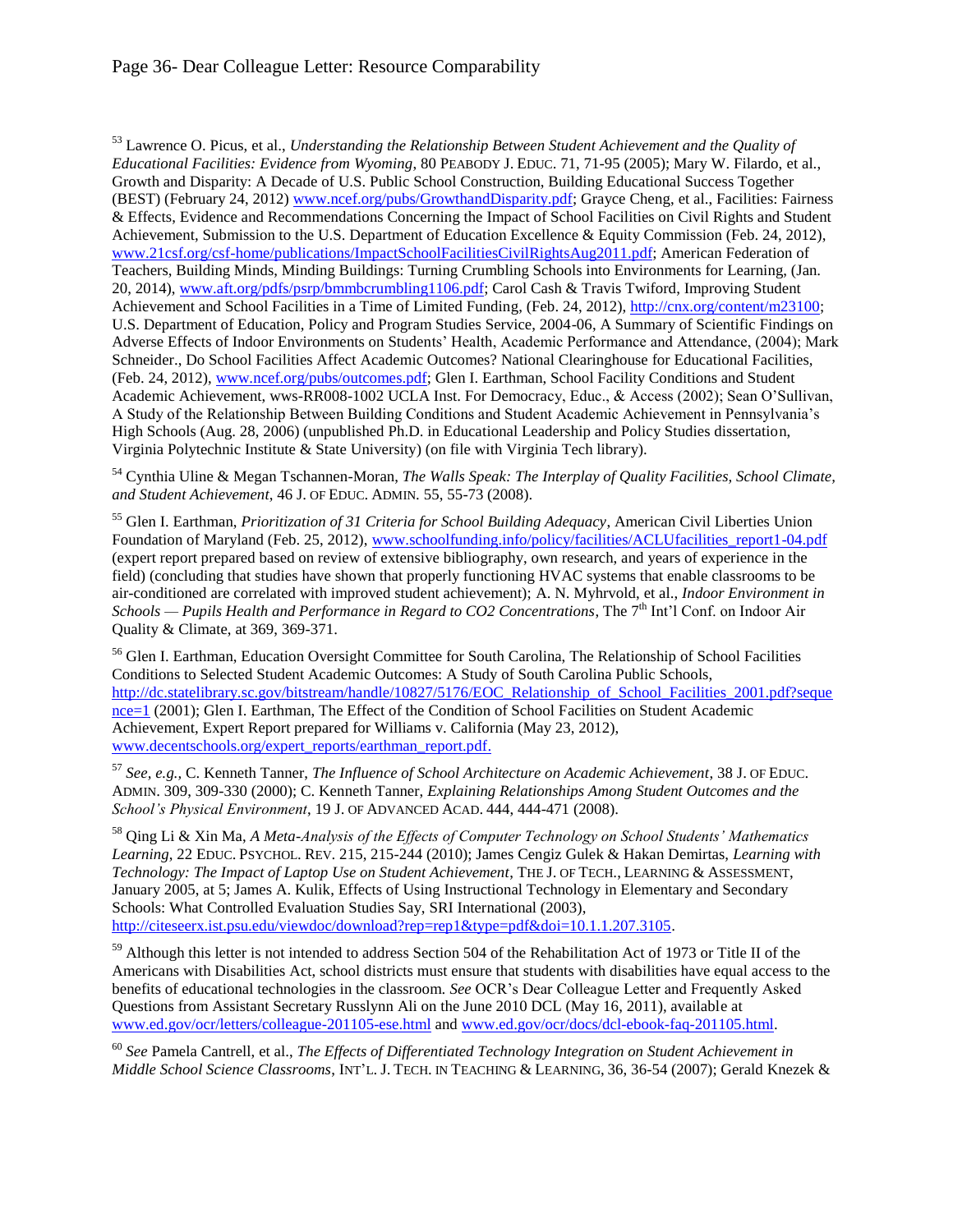### Page 36- Dear Colleague Letter: Resource Comparability

<sup>53</sup> Lawrence O. Picus, et al., *Understanding the Relationship Between Student Achievement and the Quality of Educational Facilities: Evidence from Wyoming*, 80 PEABODY J. EDUC. 71, 71-95 (2005); Mary W. Filardo, et al., Growth and Disparity: A Decade of U.S. Public School Construction, Building Educational Success Together (BEST) (February 24, 2012) [www.ncef.org/pubs/GrowthandDisparity.pdf;](http://www.ncef.org/pubs/GrowthandDisparity.pdf) Grayce Cheng, et al., Facilities: Fairness & Effects, Evidence and Recommendations Concerning the Impact of School Facilities on Civil Rights and Student Achievement, Submission to the U.S. Department of Education Excellence & Equity Commission (Feb. 24, 2012), [www.21csf.org/csf-home/publications/ImpactSchoolFacilitiesCivilRightsAug2011.pdf;](http://www.21csf.org/csf-home/publications/ImpactSchoolFacilitiesCivilRightsAug2011.pdf) American Federation of Teachers, Building Minds, Minding Buildings: Turning Crumbling Schools into Environments for Learning, (Jan. 20, 2014), [www.aft.org/pdfs/psrp/bmmbcrumbling1106.pdf;](http://www.aft.org/pdfs/psrp/bmmbcrumbling1106.pdf) Carol Cash & Travis Twiford, Improving Student Achievement and School Facilities in a Time of Limited Funding, (Feb. 24, 2012), [http://cnx.org/content/m23100;](http://cnx.org/content/m23100) U.S. Department of Education, Policy and Program Studies Service, 2004-06, A Summary of Scientific Findings on Adverse Effects of Indoor Environments on Students' Health, Academic Performance and Attendance, (2004); Mark Schneider., Do School Facilities Affect Academic Outcomes? National Clearinghouse for Educational Facilities, (Feb. 24, 2012)[, www.ncef.org/pubs/outcomes.pdf;](http://www.ncef.org/pubs/outcomes.pdf) Glen I. Earthman, School Facility Conditions and Student Academic Achievement, wws-RR008-1002 UCLA Inst. For Democracy, Educ., & Access (2002); Sean O'Sullivan, A Study of the Relationship Between Building Conditions and Student Academic Achievement in Pennsylvania's High Schools (Aug. 28, 2006) (unpublished Ph.D. in Educational Leadership and Policy Studies dissertation, Virginia Polytechnic Institute & State University) (on file with Virginia Tech library).

<sup>54</sup> Cynthia Uline & Megan Tschannen-Moran, *The Walls Speak: The Interplay of Quality Facilities, School Climate, and Student Achievement*, 46 J. OF EDUC. ADMIN. 55, 55-73 (2008).

<sup>55</sup> Glen I. Earthman, *Prioritization of 31 Criteria for School Building Adequacy*, American Civil Liberties Union Foundation of Maryland (Feb. 25, 2012), [www.schoolfunding.info/policy/facilities/ACLUfacilities\\_report1-04.pdf](http://www.schoolfunding.info/policy/facilities/ACLUfacilities_report1-04.pdf) (expert report prepared based on review of extensive bibliography, own research, and years of experience in the field) (concluding that studies have shown that properly functioning HVAC systems that enable classrooms to be air-conditioned are correlated with improved student achievement); A. N. Myhrvold, et al., *Indoor Environment in*  Schools — Pupils Health and Performance in Regard to CO2 Concentrations, The 7<sup>th</sup> Int'l Conf. on Indoor Air Quality & Climate, at 369, 369-371.

<sup>56</sup> Glen I. Earthman, Education Oversight Committee for South Carolina, The Relationship of School Facilities Conditions to Selected Student Academic Outcomes: A Study of South Carolina Public Schools, [http://dc.statelibrary.sc.gov/bitstream/handle/10827/5176/EOC\\_Relationship\\_of\\_School\\_Facilities\\_2001.pdf?seque](http://dc.statelibrary.sc.gov/bitstream/handle/10827/5176/EOC_Relationship_of_School_Facilities_2001.pdf?sequence=1) [nce=1](http://dc.statelibrary.sc.gov/bitstream/handle/10827/5176/EOC_Relationship_of_School_Facilities_2001.pdf?sequence=1) (2001); Glen I. Earthman, The Effect of the Condition of School Facilities on Student Academic Achievement, Expert Report prepared for Williams v. California (May 23, 2012), [www.decentschools.org/expert\\_reports/earthman\\_report.pdf.](http://www.decentschools.org/expert_reports/earthman_report.pdf) 

<sup>57</sup> *See, e.g.,* C. Kenneth Tanner, *The Influence of School Architecture on Academic Achievement*, 38 J. OF EDUC. ADMIN. 309, 309-330 (2000); C. Kenneth Tanner, *Explaining Relationships Among Student Outcomes and the School's Physical Environment*, 19 J. OF ADVANCED ACAD. 444, 444-471 (2008).

<sup>58</sup> Qing Li & Xin Ma, *A Meta-Analysis of the Effects of Computer Technology on School Students' Mathematics Learning*, 22 EDUC. PSYCHOL. REV. 215, 215-244 (2010); James Cengiz Gulek & Hakan Demirtas, *Learning with Technology: The Impact of Laptop Use on Student Achievement*, THE J. OF TECH., LEARNING & ASSESSMENT, January 2005, at 5; James A. Kulik, Effects of Using Instructional Technology in Elementary and Secondary Schools: What Controlled Evaluation Studies Say, SRI International (2003), [http://citeseerx.ist.psu.edu/viewdoc/download?rep=rep1&type=pdf&doi=10.1.1.207.3105.](http://citeseerx.ist.psu.edu/viewdoc/download?rep=rep1&type=pdf&doi=10.1.1.207.3105) 

<sup>59</sup> Although this letter is not intended to address Section 504 of the Rehabilitation Act of 1973 or Title II of the Americans with Disabilities Act, school districts must ensure that students with disabilities have equal access to the benefits of educational technologies in the classroom. *See* OCR's Dear Colleague Letter and Frequently Asked Questions from Assistant Secretary Russlynn Ali on the June 2010 DCL (May 16, 2011), available at [www.ed.gov/ocr/letters/colleague-201105-ese.html](http://www.ed.gov/ocr/letters/colleague-201105-ese.html) and [www.ed.gov/ocr/docs/dcl-ebook-faq-201105.html.](http://www.ed.gov/ocr/docs/dcl-ebook-faq-201105.html)

<sup>60</sup> *See* Pamela Cantrell, et al., *The Effects of Differentiated Technology Integration on Student Achievement in Middle School Science Classrooms*, INT'L. J. TECH. IN TEACHING & LEARNING, 36, 36-54 (2007); Gerald Knezek &